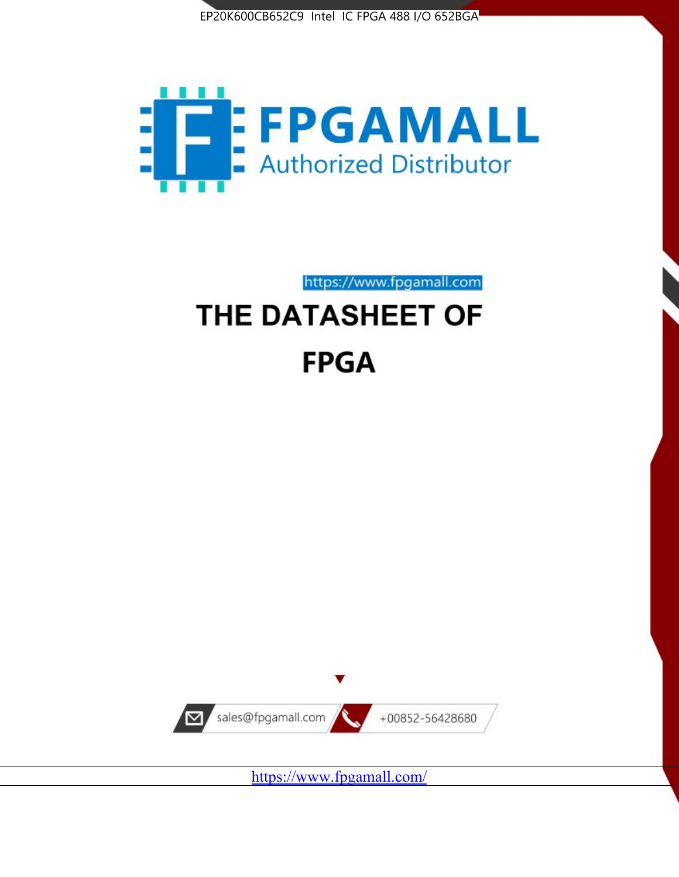



https://www.fpgamall.com

# THE DATASHEET OF **FPGA**



<https://www.fpgamall.com/>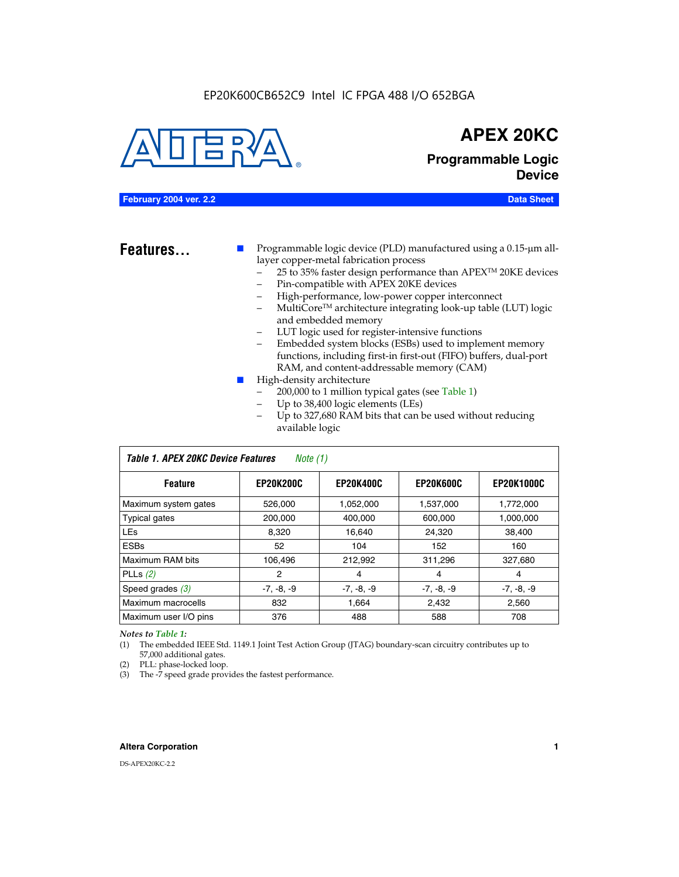#### EP20K600CB652C9 Intel IC FPGA 488 I/O 652BGA



### **APEX 20KC**

**Programmable Logic Device**

#### **February 2004 ver. 2.2 Data Sheet**

**Features...** ■ Programmable logic device (PLD) manufactured using a 0.15-µm alllayer copper-metal fabrication process

- 25 to 35% faster design performance than APEX<sup>™</sup> 20KE devices
- Pin-compatible with APEX 20KE devices
- High-performance, low-power copper interconnect
- MultiCoreTM architecture integrating look-up table (LUT) logic and embedded memory
- LUT logic used for register-intensive functions
- Embedded system blocks (ESBs) used to implement memory functions, including first-in first-out (FIFO) buffers, dual-port RAM, and content-addressable memory (CAM)
- High-density architecture
	- 200,000 to 1 million typical gates (see Table 1)
	- Up to 38,400 logic elements (LEs)
	- Up to 327,680 RAM bits that can be used without reducing available logic

| Table 1. APEX 20KC Device Features<br>Note $(1)$ |                  |                  |                  |                   |  |  |  |  |
|--------------------------------------------------|------------------|------------------|------------------|-------------------|--|--|--|--|
| <b>Feature</b>                                   | <b>EP20K200C</b> | <b>EP20K400C</b> | <b>EP20K600C</b> | <b>EP20K1000C</b> |  |  |  |  |
| Maximum system gates                             | 526,000          | 1,052,000        | 1,537,000        | 1,772,000         |  |  |  |  |
| <b>Typical gates</b>                             | 200,000          | 400.000          | 600,000          | 1,000,000         |  |  |  |  |
| <b>LEs</b>                                       | 8.320            | 16,640           | 24,320           | 38,400            |  |  |  |  |
| <b>ESBs</b>                                      | 52               | 104              | 152              | 160               |  |  |  |  |
| Maximum RAM bits                                 | 106,496          | 212,992          | 311,296          | 327,680           |  |  |  |  |
| PLLs $(2)$                                       | 2                | 4                | 4                | 4                 |  |  |  |  |
| Speed grades $(3)$                               | $-7, -8, -9$     | $-7, -8, -9$     | $-7, -8, -9$     | $-7, -8, -9$      |  |  |  |  |
| Maximum macrocells                               | 832              | 1.664            | 2,432            | 2,560             |  |  |  |  |
| Maximum user I/O pins                            | 376              | 488              | 588              | 708               |  |  |  |  |

#### *Notes to Table 1:*

(1) The embedded IEEE Std. 1149.1 Joint Test Action Group (JTAG) boundary-scan circuitry contributes up to 57,000 additional gates.

- (2) PLL: phase-locked loop.
- (3) The -7 speed grade provides the fastest performance.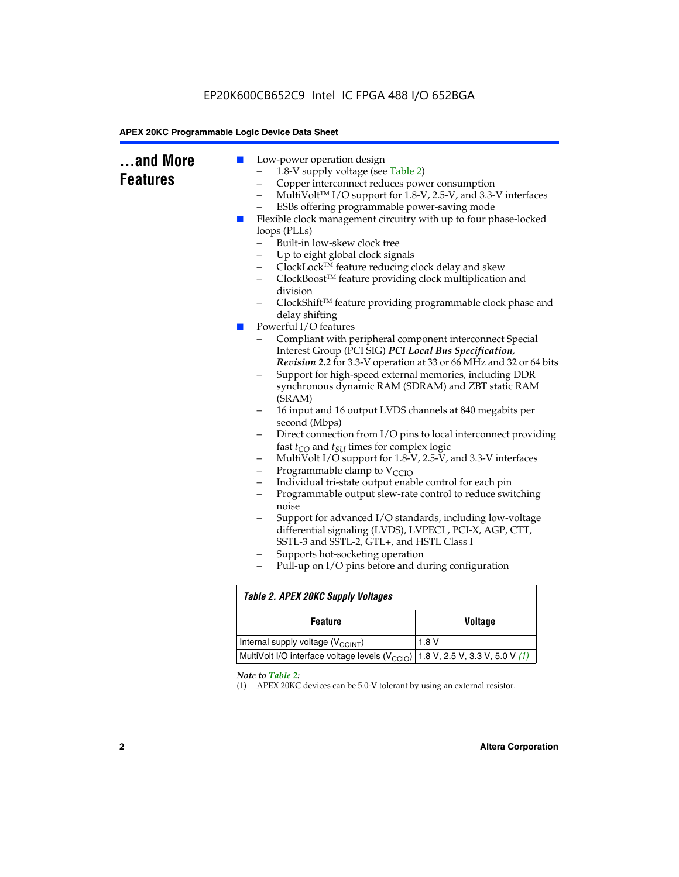### EP20K600CB652C9 Intel IC FPGA 488 I/O 652BGA

#### **APEX 20KC Programmable Logic Device Data Sheet**

| and More<br><b>Features</b> | Low-power operation design<br>ш<br>1.8-V supply voltage (see Table 2)<br>Copper interconnect reduces power consumption<br>-<br>$\overline{\phantom{0}}$<br>ESBs offering programmable power-saving mode<br>Flexible clock management circuitry with up to four phase-locked<br><b>Contract</b><br>loops (PLLs)<br>Built-in low-skew clock tree<br>Up to eight global clock signals<br>ClockLock™ feature reducing clock delay and skew<br>-<br>ClockBoost™ feature providing clock multiplication and<br>-<br>division<br>delay shifting<br>Powerful I/O features<br>$\mathcal{L}_{\mathcal{A}}$<br>Compliant with peripheral component interconnect Special<br>Interest Group (PCI SIG) PCI Local Bus Specification,<br>Support for high-speed external memories, including DDR<br>synchronous dynamic RAM (SDRAM) and ZBT static RAM<br>(SRAM)<br>16 input and 16 output LVDS channels at 840 megabits per<br>second (Mbps)<br>-<br>fast $t_{CO}$ and $t_{SU}$ times for complex logic<br>MultiVolt I/O support for 1.8-V, 2.5-V, and 3.3-V interfaces<br>-<br>Programmable clamp to $V_{\text{CCIO}}$<br>-<br>Individual tri-state output enable control for each pin<br>$\overline{\phantom{0}}$<br>Programmable output slew-rate control to reduce switching<br>—<br>noise<br>Support for advanced I/O standards, including low-voltage<br>differential signaling (LVDS), LVPECL, PCI-X, AGP, CTT,<br>SSTL-3 and SSTL-2, GTL+, and HSTL Class I<br>Supports hot-socketing operation<br>-<br>Pull-up on I/O pins before and during configuration | MultiVolt™ I/O support for 1.8-V, 2.5-V, and 3.3-V interfaces<br>ClockShift™ feature providing programmable clock phase and<br>Revision 2.2 for 3.3-V operation at 33 or 66 MHz and 32 or 64 bits<br>Direct connection from I/O pins to local interconnect providing |  |  |  |  |
|-----------------------------|------------------------------------------------------------------------------------------------------------------------------------------------------------------------------------------------------------------------------------------------------------------------------------------------------------------------------------------------------------------------------------------------------------------------------------------------------------------------------------------------------------------------------------------------------------------------------------------------------------------------------------------------------------------------------------------------------------------------------------------------------------------------------------------------------------------------------------------------------------------------------------------------------------------------------------------------------------------------------------------------------------------------------------------------------------------------------------------------------------------------------------------------------------------------------------------------------------------------------------------------------------------------------------------------------------------------------------------------------------------------------------------------------------------------------------------------------------------------------------------------------------------------------------------------------|----------------------------------------------------------------------------------------------------------------------------------------------------------------------------------------------------------------------------------------------------------------------|--|--|--|--|
|                             | <b>Table 2. APEX 20KC Supply Voltages</b>                                                                                                                                                                                                                                                                                                                                                                                                                                                                                                                                                                                                                                                                                                                                                                                                                                                                                                                                                                                                                                                                                                                                                                                                                                                                                                                                                                                                                                                                                                            |                                                                                                                                                                                                                                                                      |  |  |  |  |
|                             | <b>Feature</b>                                                                                                                                                                                                                                                                                                                                                                                                                                                                                                                                                                                                                                                                                                                                                                                                                                                                                                                                                                                                                                                                                                                                                                                                                                                                                                                                                                                                                                                                                                                                       | <b>Voltage</b>                                                                                                                                                                                                                                                       |  |  |  |  |
|                             | Internal supply voltage (V <sub>CCINT</sub> )                                                                                                                                                                                                                                                                                                                                                                                                                                                                                                                                                                                                                                                                                                                                                                                                                                                                                                                                                                                                                                                                                                                                                                                                                                                                                                                                                                                                                                                                                                        | 1.8 V                                                                                                                                                                                                                                                                |  |  |  |  |
|                             | MultiVolt I/O interface voltage levels (V <sub>CCIO</sub> )<br>1.8 V, 2.5 V, 3.3 V, 5.0 V $(1)$                                                                                                                                                                                                                                                                                                                                                                                                                                                                                                                                                                                                                                                                                                                                                                                                                                                                                                                                                                                                                                                                                                                                                                                                                                                                                                                                                                                                                                                      |                                                                                                                                                                                                                                                                      |  |  |  |  |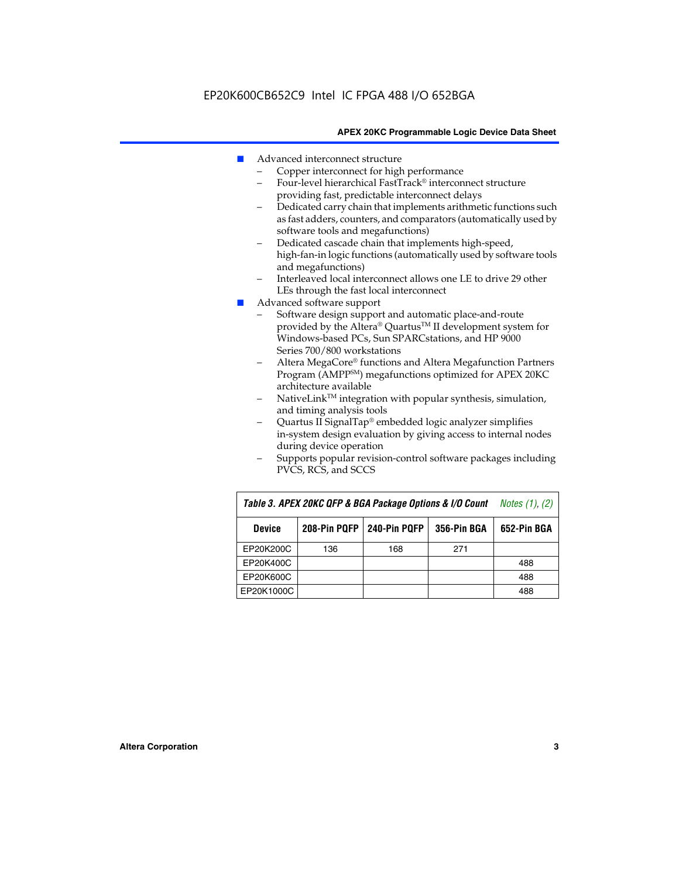- Advanced interconnect structure
	- Copper interconnect for high performance
	- Four-level hierarchical FastTrack® interconnect structure providing fast, predictable interconnect delays
	- Dedicated carry chain that implements arithmetic functions such as fast adders, counters, and comparators (automatically used by software tools and megafunctions)
	- Dedicated cascade chain that implements high-speed, high-fan-in logic functions (automatically used by software tools and megafunctions)
	- Interleaved local interconnect allows one LE to drive 29 other LEs through the fast local interconnect
- Advanced software support
	- Software design support and automatic place-and-route provided by the Altera® Quartus™ II development system for Windows-based PCs, Sun SPARCstations, and HP 9000 Series 700/800 workstations
	- Altera MegaCore® functions and Altera Megafunction Partners Program (AMPPSM) megafunctions optimized for APEX 20KC architecture available
	- $N$ ativeLink<sup>TM</sup> integration with popular synthesis, simulation, and timing analysis tools
	- Quartus II SignalTap® embedded logic analyzer simplifies in-system design evaluation by giving access to internal nodes during device operation
	- Supports popular revision-control software packages including PVCS, RCS, and SCCS

| Table 3. APEX 20KC QFP & BGA Package Options & I/O Count | <i>Notes <math>(1)</math>, <math>(2)</math></i> |     |     |     |
|----------------------------------------------------------|-------------------------------------------------|-----|-----|-----|
| <b>Device</b>                                            | 240-Pin PQFP<br>208-Pin PQFP<br>356-Pin BGA     |     |     |     |
| EP20K200C                                                | 136                                             | 168 | 271 |     |
| EP20K400C                                                |                                                 |     |     | 488 |
| EP20K600C                                                |                                                 |     |     | 488 |
| EP20K1000C                                               |                                                 |     |     | 488 |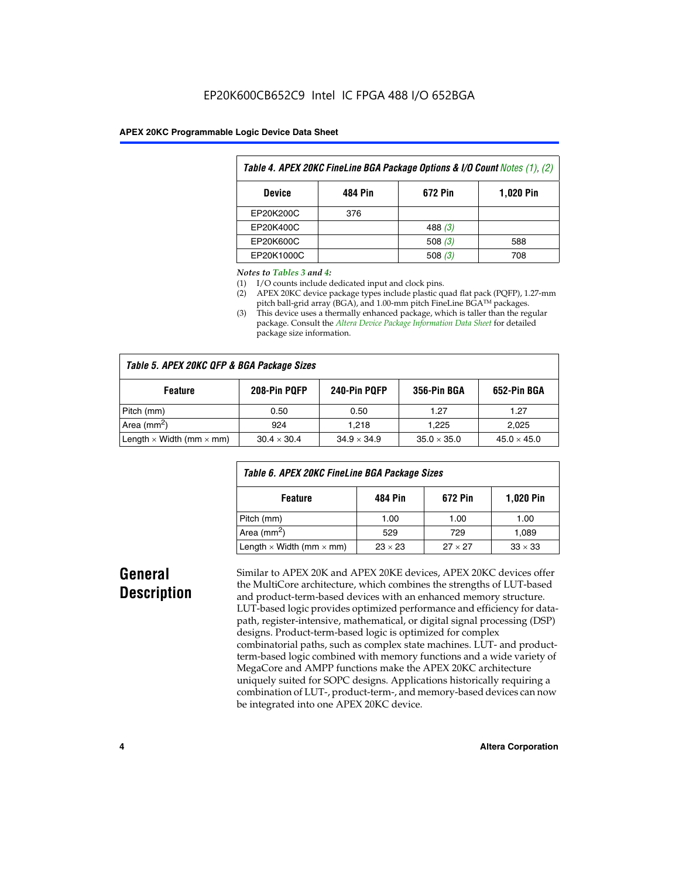| Table 4. APEX 20KC FineLine BGA Package Options & I/O Count Notes (1), (2) |     |           |     |  |  |  |  |
|----------------------------------------------------------------------------|-----|-----------|-----|--|--|--|--|
| 484 Pin<br>672 Pin<br><b>1,020 Pin</b><br><b>Device</b>                    |     |           |     |  |  |  |  |
| EP20K200C                                                                  | 376 |           |     |  |  |  |  |
| EP20K400C                                                                  |     | 488 $(3)$ |     |  |  |  |  |
| EP20K600C                                                                  |     | 508 $(3)$ | 588 |  |  |  |  |
| EP20K1000C                                                                 |     | 508 $(3)$ | 708 |  |  |  |  |

#### *Notes to Tables 3 and 4:*

- (1) I/O counts include dedicated input and clock pins.
- (2) APEX 20KC device package types include plastic quad flat pack (PQFP), 1.27-mm pitch ball-grid array (BGA), and 1.00-mm pitch FineLine BGA™ packages.
- (3) This device uses a thermally enhanced package, which is taller than the regular package. Consult the *Altera Device Package Information Data Sheet* for detailed package size information.

| Table 5. APEX 20KC QFP & BGA Package Sizes |                    |                    |                    |                    |  |  |  |  |
|--------------------------------------------|--------------------|--------------------|--------------------|--------------------|--|--|--|--|
| <b>Feature</b>                             | 208-Pin PQFP       | 240-Pin PQFP       | 356-Pin BGA        | 652-Pin BGA        |  |  |  |  |
| Pitch (mm)                                 | 0.50               | 0.50               | 1.27               | 1.27               |  |  |  |  |
| Area ( $mm2$ )                             | 924                | 1.218              | 1.225              | 2,025              |  |  |  |  |
| Length $\times$ Width (mm $\times$ mm)     | $30.4 \times 30.4$ | $34.9 \times 34.9$ | $35.0 \times 35.0$ | $45.0 \times 45.0$ |  |  |  |  |

| Table 6. APEX 20KC FineLine BGA Package Sizes            |                |                |                |  |  |  |  |
|----------------------------------------------------------|----------------|----------------|----------------|--|--|--|--|
| <b>1,020 Pin</b><br>484 Pin<br>672 Pin<br><b>Feature</b> |                |                |                |  |  |  |  |
| Pitch (mm)                                               | 1.00           | 1.00           | 1.00           |  |  |  |  |
| Area ( $mm2$ )                                           | 529            | 729            | 1.089          |  |  |  |  |
| Length $\times$ Width (mm $\times$ mm)                   | $23 \times 23$ | $27 \times 27$ | $33 \times 33$ |  |  |  |  |

## **General Description**

Similar to APEX 20K and APEX 20KE devices, APEX 20KC devices offer the MultiCore architecture, which combines the strengths of LUT-based and product-term-based devices with an enhanced memory structure. LUT-based logic provides optimized performance and efficiency for datapath, register-intensive, mathematical, or digital signal processing (DSP) designs. Product-term-based logic is optimized for complex combinatorial paths, such as complex state machines. LUT- and productterm-based logic combined with memory functions and a wide variety of MegaCore and AMPP functions make the APEX 20KC architecture uniquely suited for SOPC designs. Applications historically requiring a combination of LUT-, product-term-, and memory-based devices can now be integrated into one APEX 20KC device.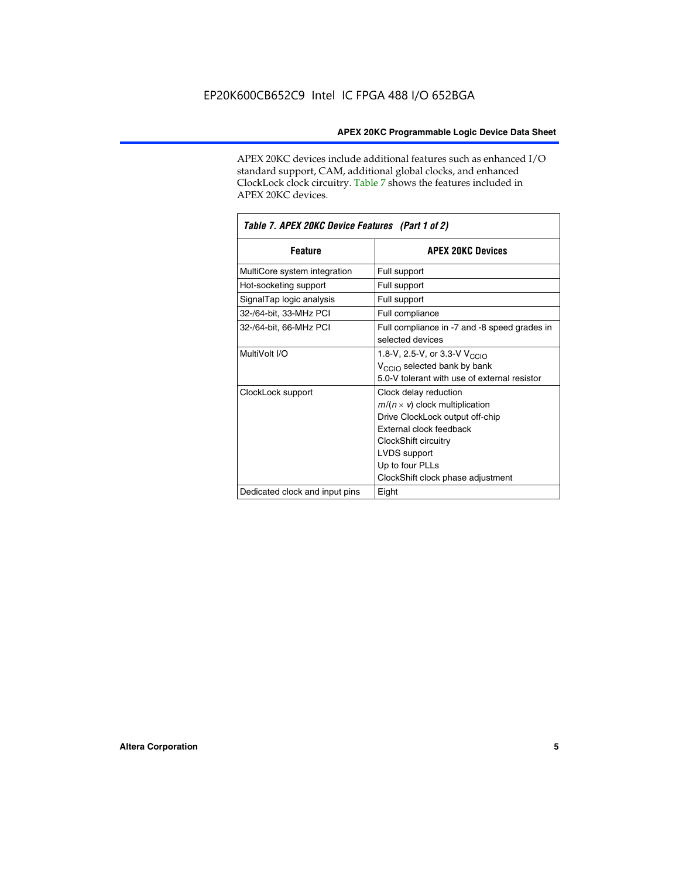APEX 20KC devices include additional features such as enhanced I/O standard support, CAM, additional global clocks, and enhanced ClockLock clock circuitry. Table 7 shows the features included in APEX 20KC devices.

| Table 7. APEX 20KC Device Features (Part 1 of 2) |                                                                                                                                                                                                                              |  |  |  |  |
|--------------------------------------------------|------------------------------------------------------------------------------------------------------------------------------------------------------------------------------------------------------------------------------|--|--|--|--|
| <b>Feature</b>                                   | <b>APEX 20KC Devices</b>                                                                                                                                                                                                     |  |  |  |  |
| MultiCore system integration                     | Full support                                                                                                                                                                                                                 |  |  |  |  |
| Hot-socketing support                            | Full support                                                                                                                                                                                                                 |  |  |  |  |
| SignalTap logic analysis                         | Full support                                                                                                                                                                                                                 |  |  |  |  |
| 32-/64-bit, 33-MHz PCI                           | Full compliance                                                                                                                                                                                                              |  |  |  |  |
| 32-/64-bit, 66-MHz PCI                           | Full compliance in -7 and -8 speed grades in<br>selected devices                                                                                                                                                             |  |  |  |  |
| MultiVolt I/O                                    | 1.8-V, 2.5-V, or 3.3-V V <sub>CCIO</sub><br>V <sub>CCIO</sub> selected bank by bank<br>5.0-V tolerant with use of external resistor                                                                                          |  |  |  |  |
| ClockLock support                                | Clock delay reduction<br>$m/(n \times v)$ clock multiplication<br>Drive ClockLock output off-chip<br>External clock feedback<br>ClockShift circuitry<br>LVDS support<br>Up to four PLLs<br>ClockShift clock phase adjustment |  |  |  |  |
| Dedicated clock and input pins                   | Eight                                                                                                                                                                                                                        |  |  |  |  |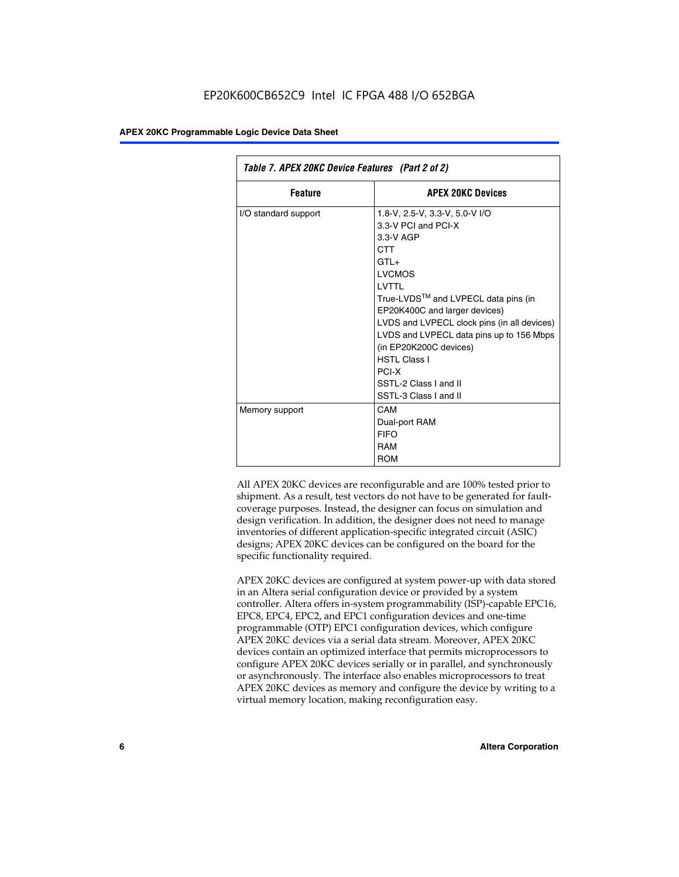| Table 7. APEX 20KC Device Features (Part 2 of 2) |                                                                                                                                                                                                                                                                                                                                                                                                  |  |  |  |  |
|--------------------------------------------------|--------------------------------------------------------------------------------------------------------------------------------------------------------------------------------------------------------------------------------------------------------------------------------------------------------------------------------------------------------------------------------------------------|--|--|--|--|
| <b>Feature</b>                                   | <b>APEX 20KC Devices</b>                                                                                                                                                                                                                                                                                                                                                                         |  |  |  |  |
| I/O standard support                             | 1.8-V, 2.5-V, 3.3-V, 5.0-V I/O<br>3.3-V PCI and PCI-X<br>$3.3-V$ AGP<br>CTT<br>$GTI +$<br><b>LVCMOS</b><br>I VTTI<br>True-LVDS™ and LVPECL data pins (in<br>EP20K400C and larger devices)<br>LVDS and LVPECL clock pins (in all devices)<br>LVDS and LVPECL data pins up to 156 Mbps<br>(in EP20K200C devices)<br><b>HSTI Class I</b><br>PCI-X<br>SSTL-2 Class I and II<br>SSTL-3 Class I and II |  |  |  |  |
| Memory support                                   | CAM<br>Dual-port RAM<br><b>FIFO</b><br>RAM<br><b>ROM</b>                                                                                                                                                                                                                                                                                                                                         |  |  |  |  |

All APEX 20KC devices are reconfigurable and are 100% tested prior to shipment. As a result, test vectors do not have to be generated for faultcoverage purposes. Instead, the designer can focus on simulation and design verification. In addition, the designer does not need to manage inventories of different application-specific integrated circuit (ASIC) designs; APEX 20KC devices can be configured on the board for the specific functionality required.

APEX 20KC devices are configured at system power-up with data stored in an Altera serial configuration device or provided by a system controller. Altera offers in-system programmability (ISP)-capable EPC16, EPC8, EPC4, EPC2, and EPC1 configuration devices and one-time programmable (OTP) EPC1 configuration devices, which configure APEX 20KC devices via a serial data stream. Moreover, APEX 20KC devices contain an optimized interface that permits microprocessors to configure APEX 20KC devices serially or in parallel, and synchronously or asynchronously. The interface also enables microprocessors to treat APEX 20KC devices as memory and configure the device by writing to a virtual memory location, making reconfiguration easy.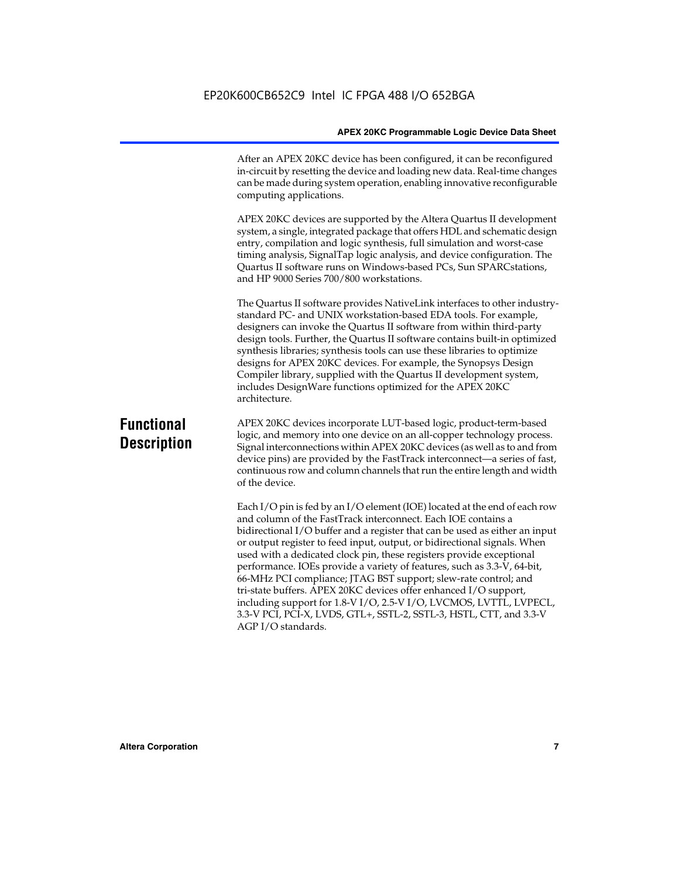After an APEX 20KC device has been configured, it can be reconfigured in-circuit by resetting the device and loading new data. Real-time changes can be made during system operation, enabling innovative reconfigurable computing applications.

APEX 20KC devices are supported by the Altera Quartus II development system, a single, integrated package that offers HDL and schematic design entry, compilation and logic synthesis, full simulation and worst-case timing analysis, SignalTap logic analysis, and device configuration. The Quartus II software runs on Windows-based PCs, Sun SPARCstations, and HP 9000 Series 700/800 workstations.

The Quartus II software provides NativeLink interfaces to other industrystandard PC- and UNIX workstation-based EDA tools. For example, designers can invoke the Quartus II software from within third-party design tools. Further, the Quartus II software contains built-in optimized synthesis libraries; synthesis tools can use these libraries to optimize designs for APEX 20KC devices. For example, the Synopsys Design Compiler library, supplied with the Quartus II development system, includes DesignWare functions optimized for the APEX 20KC architecture.

### **Functional Description**

APEX 20KC devices incorporate LUT-based logic, product-term-based logic, and memory into one device on an all-copper technology process. Signal interconnections within APEX 20KC devices (as well as to and from device pins) are provided by the FastTrack interconnect—a series of fast, continuous row and column channels that run the entire length and width of the device.

Each I/O pin is fed by an I/O element (IOE) located at the end of each row and column of the FastTrack interconnect. Each IOE contains a bidirectional I/O buffer and a register that can be used as either an input or output register to feed input, output, or bidirectional signals. When used with a dedicated clock pin, these registers provide exceptional performance. IOEs provide a variety of features, such as 3.3-V, 64-bit, 66-MHz PCI compliance; JTAG BST support; slew-rate control; and tri-state buffers. APEX 20KC devices offer enhanced I/O support, including support for 1.8-V I/O, 2.5-V I/O, LVCMOS, LVTTL, LVPECL, 3.3-V PCI, PCI-X, LVDS, GTL+, SSTL-2, SSTL-3, HSTL, CTT, and 3.3-V AGP I/O standards.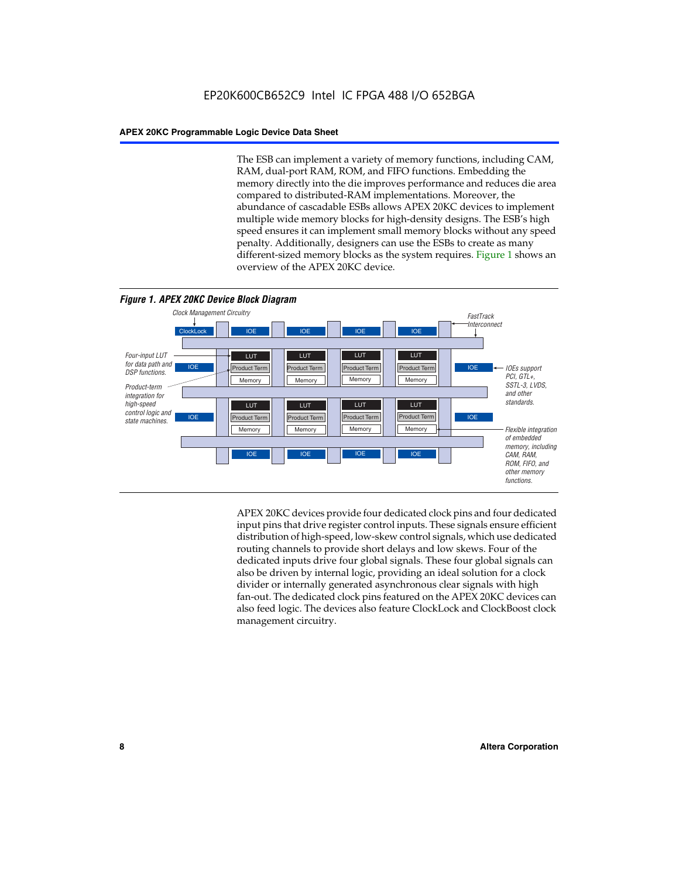The ESB can implement a variety of memory functions, including CAM, RAM, dual-port RAM, ROM, and FIFO functions. Embedding the memory directly into the die improves performance and reduces die area compared to distributed-RAM implementations. Moreover, the abundance of cascadable ESBs allows APEX 20KC devices to implement multiple wide memory blocks for high-density designs. The ESB's high speed ensures it can implement small memory blocks without any speed penalty. Additionally, designers can use the ESBs to create as many different-sized memory blocks as the system requires. Figure 1 shows an overview of the APEX 20KC device.



APEX 20KC devices provide four dedicated clock pins and four dedicated input pins that drive register control inputs. These signals ensure efficient distribution of high-speed, low-skew control signals, which use dedicated routing channels to provide short delays and low skews. Four of the dedicated inputs drive four global signals. These four global signals can also be driven by internal logic, providing an ideal solution for a clock divider or internally generated asynchronous clear signals with high fan-out. The dedicated clock pins featured on the APEX 20KC devices can also feed logic. The devices also feature ClockLock and ClockBoost clock management circuitry.

#### **8 Altera Corporation**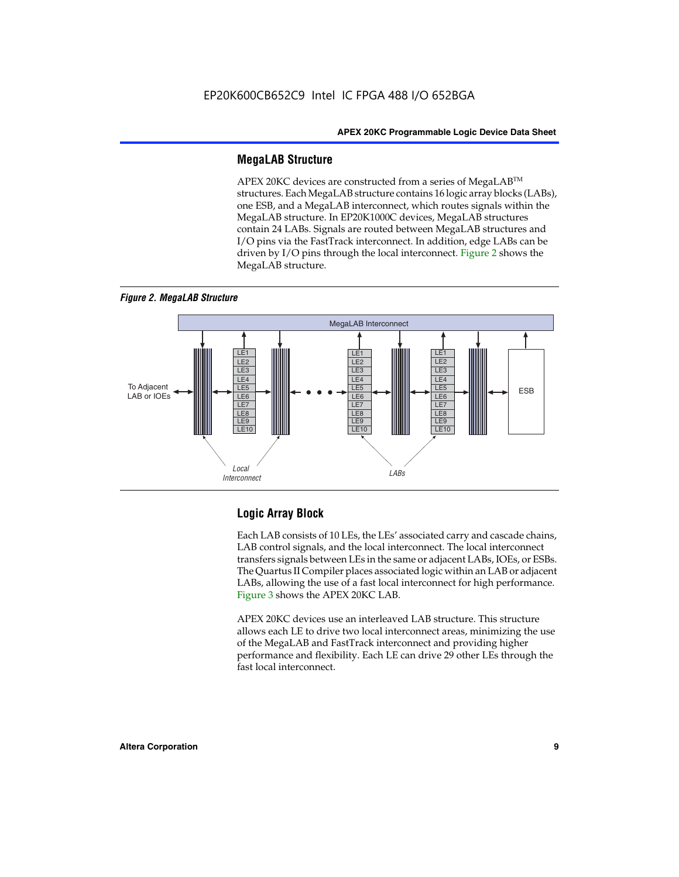#### **MegaLAB Structure**

APEX 20KC devices are constructed from a series of MegaLAB™ structures. Each MegaLAB structure contains 16 logic array blocks (LABs), one ESB, and a MegaLAB interconnect, which routes signals within the MegaLAB structure. In EP20K1000C devices, MegaLAB structures contain 24 LABs. Signals are routed between MegaLAB structures and I/O pins via the FastTrack interconnect. In addition, edge LABs can be driven by I/O pins through the local interconnect. Figure 2 shows the MegaLAB structure.





#### **Logic Array Block**

Each LAB consists of 10 LEs, the LEs' associated carry and cascade chains, LAB control signals, and the local interconnect. The local interconnect transfers signals between LEs in the same or adjacent LABs, IOEs, or ESBs. The Quartus II Compiler places associated logic within an LAB or adjacent LABs, allowing the use of a fast local interconnect for high performance. Figure 3 shows the APEX 20KC LAB.

APEX 20KC devices use an interleaved LAB structure. This structure allows each LE to drive two local interconnect areas, minimizing the use of the MegaLAB and FastTrack interconnect and providing higher performance and flexibility. Each LE can drive 29 other LEs through the fast local interconnect.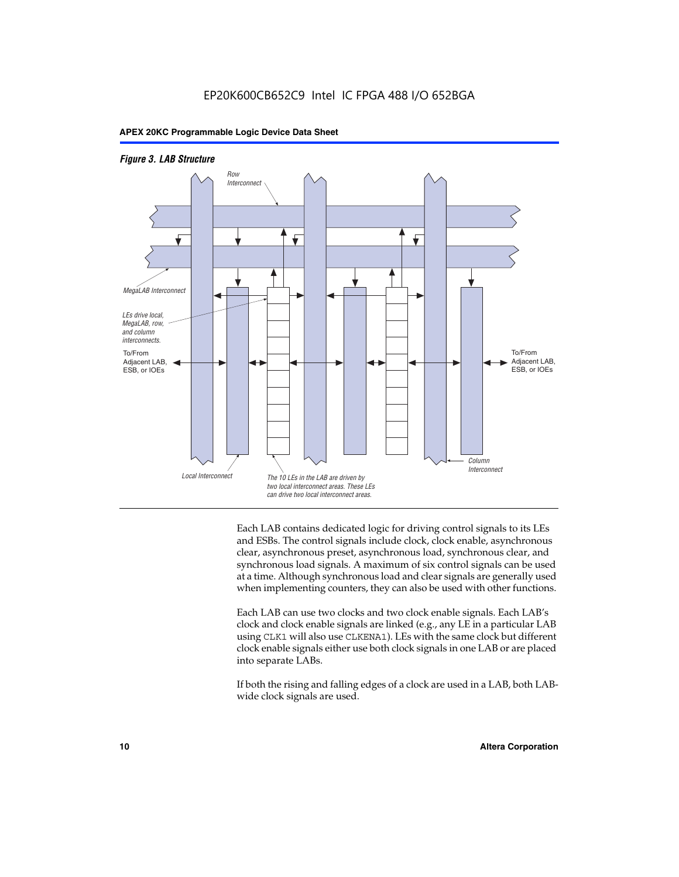



Each LAB contains dedicated logic for driving control signals to its LEs and ESBs. The control signals include clock, clock enable, asynchronous clear, asynchronous preset, asynchronous load, synchronous clear, and synchronous load signals. A maximum of six control signals can be used at a time. Although synchronous load and clear signals are generally used when implementing counters, they can also be used with other functions.

Each LAB can use two clocks and two clock enable signals. Each LAB's clock and clock enable signals are linked (e.g., any LE in a particular LAB using CLK1 will also use CLKENA1). LEs with the same clock but different clock enable signals either use both clock signals in one LAB or are placed into separate LABs.

If both the rising and falling edges of a clock are used in a LAB, both LABwide clock signals are used.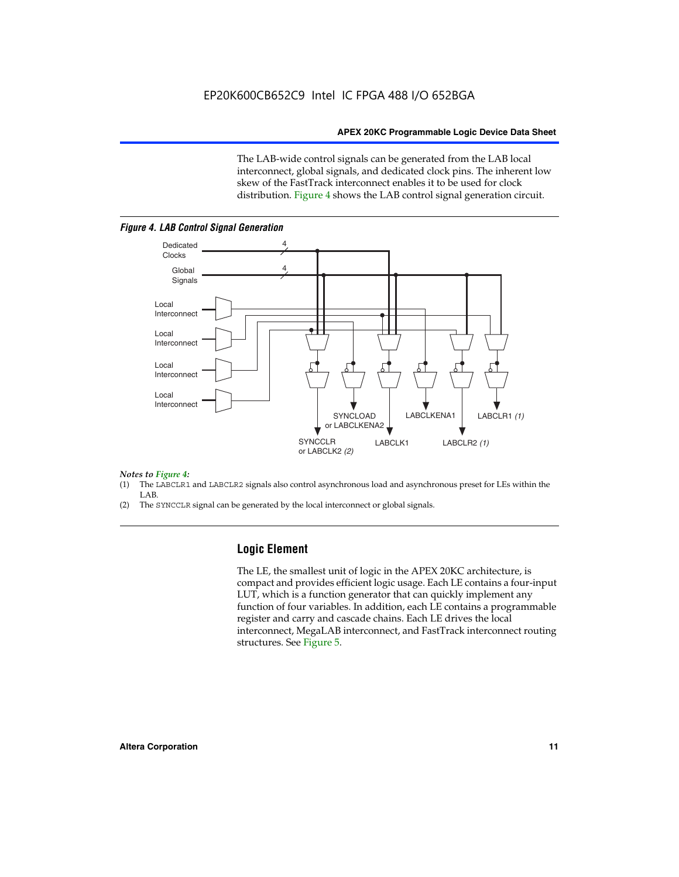The LAB-wide control signals can be generated from the LAB local interconnect, global signals, and dedicated clock pins. The inherent low skew of the FastTrack interconnect enables it to be used for clock distribution. Figure 4 shows the LAB control signal generation circuit.



#### *Figure 4. LAB Control Signal Generation*

#### *Notes to Figure 4:*

- (1) The LABCLR1 and LABCLR2 signals also control asynchronous load and asynchronous preset for LEs within the LAB.
- (2) The SYNCCLR signal can be generated by the local interconnect or global signals.

#### **Logic Element**

The LE, the smallest unit of logic in the APEX 20KC architecture, is compact and provides efficient logic usage. Each LE contains a four-input LUT, which is a function generator that can quickly implement any function of four variables. In addition, each LE contains a programmable register and carry and cascade chains. Each LE drives the local interconnect, MegaLAB interconnect, and FastTrack interconnect routing structures. See Figure 5.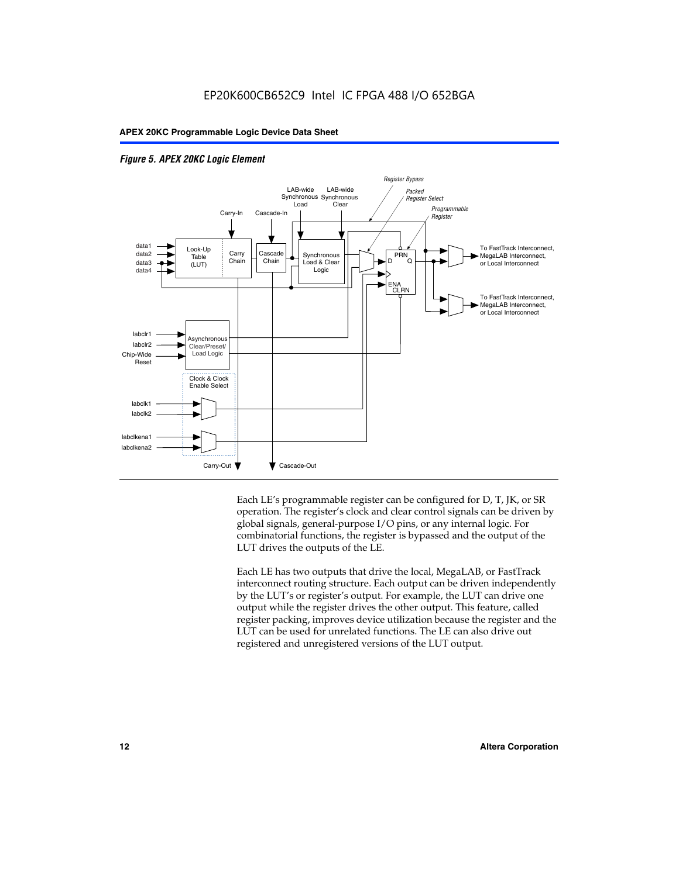



Each LE's programmable register can be configured for D, T, JK, or SR operation. The register's clock and clear control signals can be driven by global signals, general-purpose I/O pins, or any internal logic. For combinatorial functions, the register is bypassed and the output of the LUT drives the outputs of the LE.

Each LE has two outputs that drive the local, MegaLAB, or FastTrack interconnect routing structure. Each output can be driven independently by the LUT's or register's output. For example, the LUT can drive one output while the register drives the other output. This feature, called register packing, improves device utilization because the register and the LUT can be used for unrelated functions. The LE can also drive out registered and unregistered versions of the LUT output.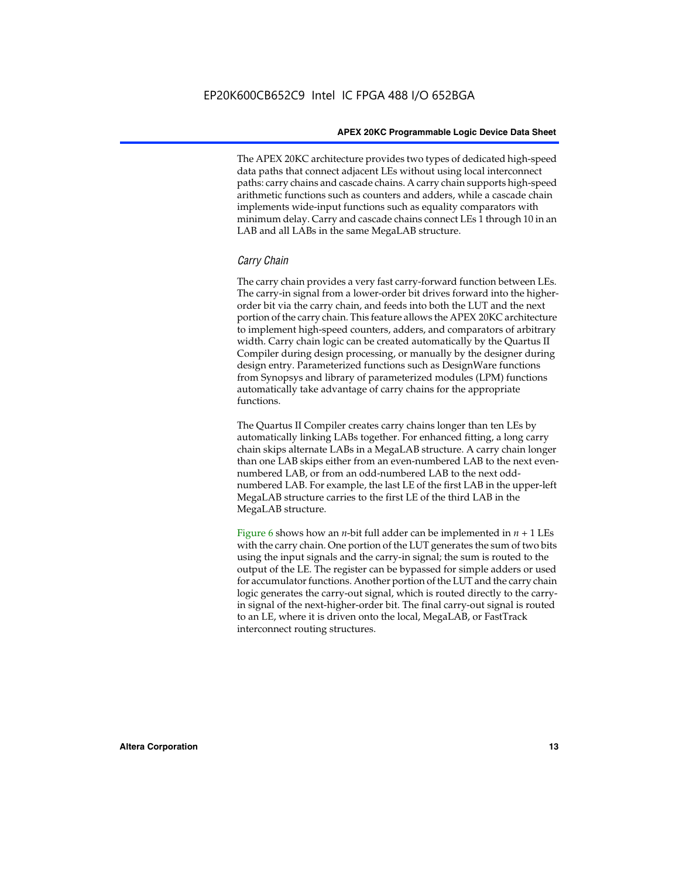The APEX 20KC architecture provides two types of dedicated high-speed data paths that connect adjacent LEs without using local interconnect paths: carry chains and cascade chains. A carry chain supports high-speed arithmetic functions such as counters and adders, while a cascade chain implements wide-input functions such as equality comparators with minimum delay. Carry and cascade chains connect LEs 1 through 10 in an LAB and all LABs in the same MegaLAB structure.

#### *Carry Chain*

The carry chain provides a very fast carry-forward function between LEs. The carry-in signal from a lower-order bit drives forward into the higherorder bit via the carry chain, and feeds into both the LUT and the next portion of the carry chain. This feature allows the APEX 20KC architecture to implement high-speed counters, adders, and comparators of arbitrary width. Carry chain logic can be created automatically by the Quartus II Compiler during design processing, or manually by the designer during design entry. Parameterized functions such as DesignWare functions from Synopsys and library of parameterized modules (LPM) functions automatically take advantage of carry chains for the appropriate functions.

The Quartus II Compiler creates carry chains longer than ten LEs by automatically linking LABs together. For enhanced fitting, a long carry chain skips alternate LABs in a MegaLAB structure. A carry chain longer than one LAB skips either from an even-numbered LAB to the next evennumbered LAB, or from an odd-numbered LAB to the next oddnumbered LAB. For example, the last LE of the first LAB in the upper-left MegaLAB structure carries to the first LE of the third LAB in the MegaLAB structure.

Figure 6 shows how an *n*-bit full adder can be implemented in  $n + 1$  LEs with the carry chain. One portion of the LUT generates the sum of two bits using the input signals and the carry-in signal; the sum is routed to the output of the LE. The register can be bypassed for simple adders or used for accumulator functions. Another portion of the LUT and the carry chain logic generates the carry-out signal, which is routed directly to the carryin signal of the next-higher-order bit. The final carry-out signal is routed to an LE, where it is driven onto the local, MegaLAB, or FastTrack interconnect routing structures.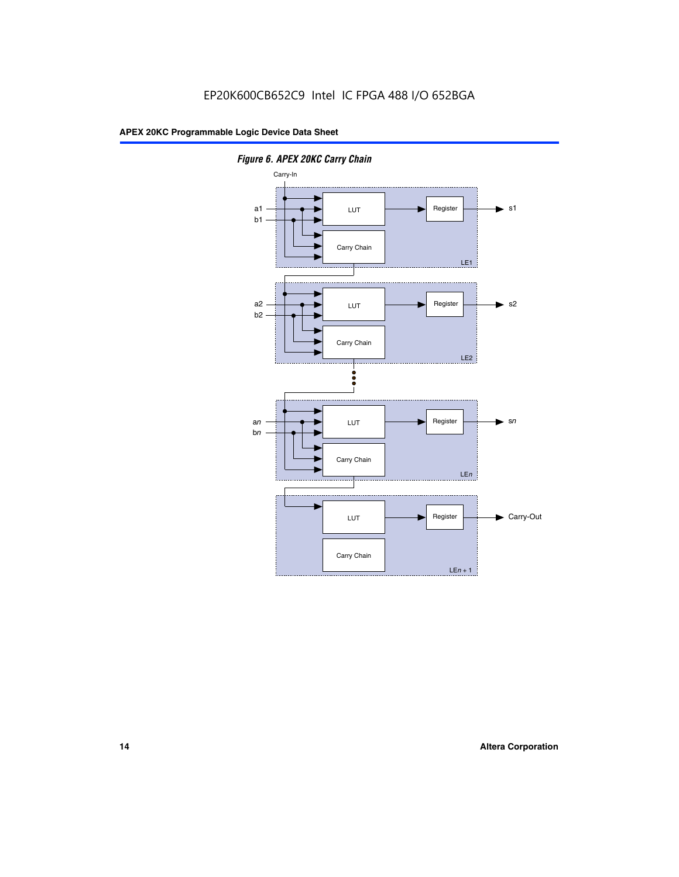

*Figure 6. APEX 20KC Carry Chain*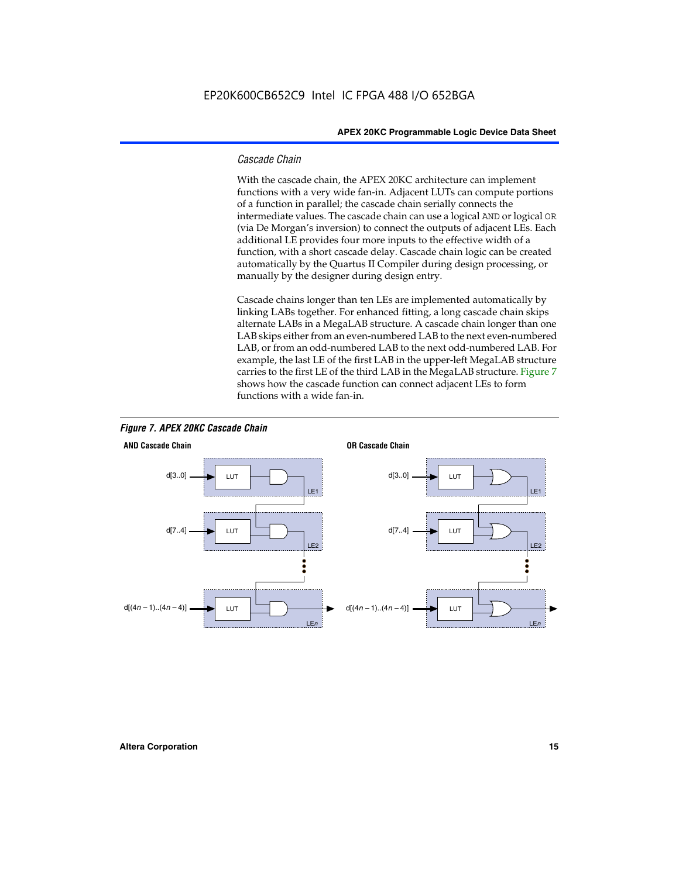#### *Cascade Chain*

With the cascade chain, the APEX 20KC architecture can implement functions with a very wide fan-in. Adjacent LUTs can compute portions of a function in parallel; the cascade chain serially connects the intermediate values. The cascade chain can use a logical AND or logical OR (via De Morgan's inversion) to connect the outputs of adjacent LEs. Each additional LE provides four more inputs to the effective width of a function, with a short cascade delay. Cascade chain logic can be created automatically by the Quartus II Compiler during design processing, or manually by the designer during design entry.

Cascade chains longer than ten LEs are implemented automatically by linking LABs together. For enhanced fitting, a long cascade chain skips alternate LABs in a MegaLAB structure. A cascade chain longer than one LAB skips either from an even-numbered LAB to the next even-numbered LAB, or from an odd-numbered LAB to the next odd-numbered LAB. For example, the last LE of the first LAB in the upper-left MegaLAB structure carries to the first LE of the third LAB in the MegaLAB structure. Figure 7 shows how the cascade function can connect adjacent LEs to form functions with a wide fan-in.



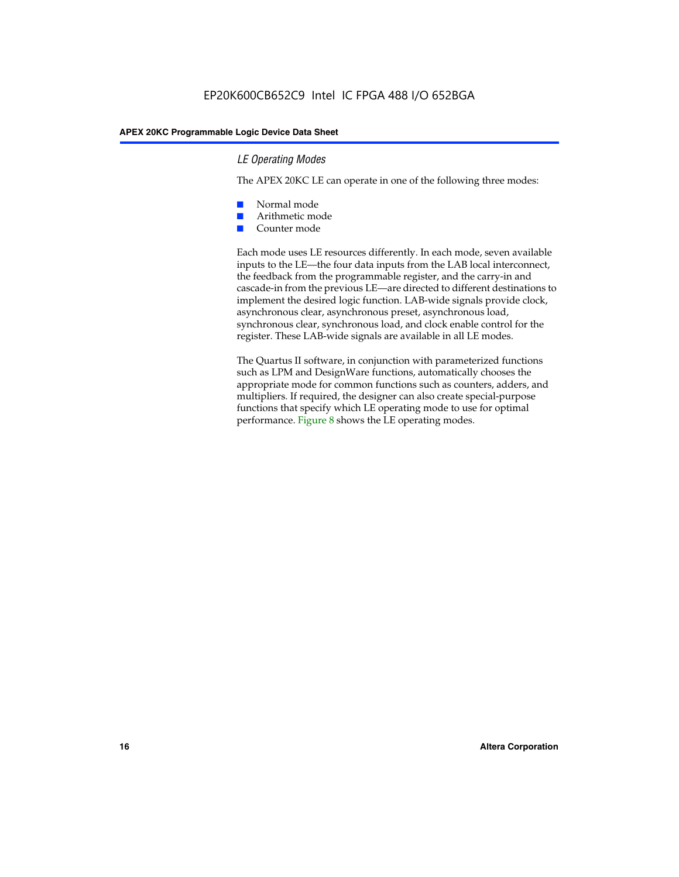#### *LE Operating Modes*

The APEX 20KC LE can operate in one of the following three modes:

- Normal mode
- Arithmetic mode
- Counter mode

Each mode uses LE resources differently. In each mode, seven available inputs to the LE—the four data inputs from the LAB local interconnect, the feedback from the programmable register, and the carry-in and cascade-in from the previous LE—are directed to different destinations to implement the desired logic function. LAB-wide signals provide clock, asynchronous clear, asynchronous preset, asynchronous load, synchronous clear, synchronous load, and clock enable control for the register. These LAB-wide signals are available in all LE modes.

The Quartus II software, in conjunction with parameterized functions such as LPM and DesignWare functions, automatically chooses the appropriate mode for common functions such as counters, adders, and multipliers. If required, the designer can also create special-purpose functions that specify which LE operating mode to use for optimal performance. Figure 8 shows the LE operating modes.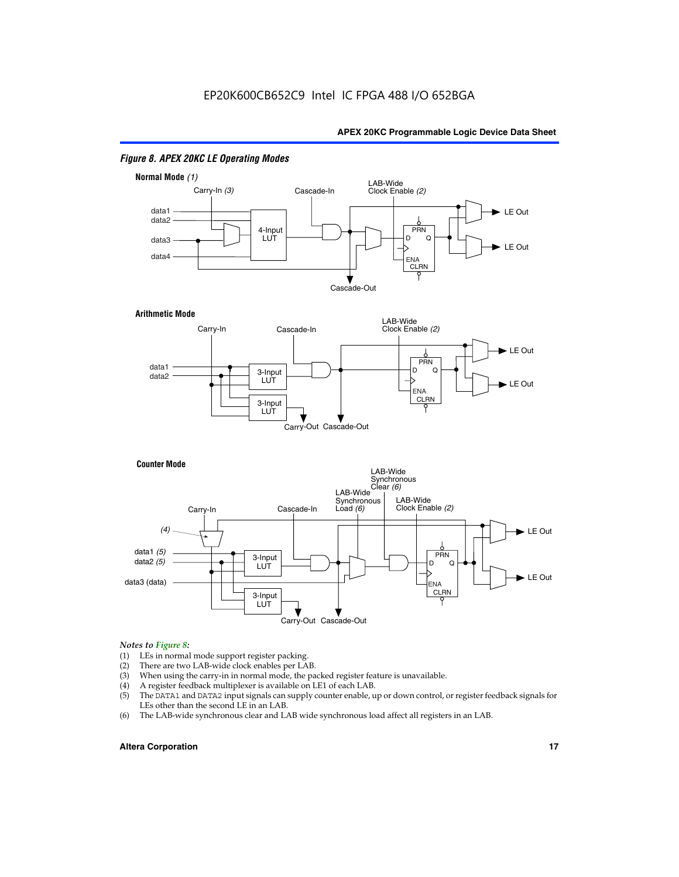

#### *Figure 8. APEX 20KC LE Operating Modes*

## *Notes to Figure 8:*

- (1) LEs in normal mode support register packing.<br>(2) There are two LAB-wide clock enables per LA
- (2) There are two LAB-wide clock enables per LAB.<br>(3) When using the carry-in in normal mode, the pa
- When using the carry-in in normal mode, the packed register feature is unavailable.
- (4) A register feedback multiplexer is available on LE1 of each LAB.
- (5) The DATA1 and DATA2 input signals can supply counter enable, up or down control, or register feedback signals for LEs other than the second LE in an LAB.
- (6) The LAB-wide synchronous clear and LAB wide synchronous load affect all registers in an LAB.

#### **Altera Corporation 17 17**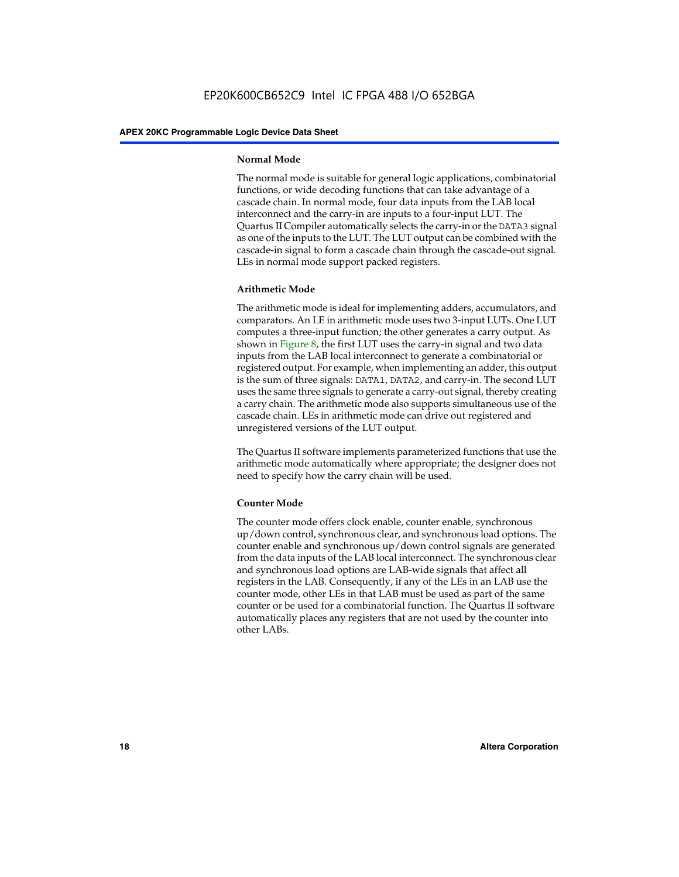#### **Normal Mode**

The normal mode is suitable for general logic applications, combinatorial functions, or wide decoding functions that can take advantage of a cascade chain. In normal mode, four data inputs from the LAB local interconnect and the carry-in are inputs to a four-input LUT. The Quartus II Compiler automatically selects the carry-in or the DATA3 signal as one of the inputs to the LUT. The LUT output can be combined with the cascade-in signal to form a cascade chain through the cascade-out signal. LEs in normal mode support packed registers.

#### **Arithmetic Mode**

The arithmetic mode is ideal for implementing adders, accumulators, and comparators. An LE in arithmetic mode uses two 3-input LUTs. One LUT computes a three-input function; the other generates a carry output. As shown in Figure 8, the first LUT uses the carry-in signal and two data inputs from the LAB local interconnect to generate a combinatorial or registered output. For example, when implementing an adder, this output is the sum of three signals: DATA1, DATA2, and carry-in. The second LUT uses the same three signals to generate a carry-out signal, thereby creating a carry chain. The arithmetic mode also supports simultaneous use of the cascade chain. LEs in arithmetic mode can drive out registered and unregistered versions of the LUT output.

The Quartus II software implements parameterized functions that use the arithmetic mode automatically where appropriate; the designer does not need to specify how the carry chain will be used.

#### **Counter Mode**

The counter mode offers clock enable, counter enable, synchronous up/down control, synchronous clear, and synchronous load options. The counter enable and synchronous up/down control signals are generated from the data inputs of the LAB local interconnect. The synchronous clear and synchronous load options are LAB-wide signals that affect all registers in the LAB. Consequently, if any of the LEs in an LAB use the counter mode, other LEs in that LAB must be used as part of the same counter or be used for a combinatorial function. The Quartus II software automatically places any registers that are not used by the counter into other LABs.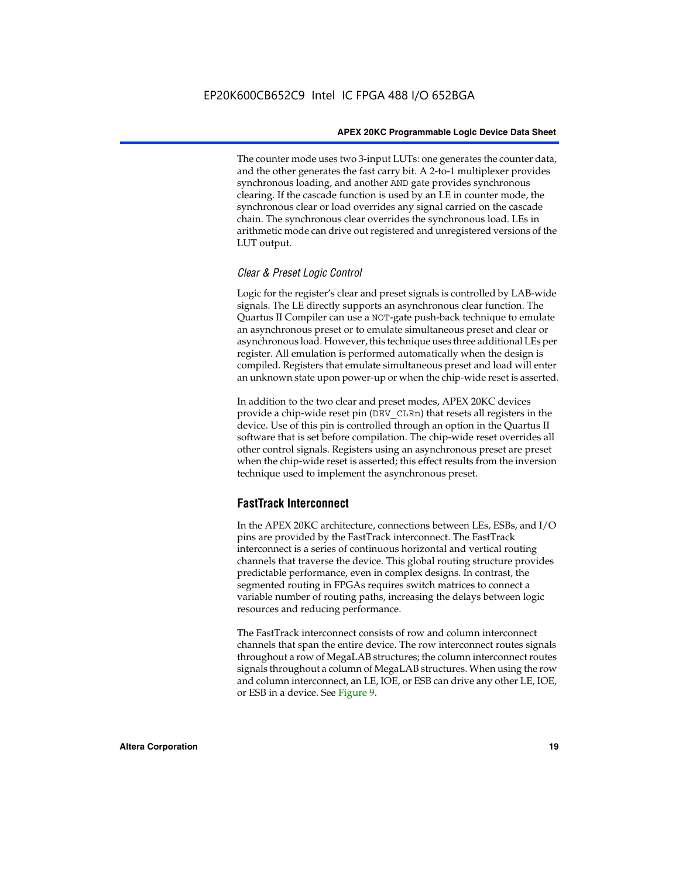The counter mode uses two 3-input LUTs: one generates the counter data, and the other generates the fast carry bit. A 2-to-1 multiplexer provides synchronous loading, and another AND gate provides synchronous clearing. If the cascade function is used by an LE in counter mode, the synchronous clear or load overrides any signal carried on the cascade chain. The synchronous clear overrides the synchronous load. LEs in arithmetic mode can drive out registered and unregistered versions of the LUT output.

#### *Clear & Preset Logic Control*

Logic for the register's clear and preset signals is controlled by LAB-wide signals. The LE directly supports an asynchronous clear function. The Quartus II Compiler can use a NOT-gate push-back technique to emulate an asynchronous preset or to emulate simultaneous preset and clear or asynchronous load. However, this technique uses three additional LEs per register. All emulation is performed automatically when the design is compiled. Registers that emulate simultaneous preset and load will enter an unknown state upon power-up or when the chip-wide reset is asserted.

In addition to the two clear and preset modes, APEX 20KC devices provide a chip-wide reset pin (DEV\_CLRn) that resets all registers in the device. Use of this pin is controlled through an option in the Quartus II software that is set before compilation. The chip-wide reset overrides all other control signals. Registers using an asynchronous preset are preset when the chip-wide reset is asserted; this effect results from the inversion technique used to implement the asynchronous preset.

#### **FastTrack Interconnect**

In the APEX 20KC architecture, connections between LEs, ESBs, and I/O pins are provided by the FastTrack interconnect. The FastTrack interconnect is a series of continuous horizontal and vertical routing channels that traverse the device. This global routing structure provides predictable performance, even in complex designs. In contrast, the segmented routing in FPGAs requires switch matrices to connect a variable number of routing paths, increasing the delays between logic resources and reducing performance.

The FastTrack interconnect consists of row and column interconnect channels that span the entire device. The row interconnect routes signals throughout a row of MegaLAB structures; the column interconnect routes signals throughout a column of MegaLAB structures. When using the row and column interconnect, an LE, IOE, or ESB can drive any other LE, IOE, or ESB in a device. See Figure 9.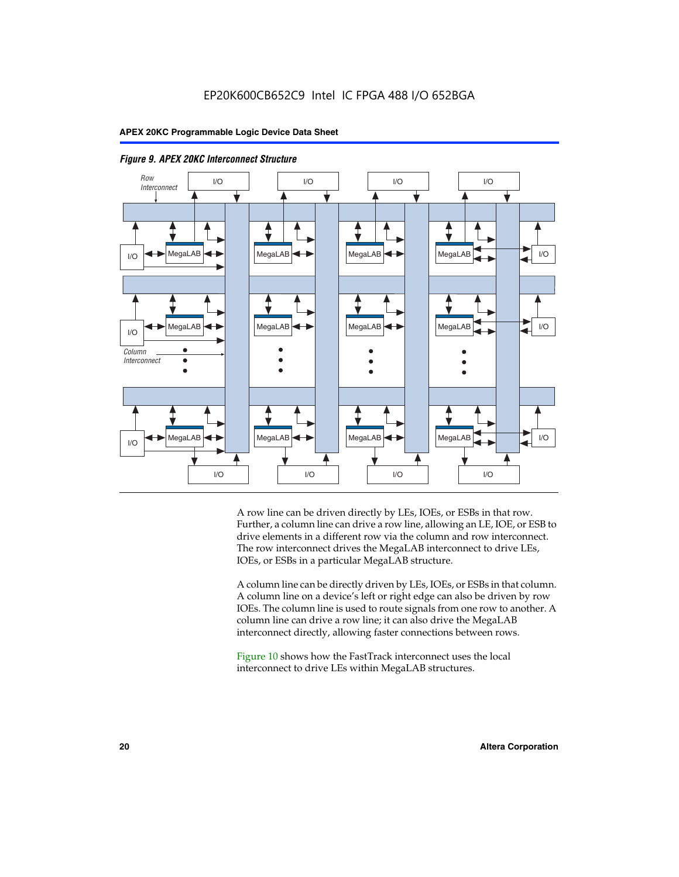



A row line can be driven directly by LEs, IOEs, or ESBs in that row. Further, a column line can drive a row line, allowing an LE, IOE, or ESB to drive elements in a different row via the column and row interconnect. The row interconnect drives the MegaLAB interconnect to drive LEs, IOEs, or ESBs in a particular MegaLAB structure.

A column line can be directly driven by LEs, IOEs, or ESBs in that column. A column line on a device's left or right edge can also be driven by row IOEs. The column line is used to route signals from one row to another. A column line can drive a row line; it can also drive the MegaLAB interconnect directly, allowing faster connections between rows.

Figure 10 shows how the FastTrack interconnect uses the local interconnect to drive LEs within MegaLAB structures.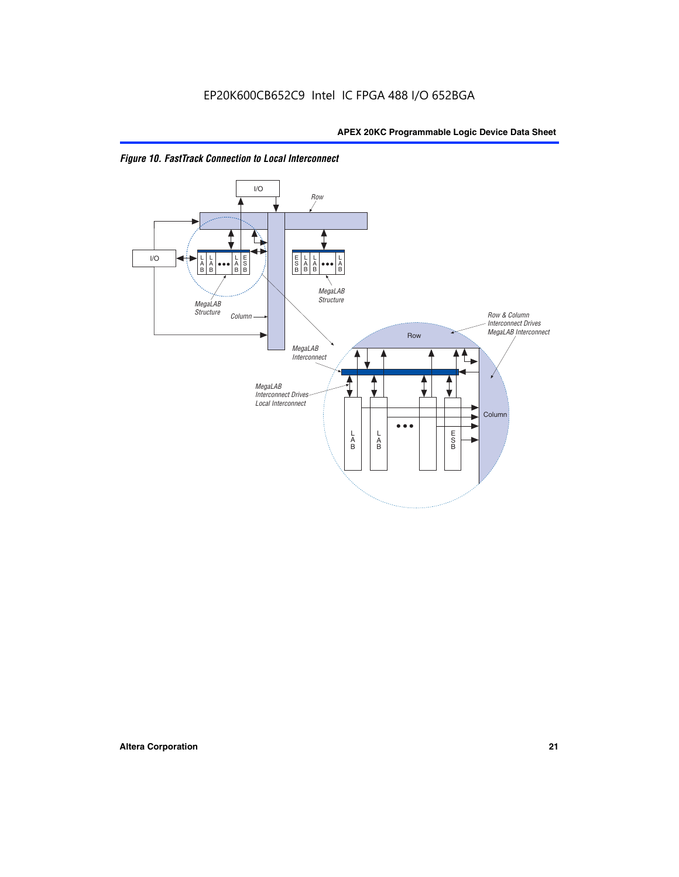

*Figure 10. FastTrack Connection to Local Interconnect*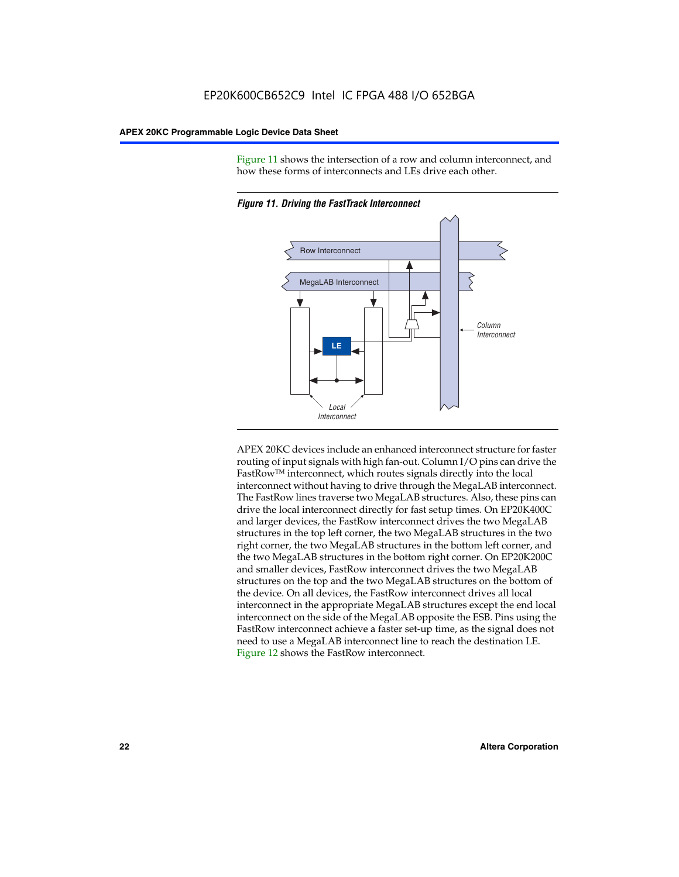Figure 11 shows the intersection of a row and column interconnect, and how these forms of interconnects and LEs drive each other.



*Figure 11. Driving the FastTrack Interconnect*

APEX 20KC devices include an enhanced interconnect structure for faster routing of input signals with high fan-out. Column I/O pins can drive the FastRowTM interconnect, which routes signals directly into the local interconnect without having to drive through the MegaLAB interconnect. The FastRow lines traverse two MegaLAB structures. Also, these pins can drive the local interconnect directly for fast setup times. On EP20K400C and larger devices, the FastRow interconnect drives the two MegaLAB structures in the top left corner, the two MegaLAB structures in the two right corner, the two MegaLAB structures in the bottom left corner, and the two MegaLAB structures in the bottom right corner. On EP20K200C and smaller devices, FastRow interconnect drives the two MegaLAB structures on the top and the two MegaLAB structures on the bottom of the device. On all devices, the FastRow interconnect drives all local interconnect in the appropriate MegaLAB structures except the end local interconnect on the side of the MegaLAB opposite the ESB. Pins using the FastRow interconnect achieve a faster set-up time, as the signal does not need to use a MegaLAB interconnect line to reach the destination LE. Figure 12 shows the FastRow interconnect.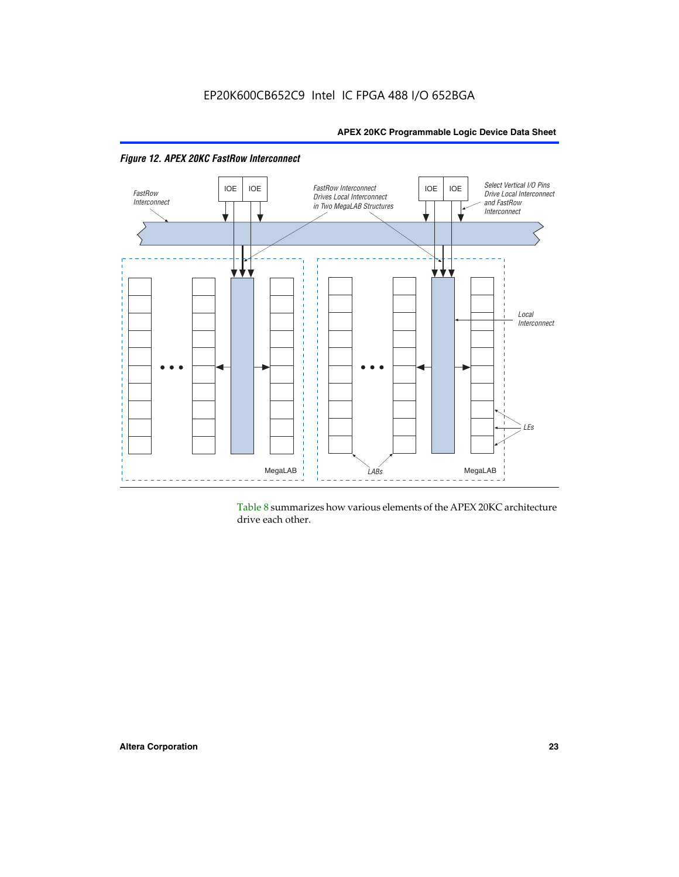

*Figure 12. APEX 20KC FastRow Interconnect*

Table 8 summarizes how various elements of the APEX 20KC architecture drive each other.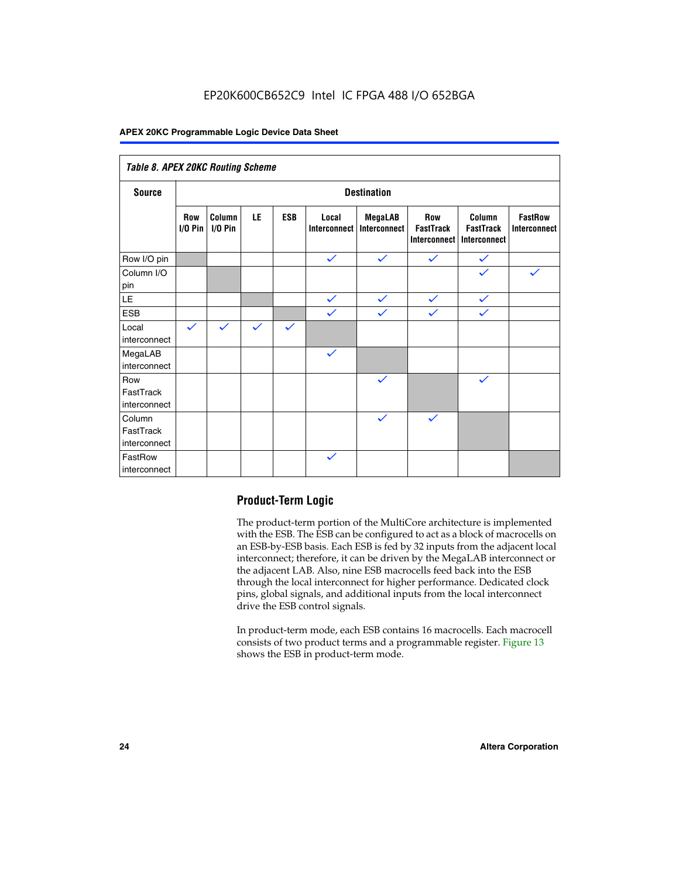### EP20K600CB652C9 Intel IC FPGA 488 I/O 652BGA

#### **APEX 20KC Programmable Logic Device Data Sheet**

| Table 8. APEX 20KC Routing Scheme   |                          |                     |              |              |                       |                         |                                                |                                            |                                       |
|-------------------------------------|--------------------------|---------------------|--------------|--------------|-----------------------|-------------------------|------------------------------------------------|--------------------------------------------|---------------------------------------|
| <b>Source</b>                       | <b>Destination</b>       |                     |              |              |                       |                         |                                                |                                            |                                       |
|                                     | <b>Row</b><br>$I/O P$ in | Column<br>$I/O$ Pin | LE           | <b>ESB</b>   | Local<br>Interconnect | MegaLAB<br>Interconnect | <b>Row</b><br><b>FastTrack</b><br>Interconnect | Column<br><b>FastTrack</b><br>Interconnect | <b>FastRow</b><br><b>Interconnect</b> |
| Row I/O pin                         |                          |                     |              |              | $\checkmark$          | $\checkmark$            | $\checkmark$                                   | $\checkmark$                               |                                       |
| Column I/O<br>pin                   |                          |                     |              |              |                       |                         |                                                | $\checkmark$                               | $\checkmark$                          |
| $\mathsf{LE}\,$                     |                          |                     |              |              | $\checkmark$          | $\checkmark$            | $\checkmark$                                   | $\checkmark$                               |                                       |
| <b>ESB</b>                          |                          |                     |              |              | $\checkmark$          | $\checkmark$            | $\checkmark$                                   | $\checkmark$                               |                                       |
| Local<br>interconnect               | $\checkmark$             | $\checkmark$        | $\checkmark$ | $\checkmark$ |                       |                         |                                                |                                            |                                       |
| MegaLAB<br>interconnect             |                          |                     |              |              | $\checkmark$          |                         |                                                |                                            |                                       |
| Row<br>FastTrack<br>interconnect    |                          |                     |              |              |                       | $\checkmark$            |                                                | $\checkmark$                               |                                       |
| Column<br>FastTrack<br>interconnect |                          |                     |              |              |                       | $\checkmark$            | $\checkmark$                                   |                                            |                                       |
| FastRow<br>interconnect             |                          |                     |              |              | $\checkmark$          |                         |                                                |                                            |                                       |

#### **Product-Term Logic**

The product-term portion of the MultiCore architecture is implemented with the ESB. The ESB can be configured to act as a block of macrocells on an ESB-by-ESB basis. Each ESB is fed by 32 inputs from the adjacent local interconnect; therefore, it can be driven by the MegaLAB interconnect or the adjacent LAB. Also, nine ESB macrocells feed back into the ESB through the local interconnect for higher performance. Dedicated clock pins, global signals, and additional inputs from the local interconnect drive the ESB control signals.

In product-term mode, each ESB contains 16 macrocells. Each macrocell consists of two product terms and a programmable register. Figure 13 shows the ESB in product-term mode.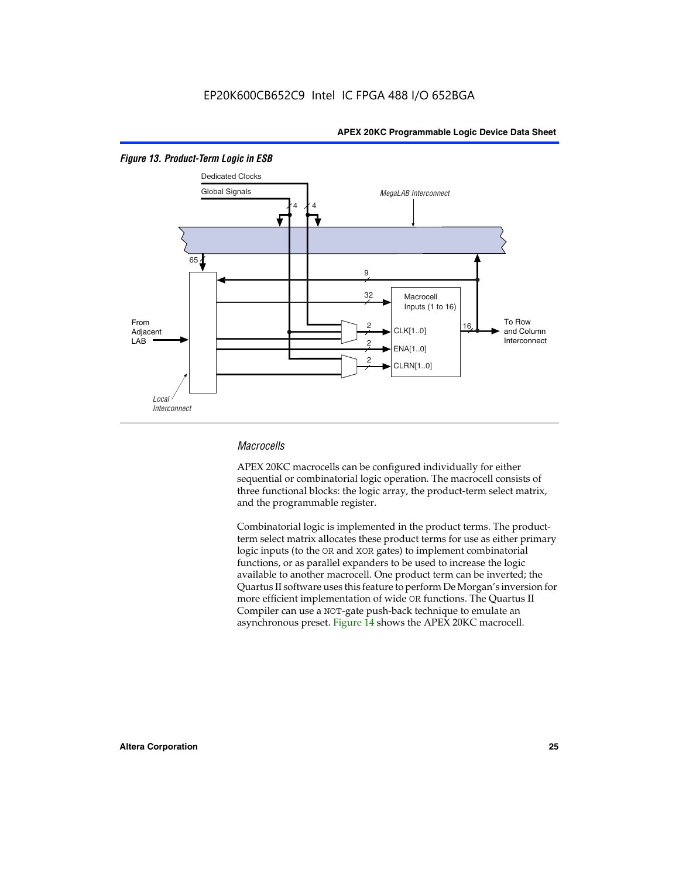

#### *Figure 13. Product-Term Logic in ESB*

#### *Macrocells*

APEX 20KC macrocells can be configured individually for either sequential or combinatorial logic operation. The macrocell consists of three functional blocks: the logic array, the product-term select matrix, and the programmable register.

Combinatorial logic is implemented in the product terms. The productterm select matrix allocates these product terms for use as either primary logic inputs (to the OR and XOR gates) to implement combinatorial functions, or as parallel expanders to be used to increase the logic available to another macrocell. One product term can be inverted; the Quartus II software uses this feature to perform De Morgan's inversion for more efficient implementation of wide OR functions. The Quartus II Compiler can use a NOT-gate push-back technique to emulate an asynchronous preset. Figure 14 shows the APEX 20KC macrocell.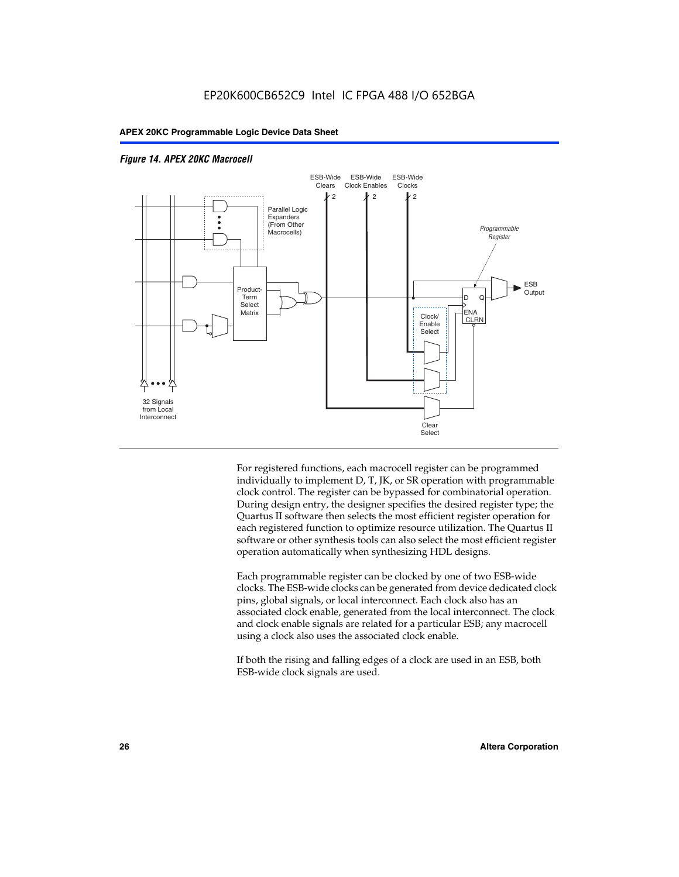

#### *Figure 14. APEX 20KC Macrocell*

For registered functions, each macrocell register can be programmed individually to implement D, T, JK, or SR operation with programmable clock control. The register can be bypassed for combinatorial operation. During design entry, the designer specifies the desired register type; the Quartus II software then selects the most efficient register operation for each registered function to optimize resource utilization. The Quartus II software or other synthesis tools can also select the most efficient register operation automatically when synthesizing HDL designs.

Each programmable register can be clocked by one of two ESB-wide clocks. The ESB-wide clocks can be generated from device dedicated clock pins, global signals, or local interconnect. Each clock also has an associated clock enable, generated from the local interconnect. The clock and clock enable signals are related for a particular ESB; any macrocell using a clock also uses the associated clock enable.

If both the rising and falling edges of a clock are used in an ESB, both ESB-wide clock signals are used.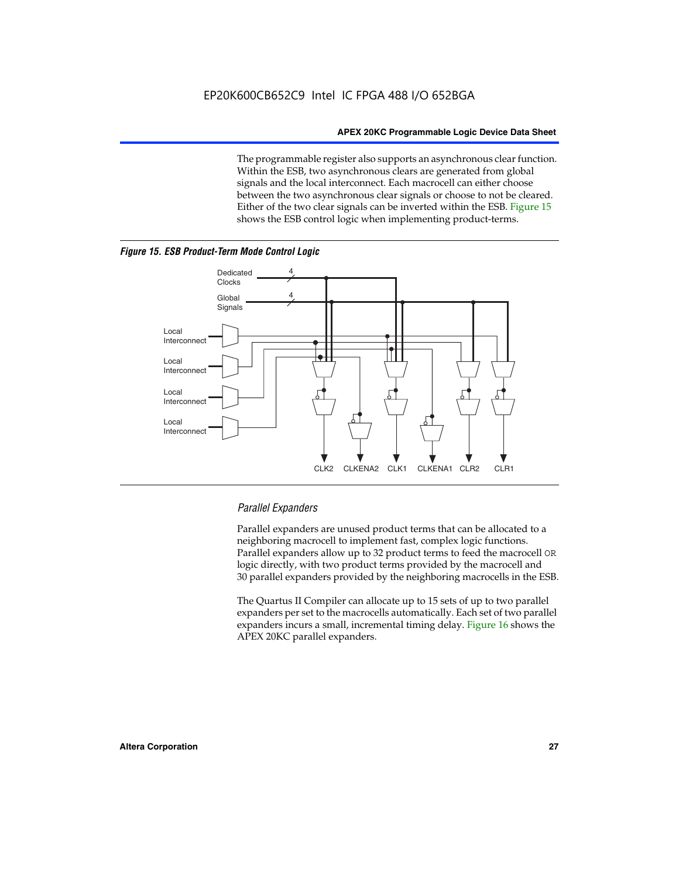The programmable register also supports an asynchronous clear function. Within the ESB, two asynchronous clears are generated from global signals and the local interconnect. Each macrocell can either choose between the two asynchronous clear signals or choose to not be cleared. Either of the two clear signals can be inverted within the ESB. Figure 15 shows the ESB control logic when implementing product-terms.





#### *Parallel Expanders*

Parallel expanders are unused product terms that can be allocated to a neighboring macrocell to implement fast, complex logic functions. Parallel expanders allow up to 32 product terms to feed the macrocell OR logic directly, with two product terms provided by the macrocell and 30 parallel expanders provided by the neighboring macrocells in the ESB.

The Quartus II Compiler can allocate up to 15 sets of up to two parallel expanders per set to the macrocells automatically. Each set of two parallel expanders incurs a small, incremental timing delay. Figure 16 shows the APEX 20KC parallel expanders.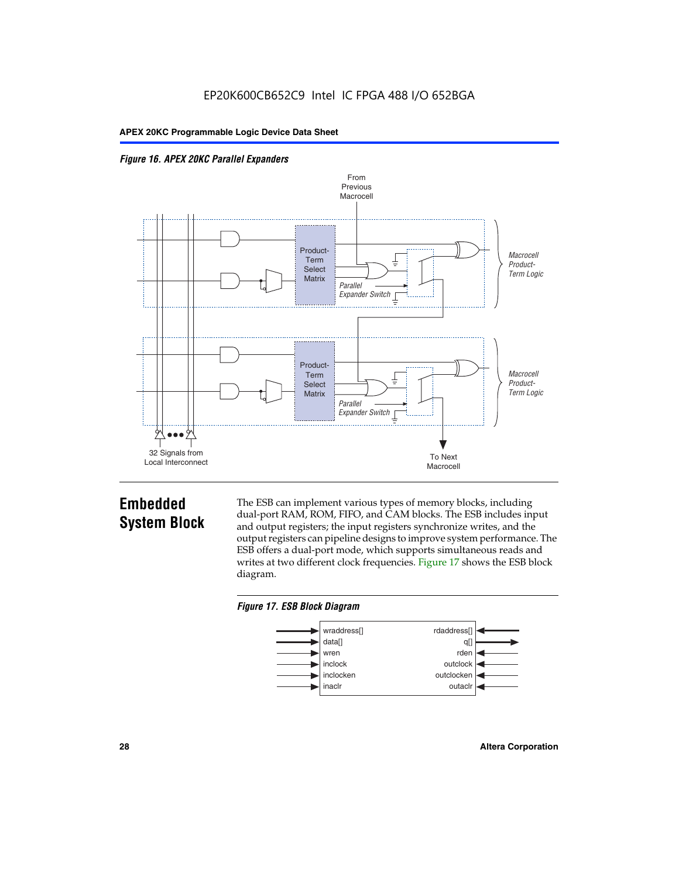



### **Embedded System Block**

The ESB can implement various types of memory blocks, including dual-port RAM, ROM, FIFO, and CAM blocks. The ESB includes input and output registers; the input registers synchronize writes, and the output registers can pipeline designs to improve system performance. The ESB offers a dual-port mode, which supports simultaneous reads and writes at two different clock frequencies. Figure 17 shows the ESB block diagram.



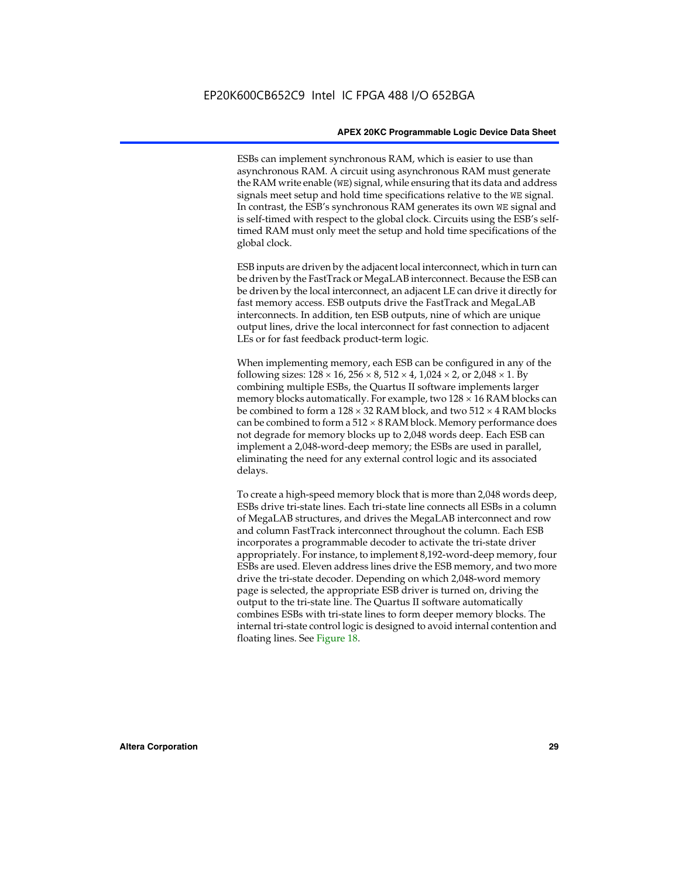ESBs can implement synchronous RAM, which is easier to use than asynchronous RAM. A circuit using asynchronous RAM must generate the RAM write enable (WE) signal, while ensuring that its data and address signals meet setup and hold time specifications relative to the WE signal. In contrast, the ESB's synchronous RAM generates its own WE signal and is self-timed with respect to the global clock. Circuits using the ESB's selftimed RAM must only meet the setup and hold time specifications of the global clock.

ESB inputs are driven by the adjacent local interconnect, which in turn can be driven by the FastTrack or MegaLAB interconnect. Because the ESB can be driven by the local interconnect, an adjacent LE can drive it directly for fast memory access. ESB outputs drive the FastTrack and MegaLAB interconnects. In addition, ten ESB outputs, nine of which are unique output lines, drive the local interconnect for fast connection to adjacent LEs or for fast feedback product-term logic.

When implementing memory, each ESB can be configured in any of the following sizes:  $128 \times 16$ ,  $256 \times 8$ ,  $512 \times 4$ ,  $1,024 \times 2$ , or  $2,048 \times 1$ . By combining multiple ESBs, the Quartus II software implements larger memory blocks automatically. For example, two  $128 \times 16$  RAM blocks can be combined to form a  $128 \times 32$  RAM block, and two  $512 \times 4$  RAM blocks can be combined to form a  $512 \times 8$  RAM block. Memory performance does not degrade for memory blocks up to 2,048 words deep. Each ESB can implement a 2,048-word-deep memory; the ESBs are used in parallel, eliminating the need for any external control logic and its associated delays.

To create a high-speed memory block that is more than 2,048 words deep, ESBs drive tri-state lines. Each tri-state line connects all ESBs in a column of MegaLAB structures, and drives the MegaLAB interconnect and row and column FastTrack interconnect throughout the column. Each ESB incorporates a programmable decoder to activate the tri-state driver appropriately. For instance, to implement 8,192-word-deep memory, four ESBs are used. Eleven address lines drive the ESB memory, and two more drive the tri-state decoder. Depending on which 2,048-word memory page is selected, the appropriate ESB driver is turned on, driving the output to the tri-state line. The Quartus II software automatically combines ESBs with tri-state lines to form deeper memory blocks. The internal tri-state control logic is designed to avoid internal contention and floating lines. See Figure 18.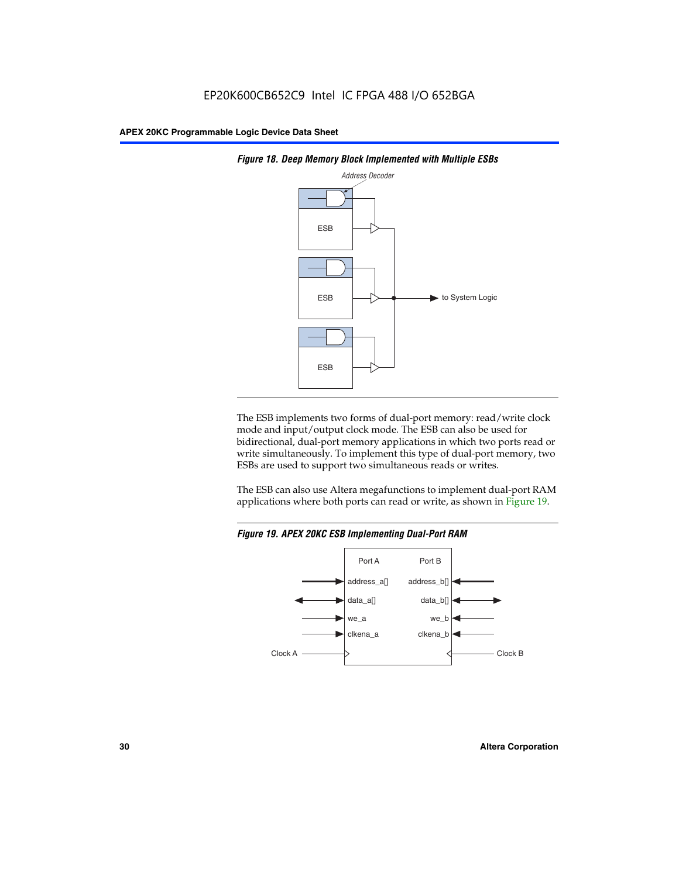



The ESB implements two forms of dual-port memory: read/write clock mode and input/output clock mode. The ESB can also be used for bidirectional, dual-port memory applications in which two ports read or write simultaneously. To implement this type of dual-port memory, two ESBs are used to support two simultaneous reads or writes.

The ESB can also use Altera megafunctions to implement dual-port RAM applications where both ports can read or write, as shown in Figure 19.



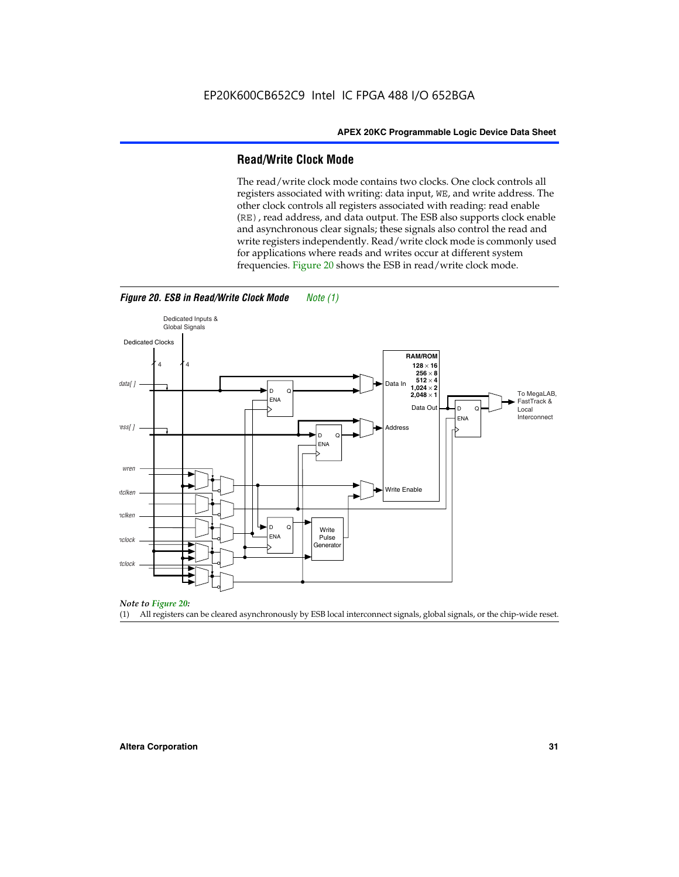#### **Read/Write Clock Mode**

The read/write clock mode contains two clocks. One clock controls all registers associated with writing: data input, WE, and write address. The other clock controls all registers associated with reading: read enable (RE), read address, and data output. The ESB also supports clock enable and asynchronous clear signals; these signals also control the read and write registers independently. Read/write clock mode is commonly used for applications where reads and writes occur at different system frequencies. Figure 20 shows the ESB in read/write clock mode.



*Figure 20. ESB in Read/Write Clock Mode Note (1)*

*Note to Figure 20:*

(1) All registers can be cleared asynchronously by ESB local interconnect signals, global signals, or the chip-wide reset.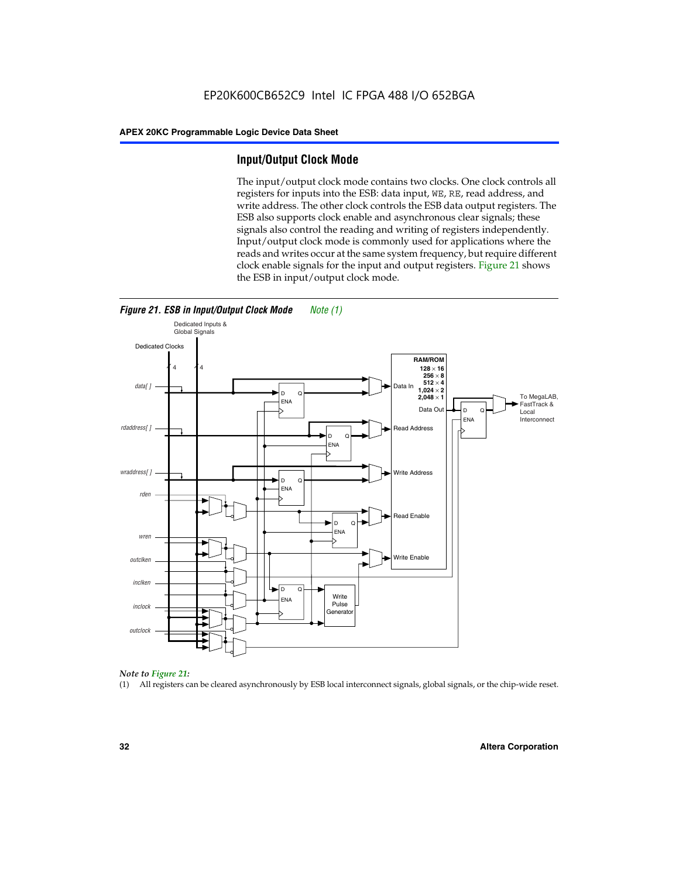#### **Input/Output Clock Mode**

The input/output clock mode contains two clocks. One clock controls all registers for inputs into the ESB: data input, WE, RE, read address, and write address. The other clock controls the ESB data output registers. The ESB also supports clock enable and asynchronous clear signals; these signals also control the reading and writing of registers independently. Input/output clock mode is commonly used for applications where the reads and writes occur at the same system frequency, but require different clock enable signals for the input and output registers. Figure 21 shows the ESB in input/output clock mode.





#### *Note to Figure 21:*

(1) All registers can be cleared asynchronously by ESB local interconnect signals, global signals, or the chip-wide reset.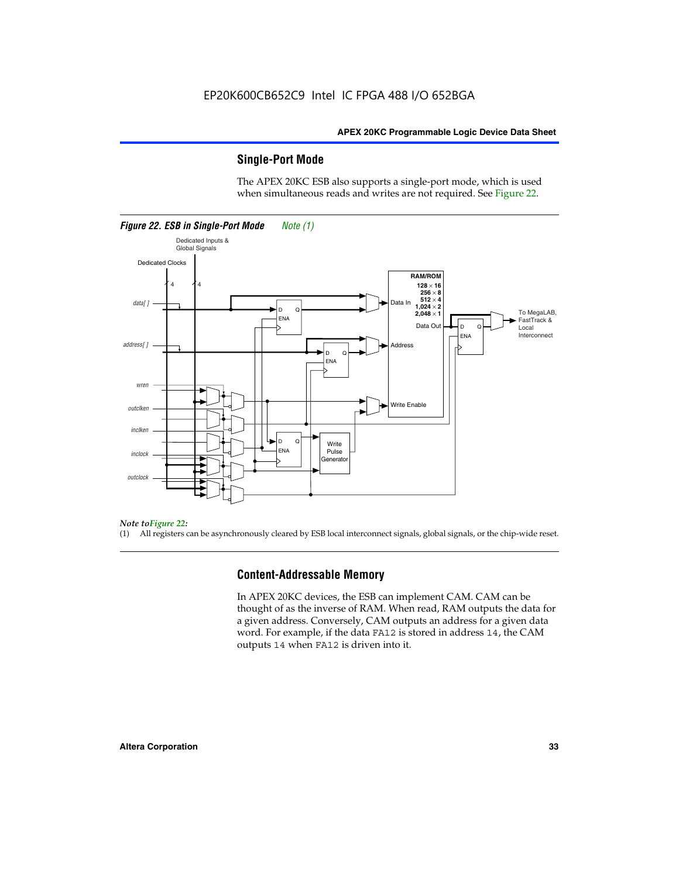#### **Single-Port Mode**

The APEX 20KC ESB also supports a single-port mode, which is used when simultaneous reads and writes are not required. See Figure 22.



#### *Note toFigure 22:*

(1) All registers can be asynchronously cleared by ESB local interconnect signals, global signals, or the chip-wide reset.

#### **Content-Addressable Memory**

In APEX 20KC devices, the ESB can implement CAM. CAM can be thought of as the inverse of RAM. When read, RAM outputs the data for a given address. Conversely, CAM outputs an address for a given data word. For example, if the data FA12 is stored in address 14, the CAM outputs 14 when FA12 is driven into it.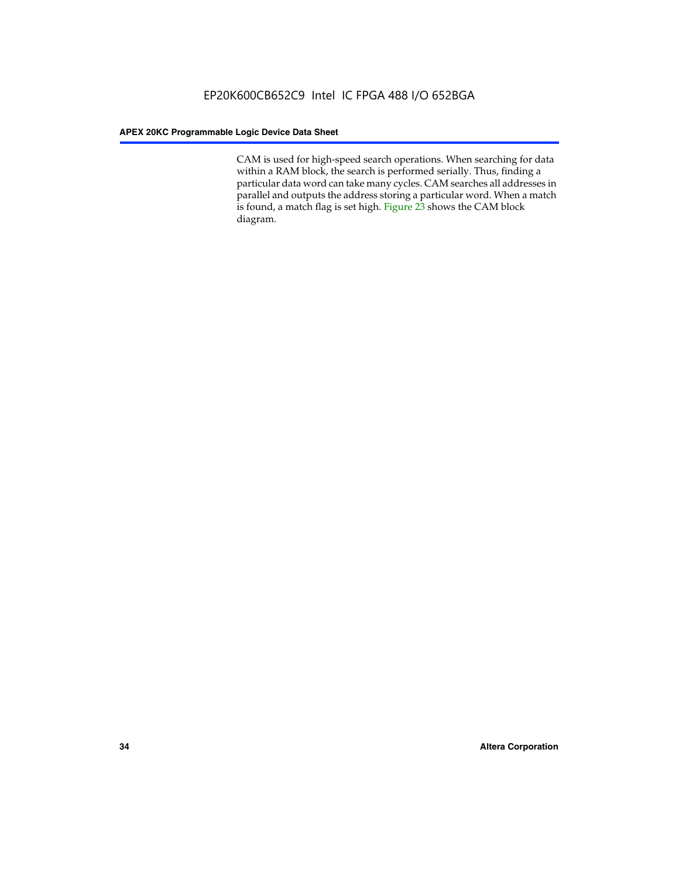CAM is used for high-speed search operations. When searching for data within a RAM block, the search is performed serially. Thus, finding a particular data word can take many cycles. CAM searches all addresses in parallel and outputs the address storing a particular word. When a match is found, a match flag is set high. Figure 23 shows the CAM block diagram.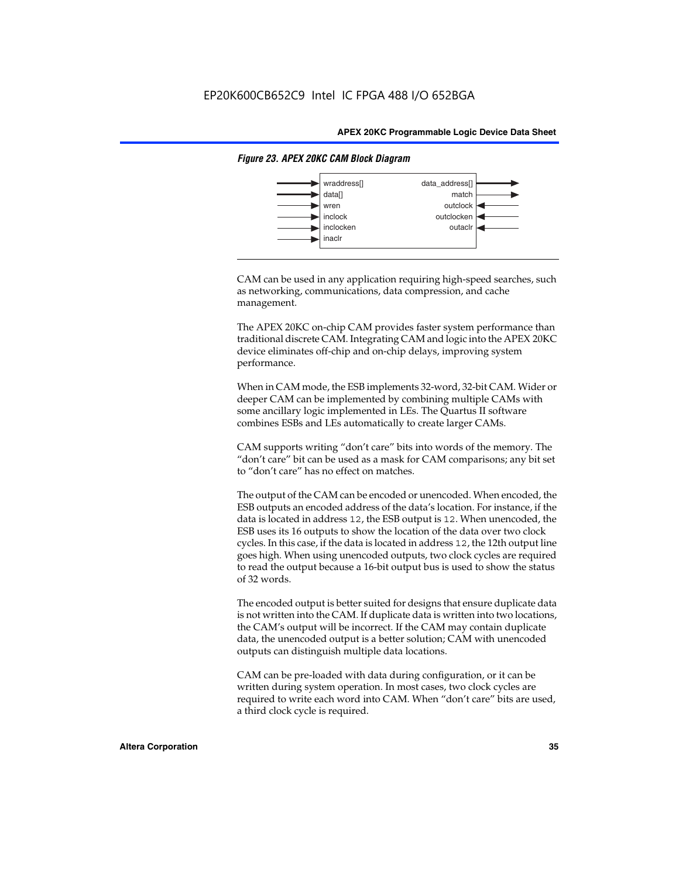

#### *Figure 23. APEX 20KC CAM Block Diagram*

CAM can be used in any application requiring high-speed searches, such as networking, communications, data compression, and cache management.

The APEX 20KC on-chip CAM provides faster system performance than traditional discrete CAM. Integrating CAM and logic into the APEX 20KC device eliminates off-chip and on-chip delays, improving system performance.

When in CAM mode, the ESB implements 32-word, 32-bit CAM. Wider or deeper CAM can be implemented by combining multiple CAMs with some ancillary logic implemented in LEs. The Quartus II software combines ESBs and LEs automatically to create larger CAMs.

CAM supports writing "don't care" bits into words of the memory. The "don't care" bit can be used as a mask for CAM comparisons; any bit set to "don't care" has no effect on matches.

The output of the CAM can be encoded or unencoded. When encoded, the ESB outputs an encoded address of the data's location. For instance, if the data is located in address 12, the ESB output is 12. When unencoded, the ESB uses its 16 outputs to show the location of the data over two clock cycles. In this case, if the data is located in address 12, the 12th output line goes high. When using unencoded outputs, two clock cycles are required to read the output because a 16-bit output bus is used to show the status of 32 words.

The encoded output is better suited for designs that ensure duplicate data is not written into the CAM. If duplicate data is written into two locations, the CAM's output will be incorrect. If the CAM may contain duplicate data, the unencoded output is a better solution; CAM with unencoded outputs can distinguish multiple data locations.

CAM can be pre-loaded with data during configuration, or it can be written during system operation. In most cases, two clock cycles are required to write each word into CAM. When "don't care" bits are used, a third clock cycle is required.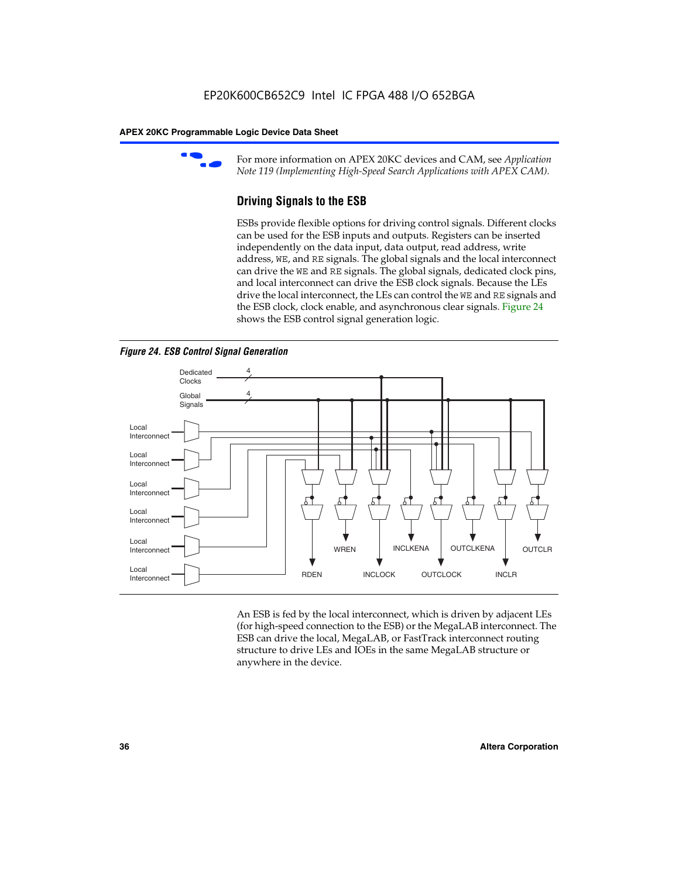

For more information on APEX 20KC devices and CAM, see *Application Note 119 (Implementing High-Speed Search Applications with APEX CAM).*

# **Driving Signals to the ESB**

ESBs provide flexible options for driving control signals. Different clocks can be used for the ESB inputs and outputs. Registers can be inserted independently on the data input, data output, read address, write address, WE, and RE signals. The global signals and the local interconnect can drive the WE and RE signals. The global signals, dedicated clock pins, and local interconnect can drive the ESB clock signals. Because the LEs drive the local interconnect, the LEs can control the WE and RE signals and the ESB clock, clock enable, and asynchronous clear signals. Figure 24 shows the ESB control signal generation logic.





An ESB is fed by the local interconnect, which is driven by adjacent LEs (for high-speed connection to the ESB) or the MegaLAB interconnect. The ESB can drive the local, MegaLAB, or FastTrack interconnect routing structure to drive LEs and IOEs in the same MegaLAB structure or anywhere in the device.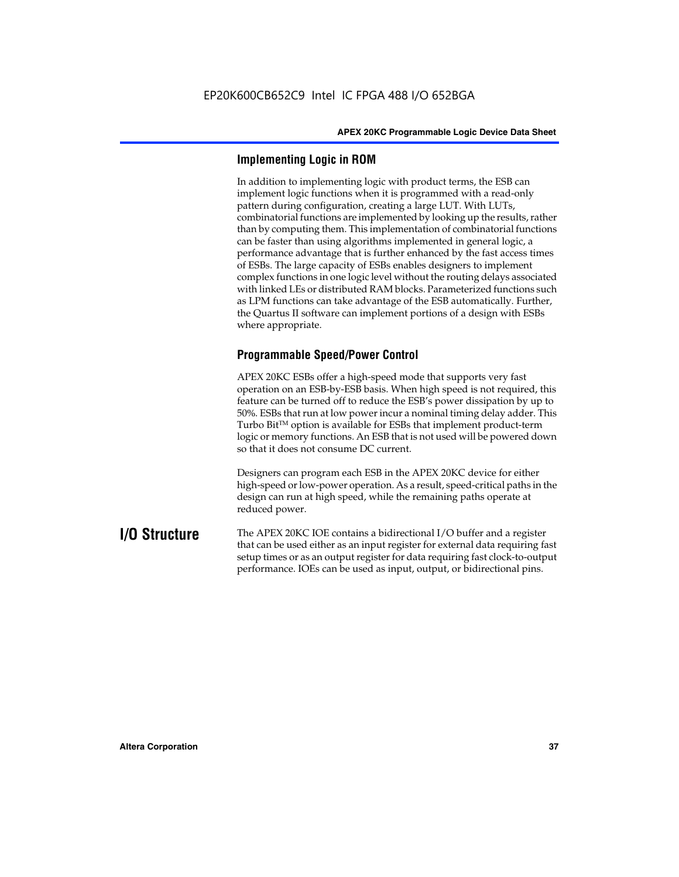# **Implementing Logic in ROM**

In addition to implementing logic with product terms, the ESB can implement logic functions when it is programmed with a read-only pattern during configuration, creating a large LUT. With LUTs, combinatorial functions are implemented by looking up the results, rather than by computing them. This implementation of combinatorial functions can be faster than using algorithms implemented in general logic, a performance advantage that is further enhanced by the fast access times of ESBs. The large capacity of ESBs enables designers to implement complex functions in one logic level without the routing delays associated with linked LEs or distributed RAM blocks. Parameterized functions such as LPM functions can take advantage of the ESB automatically. Further, the Quartus II software can implement portions of a design with ESBs where appropriate.

# **Programmable Speed/Power Control**

APEX 20KC ESBs offer a high-speed mode that supports very fast operation on an ESB-by-ESB basis. When high speed is not required, this feature can be turned off to reduce the ESB's power dissipation by up to 50%. ESBs that run at low power incur a nominal timing delay adder. This Turbo  $Bit^{TM}$  option is available for ESBs that implement product-term logic or memory functions. An ESB that is not used will be powered down so that it does not consume DC current.

Designers can program each ESB in the APEX 20KC device for either high-speed or low-power operation. As a result, speed-critical paths in the design can run at high speed, while the remaining paths operate at reduced power.

**I/O Structure** The APEX 20KC IOE contains a bidirectional I/O buffer and a register that can be used either as an input register for external data requiring fast setup times or as an output register for data requiring fast clock-to-output performance. IOEs can be used as input, output, or bidirectional pins.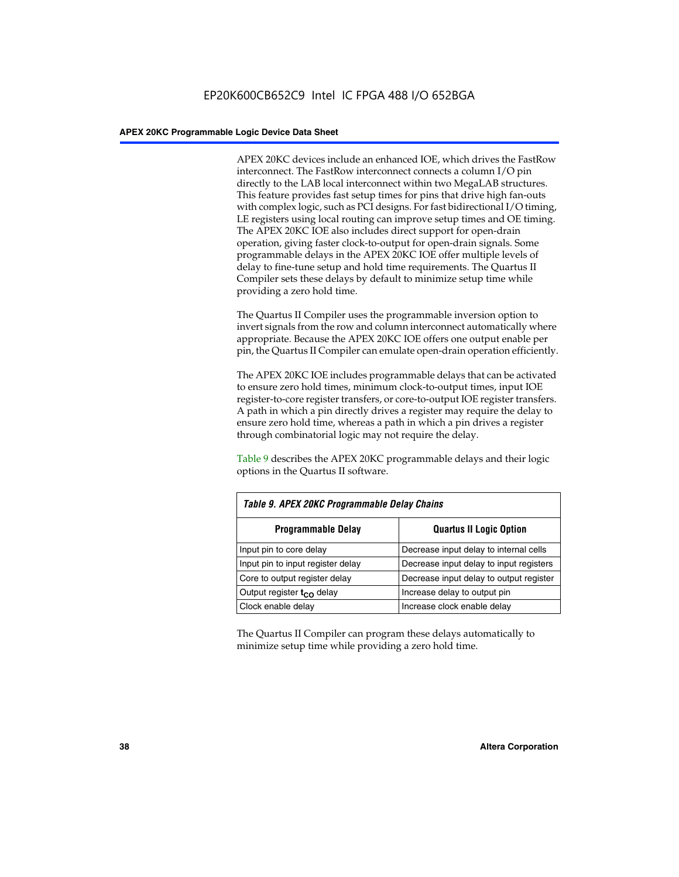APEX 20KC devices include an enhanced IOE, which drives the FastRow interconnect. The FastRow interconnect connects a column I/O pin directly to the LAB local interconnect within two MegaLAB structures. This feature provides fast setup times for pins that drive high fan-outs with complex logic, such as PCI designs. For fast bidirectional I/O timing, LE registers using local routing can improve setup times and OE timing. The APEX 20KC IOE also includes direct support for open-drain operation, giving faster clock-to-output for open-drain signals. Some programmable delays in the APEX 20KC IOE offer multiple levels of delay to fine-tune setup and hold time requirements. The Quartus II Compiler sets these delays by default to minimize setup time while providing a zero hold time.

The Quartus II Compiler uses the programmable inversion option to invert signals from the row and column interconnect automatically where appropriate. Because the APEX 20KC IOE offers one output enable per pin, the Quartus II Compiler can emulate open-drain operation efficiently.

The APEX 20KC IOE includes programmable delays that can be activated to ensure zero hold times, minimum clock-to-output times, input IOE register-to-core register transfers, or core-to-output IOE register transfers. A path in which a pin directly drives a register may require the delay to ensure zero hold time, whereas a path in which a pin drives a register through combinatorial logic may not require the delay.

Table 9 describes the APEX 20KC programmable delays and their logic options in the Quartus II software.

| Table 9. APEX 20KC Programmable Delay Chains |                                         |  |  |  |
|----------------------------------------------|-----------------------------------------|--|--|--|
| <b>Programmable Delay</b>                    | <b>Quartus II Logic Option</b>          |  |  |  |
| Input pin to core delay                      | Decrease input delay to internal cells  |  |  |  |
| Input pin to input register delay            | Decrease input delay to input registers |  |  |  |
| Core to output register delay                | Decrease input delay to output register |  |  |  |
| Output register t <sub>co</sub> delay        | Increase delay to output pin            |  |  |  |
| Clock enable delay                           | Increase clock enable delay             |  |  |  |

The Quartus II Compiler can program these delays automatically to minimize setup time while providing a zero hold time.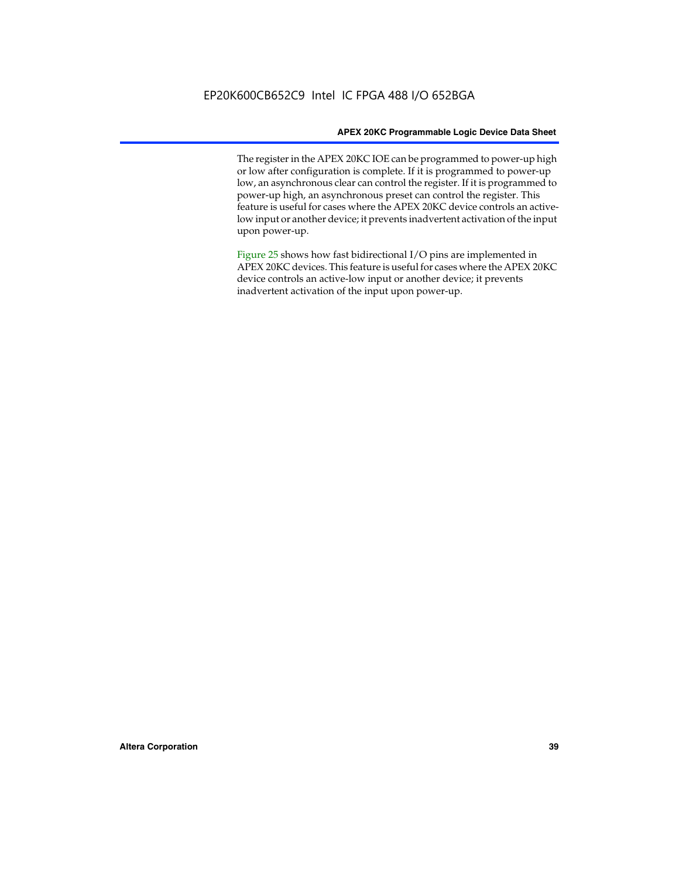The register in the APEX 20KC IOE can be programmed to power-up high or low after configuration is complete. If it is programmed to power-up low, an asynchronous clear can control the register. If it is programmed to power-up high, an asynchronous preset can control the register. This feature is useful for cases where the APEX 20KC device controls an activelow input or another device; it prevents inadvertent activation of the input upon power-up.

Figure 25 shows how fast bidirectional I/O pins are implemented in APEX 20KC devices. This feature is useful for cases where the APEX 20KC device controls an active-low input or another device; it prevents inadvertent activation of the input upon power-up.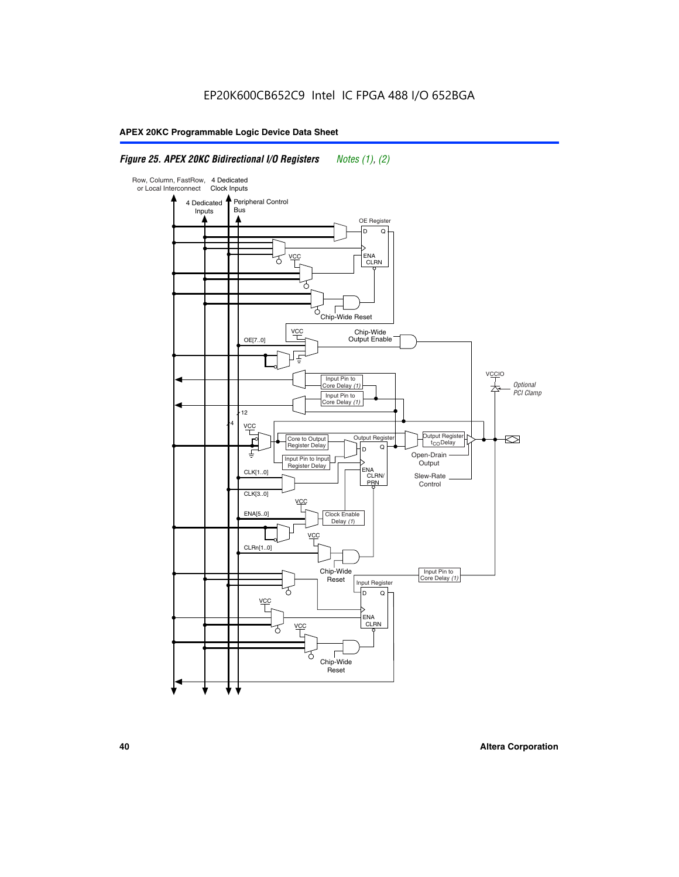## *Figure 25. APEX 20KC Bidirectional I/O Registers Notes (1), (2)*

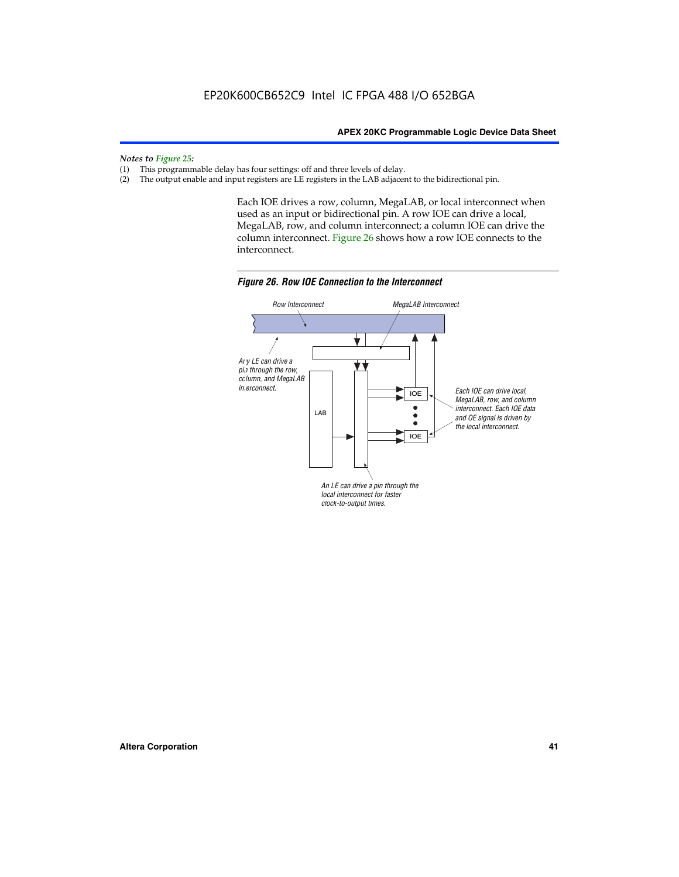*Notes to Figure 25:*

- (1) This programmable delay has four settings: off and three levels of delay.<br>(2) The output enable and input registers are LE registers in the LAB adjacer
- The output enable and input registers are LE registers in the LAB adjacent to the bidirectional pin.

Each IOE drives a row, column, MegaLAB, or local interconnect when used as an input or bidirectional pin. A row IOE can drive a local, MegaLAB, row, and column interconnect; a column IOE can drive the column interconnect. Figure 26 shows how a row IOE connects to the interconnect.



*Figure 26. Row IOE Connection to the Interconnect*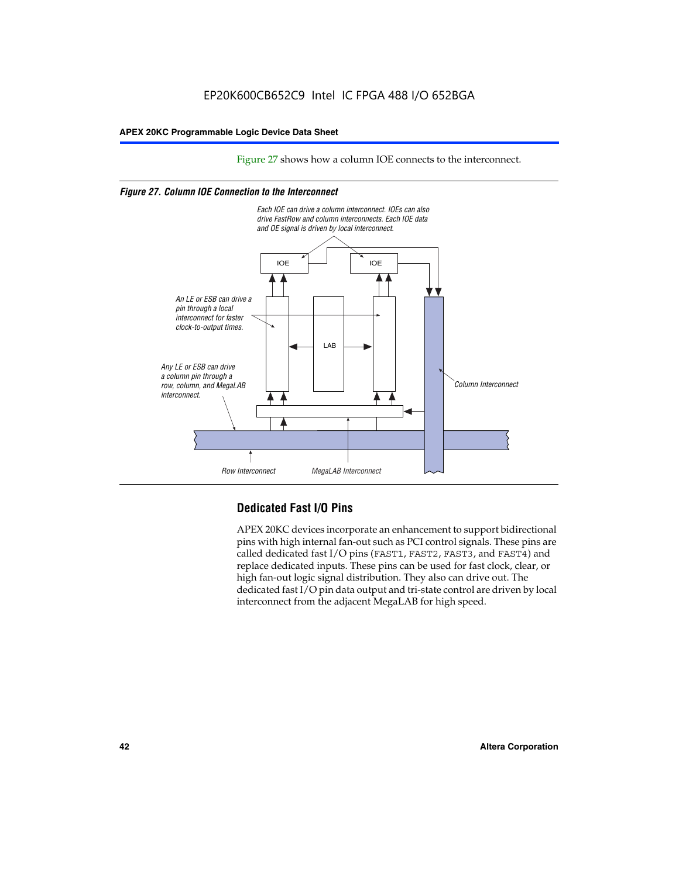Figure 27 shows how a column IOE connects to the interconnect.

### *Figure 27. Column IOE Connection to the Interconnect*



# **Dedicated Fast I/O Pins**

APEX 20KC devices incorporate an enhancement to support bidirectional pins with high internal fan-out such as PCI control signals. These pins are called dedicated fast I/O pins (FAST1, FAST2, FAST3, and FAST4) and replace dedicated inputs. These pins can be used for fast clock, clear, or high fan-out logic signal distribution. They also can drive out. The dedicated fast I/O pin data output and tri-state control are driven by local interconnect from the adjacent MegaLAB for high speed.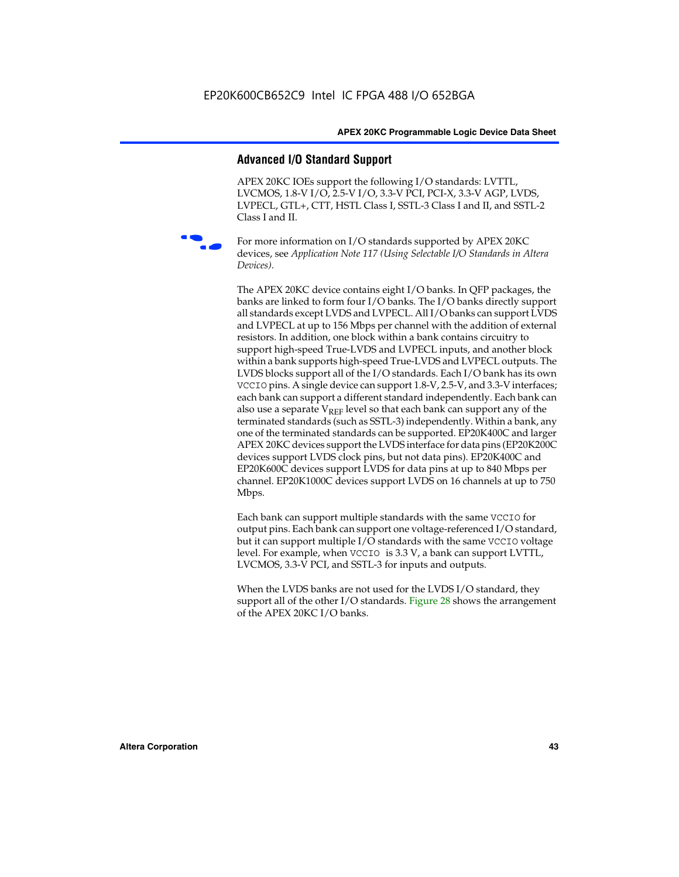### **Advanced I/O Standard Support**

APEX 20KC IOEs support the following I/O standards: LVTTL, LVCMOS, 1.8-V I/O, 2.5-V I/O, 3.3-V PCI, PCI-X, 3.3-V AGP, LVDS, LVPECL, GTL+, CTT, HSTL Class I, SSTL-3 Class I and II, and SSTL-2 Class I and II.



For more information on I/O standards supported by APEX 20KC devices, see *Application Note 117 (Using Selectable I/O Standards in Altera Devices)*.

The APEX 20KC device contains eight I/O banks. In QFP packages, the banks are linked to form four I/O banks. The I/O banks directly support all standards except LVDS and LVPECL. All I/O banks can support LVDS and LVPECL at up to 156 Mbps per channel with the addition of external resistors. In addition, one block within a bank contains circuitry to support high-speed True-LVDS and LVPECL inputs, and another block within a bank supports high-speed True-LVDS and LVPECL outputs. The LVDS blocks support all of the I/O standards. Each I/O bank has its own VCCIO pins. A single device can support 1.8-V, 2.5-V, and 3.3-V interfaces; each bank can support a different standard independently. Each bank can also use a separate  $V_{REF}$  level so that each bank can support any of the terminated standards (such as SSTL-3) independently. Within a bank, any one of the terminated standards can be supported. EP20K400C and larger APEX 20KC devices support the LVDS interface for data pins (EP20K200C devices support LVDS clock pins, but not data pins). EP20K400C and EP20K600C devices support LVDS for data pins at up to 840 Mbps per channel. EP20K1000C devices support LVDS on 16 channels at up to 750 Mbps.

Each bank can support multiple standards with the same VCCIO for output pins. Each bank can support one voltage-referenced I/O standard, but it can support multiple I/O standards with the same VCCIO voltage level. For example, when VCCIO is 3.3 V, a bank can support LVTTL, LVCMOS, 3.3-V PCI, and SSTL-3 for inputs and outputs.

When the LVDS banks are not used for the LVDS I/O standard, they support all of the other I/O standards. Figure 28 shows the arrangement of the APEX 20KC I/O banks.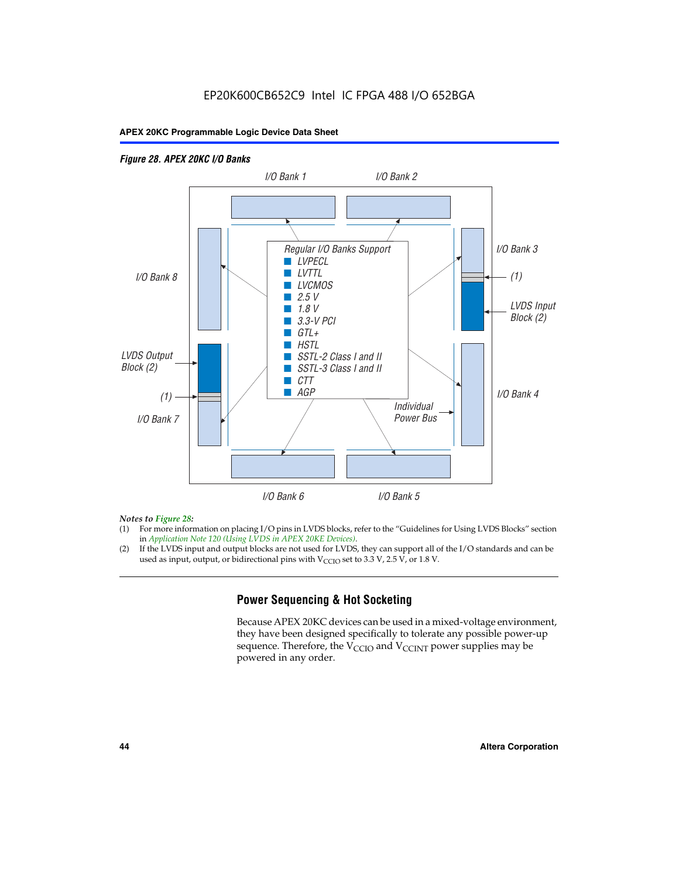# EP20K600CB652C9 Intel IC FPGA 488 I/O 652BGA

### **APEX 20KC Programmable Logic Device Data Sheet**

### *Figure 28. APEX 20KC I/O Banks LVDS Input Block (2) (1) LVDS Output Block (2) (1) Individual Power Bus I/O Bank 8 I/O Bank 1 I/O Bank 2 I/O Bank 3 I/O Bank 4 I/O Bank 6 I/O Bank 5 I/O Bank 7 Regular I/O Banks Support* ■ *LVPECL* ■ *LVTTL* ■ *LVCMOS* ■ *2.5 V* ■ *1.8 V* ■ *3.3-V PCI* ■ *GTL+* ■ *HSTL* ■ *SSTL-2 Class I and II* ■ *SSTL-3 Class I and II* ■ *CTT* ■ *AGP*

### *Notes to Figure 28:*

- (1) For more information on placing I/O pins in LVDS blocks, refer to the "Guidelines for Using LVDS Blocks" section in *Application Note 120 (Using LVDS in APEX 20KE Devices)*.
- (2) If the LVDS input and output blocks are not used for LVDS, they can support all of the I/O standards and can be used as input, output, or bidirectional pins with  $V_{\text{CCIO}}$  set to 3.3 V, 2.5 V, or 1.8 V.

# **Power Sequencing & Hot Socketing**

Because APEX 20KC devices can be used in a mixed-voltage environment, they have been designed specifically to tolerate any possible power-up sequence. Therefore, the  $V_{\text{CCIO}}$  and  $V_{\text{CCINT}}$  power supplies may be powered in any order.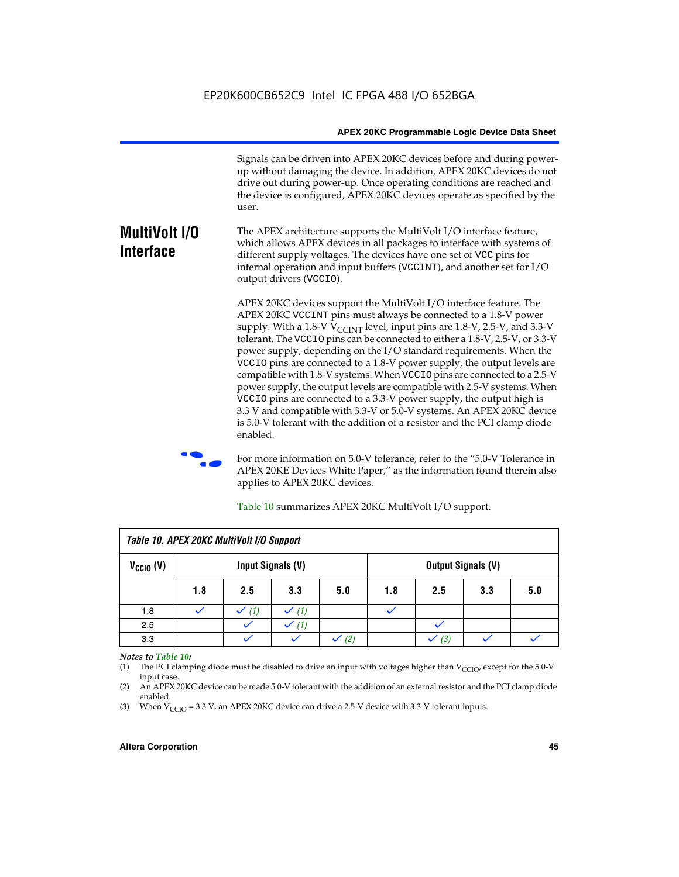Signals can be driven into APEX 20KC devices before and during powerup without damaging the device. In addition, APEX 20KC devices do not drive out during power-up. Once operating conditions are reached and the device is configured, APEX 20KC devices operate as specified by the user.

#### **MultiVolt I/O Interface** The APEX architecture supports the MultiVolt I/O interface feature, which allows APEX devices in all packages to interface with systems of different supply voltages. The devices have one set of VCC pins for internal operation and input buffers (VCCINT), and another set for I/O output drivers (VCCIO).

APEX 20KC devices support the MultiVolt I/O interface feature. The APEX 20KC VCCINT pins must always be connected to a 1.8-V power supply. With a 1.8-V  $V_{\text{CCINT}}$  level, input pins are 1.8-V, 2.5-V, and 3.3-V tolerant. The VCCIO pins can be connected to either a 1.8-V, 2.5-V, or 3.3-V power supply, depending on the I/O standard requirements. When the VCCIO pins are connected to a 1.8-V power supply, the output levels are compatible with 1.8-V systems. When VCCIO pins are connected to a 2.5-V power supply, the output levels are compatible with 2.5-V systems. When VCCIO pins are connected to a 3.3-V power supply, the output high is 3.3 V and compatible with 3.3-V or 5.0-V systems. An APEX 20KC device is 5.0-V tolerant with the addition of a resistor and the PCI clamp diode enabled.

For more information on 5.0-V tolerance, refer to the "5.0-V Tolerance in APEX 20KE Devices White Paper," as the information found therein also applies to APEX 20KC devices.

| Table 10. APEX 20KC MultiVolt I/O Support |                   |     |     |     |                           |     |     |     |
|-------------------------------------------|-------------------|-----|-----|-----|---------------------------|-----|-----|-----|
| $V_{\text{CCIO}}(V)$                      | Input Signals (V) |     |     |     | <b>Output Signals (V)</b> |     |     |     |
|                                           | 1.8               | 2.5 | 3.3 | 5.0 | 1.8                       | 2.5 | 3.3 | 5.0 |
| 1.8                                       |                   | (1) | (1) |     |                           |     |     |     |
| 2.5                                       |                   |     | (1) |     |                           |     |     |     |
| 3.3                                       |                   |     |     | (2) |                           | (3) |     |     |

Table 10 summarizes APEX 20KC MultiVolt I/O support.

### *Notes to Table 10:*

(1) The PCI clamping diode must be disabled to drive an input with voltages higher than  $V_{C CIO}$ , except for the 5.0-V input case.

(2) An APEX 20KC device can be made 5.0-V tolerant with the addition of an external resistor and the PCI clamp diode enabled.

(3) When  $V_{\text{CCIO}} = 3.3 \text{ V}$ , an APEX 20KC device can drive a 2.5-V device with 3.3-V tolerant inputs.

### **Altera Corporation 45**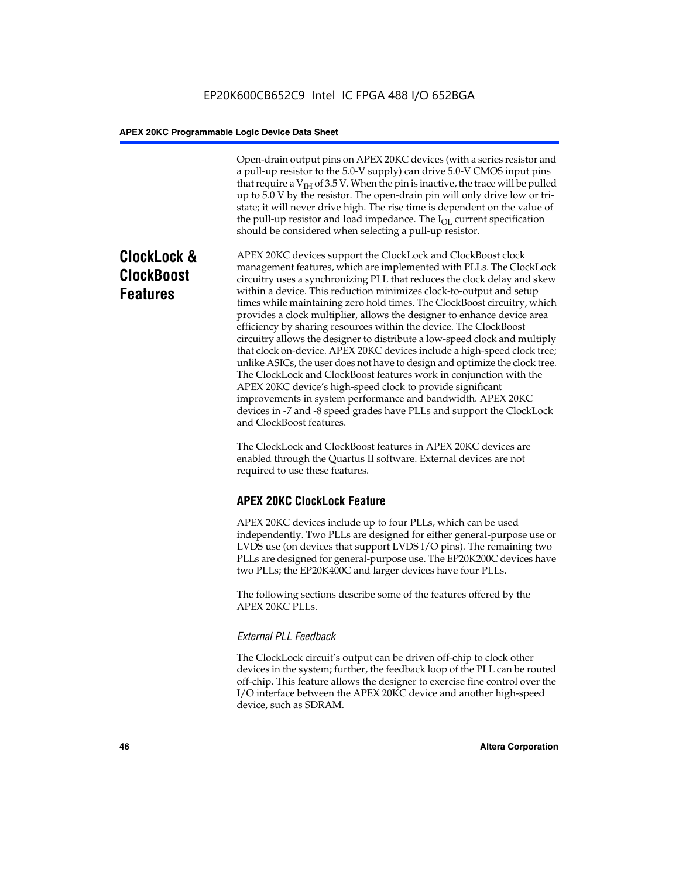Open-drain output pins on APEX 20KC devices (with a series resistor and a pull-up resistor to the 5.0-V supply) can drive 5.0-V CMOS input pins that require a  $V<sub>IH</sub>$  of 3.5 V. When the pin is inactive, the trace will be pulled up to 5.0 V by the resistor. The open-drain pin will only drive low or tristate; it will never drive high. The rise time is dependent on the value of the pull-up resistor and load impedance. The  $I_{OL}$  current specification should be considered when selecting a pull-up resistor.

# **ClockLock & ClockBoost Features**

APEX 20KC devices support the ClockLock and ClockBoost clock management features, which are implemented with PLLs. The ClockLock circuitry uses a synchronizing PLL that reduces the clock delay and skew within a device. This reduction minimizes clock-to-output and setup times while maintaining zero hold times. The ClockBoost circuitry, which provides a clock multiplier, allows the designer to enhance device area efficiency by sharing resources within the device. The ClockBoost circuitry allows the designer to distribute a low-speed clock and multiply that clock on-device. APEX 20KC devices include a high-speed clock tree; unlike ASICs, the user does not have to design and optimize the clock tree. The ClockLock and ClockBoost features work in conjunction with the APEX 20KC device's high-speed clock to provide significant improvements in system performance and bandwidth. APEX 20KC devices in -7 and -8 speed grades have PLLs and support the ClockLock and ClockBoost features.

The ClockLock and ClockBoost features in APEX 20KC devices are enabled through the Quartus II software. External devices are not required to use these features.

# **APEX 20KC ClockLock Feature**

APEX 20KC devices include up to four PLLs, which can be used independently. Two PLLs are designed for either general-purpose use or LVDS use (on devices that support LVDS I/O pins). The remaining two PLLs are designed for general-purpose use. The EP20K200C devices have two PLLs; the EP20K400C and larger devices have four PLLs.

The following sections describe some of the features offered by the APEX 20KC PLLs.

### *External PLL Feedback*

The ClockLock circuit's output can be driven off-chip to clock other devices in the system; further, the feedback loop of the PLL can be routed off-chip. This feature allows the designer to exercise fine control over the I/O interface between the APEX 20KC device and another high-speed device, such as SDRAM.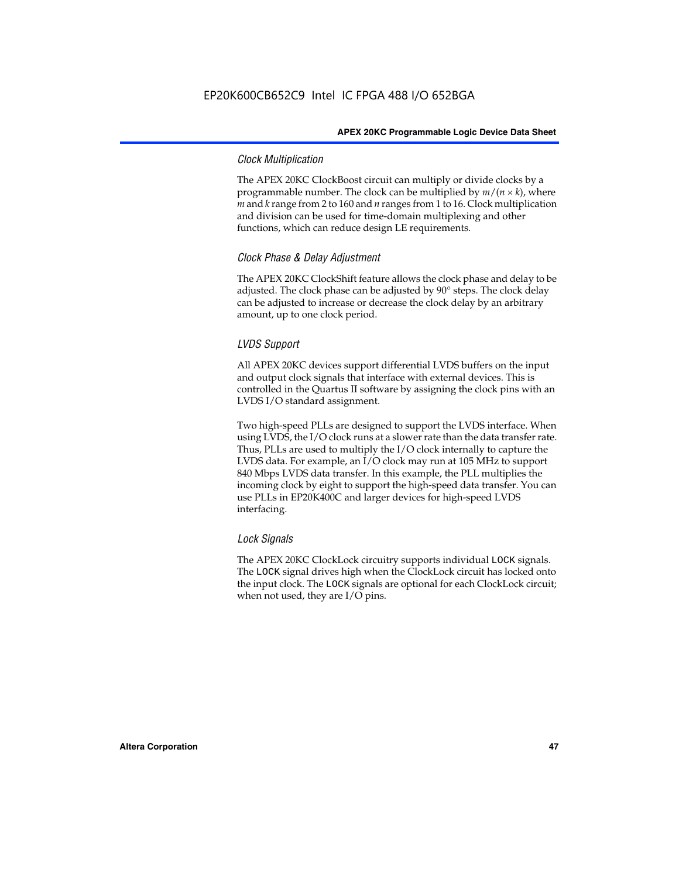### *Clock Multiplication*

The APEX 20KC ClockBoost circuit can multiply or divide clocks by a programmable number. The clock can be multiplied by  $m/(n \times k)$ , where *m* and *k* range from 2 to 160 and *n* ranges from 1 to 16. Clock multiplication and division can be used for time-domain multiplexing and other functions, which can reduce design LE requirements.

### *Clock Phase & Delay Adjustment*

The APEX 20KC ClockShift feature allows the clock phase and delay to be adjusted. The clock phase can be adjusted by 90° steps. The clock delay can be adjusted to increase or decrease the clock delay by an arbitrary amount, up to one clock period.

### *LVDS Support*

All APEX 20KC devices support differential LVDS buffers on the input and output clock signals that interface with external devices. This is controlled in the Quartus II software by assigning the clock pins with an LVDS I/O standard assignment.

Two high-speed PLLs are designed to support the LVDS interface. When using LVDS, the I/O clock runs at a slower rate than the data transfer rate. Thus, PLLs are used to multiply the I/O clock internally to capture the LVDS data. For example, an I/O clock may run at 105 MHz to support 840 Mbps LVDS data transfer. In this example, the PLL multiplies the incoming clock by eight to support the high-speed data transfer. You can use PLLs in EP20K400C and larger devices for high-speed LVDS interfacing.

### *Lock Signals*

The APEX 20KC ClockLock circuitry supports individual LOCK signals. The LOCK signal drives high when the ClockLock circuit has locked onto the input clock. The LOCK signals are optional for each ClockLock circuit; when not used, they are I/O pins.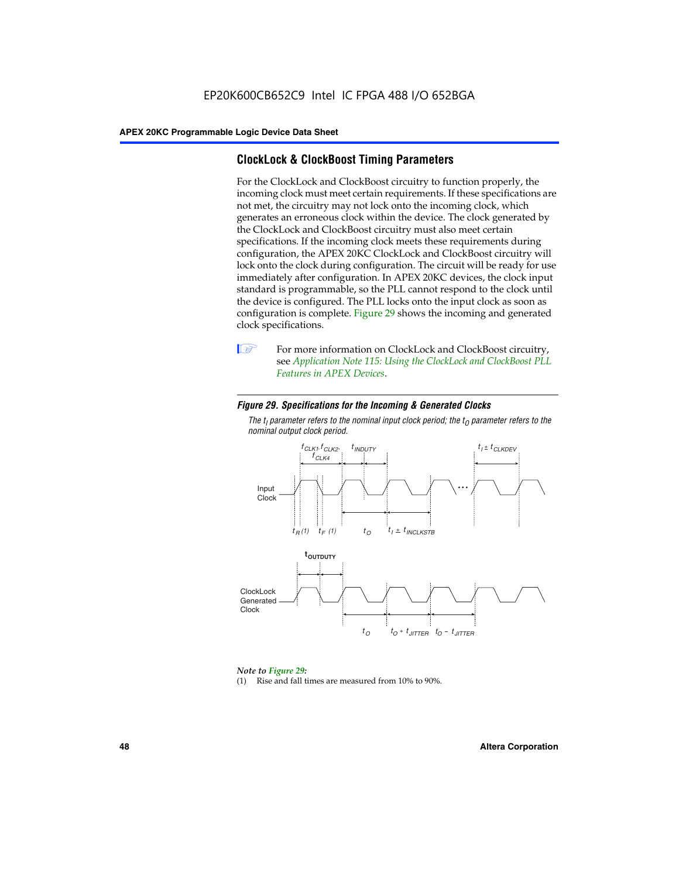# **ClockLock & ClockBoost Timing Parameters**

For the ClockLock and ClockBoost circuitry to function properly, the incoming clock must meet certain requirements. If these specifications are not met, the circuitry may not lock onto the incoming clock, which generates an erroneous clock within the device. The clock generated by the ClockLock and ClockBoost circuitry must also meet certain specifications. If the incoming clock meets these requirements during configuration, the APEX 20KC ClockLock and ClockBoost circuitry will lock onto the clock during configuration. The circuit will be ready for use immediately after configuration. In APEX 20KC devices, the clock input standard is programmable, so the PLL cannot respond to the clock until the device is configured. The PLL locks onto the input clock as soon as configuration is complete. Figure 29 shows the incoming and generated clock specifications.



**1** For more information on ClockLock and ClockBoost circuitry, see *Application Note 115: Using the ClockLock and ClockBoost PLL Features in APEX Devices*.

### *Figure 29. Specifications for the Incoming & Generated Clocks*

The  $t_{\mathfrak l}$  parameter refers to the nominal input clock period; the  $t_{\mathfrak l}$  parameter refers to the *nominal output clock period.*



### *Note to Figure 29:*

(1) Rise and fall times are measured from 10% to 90%.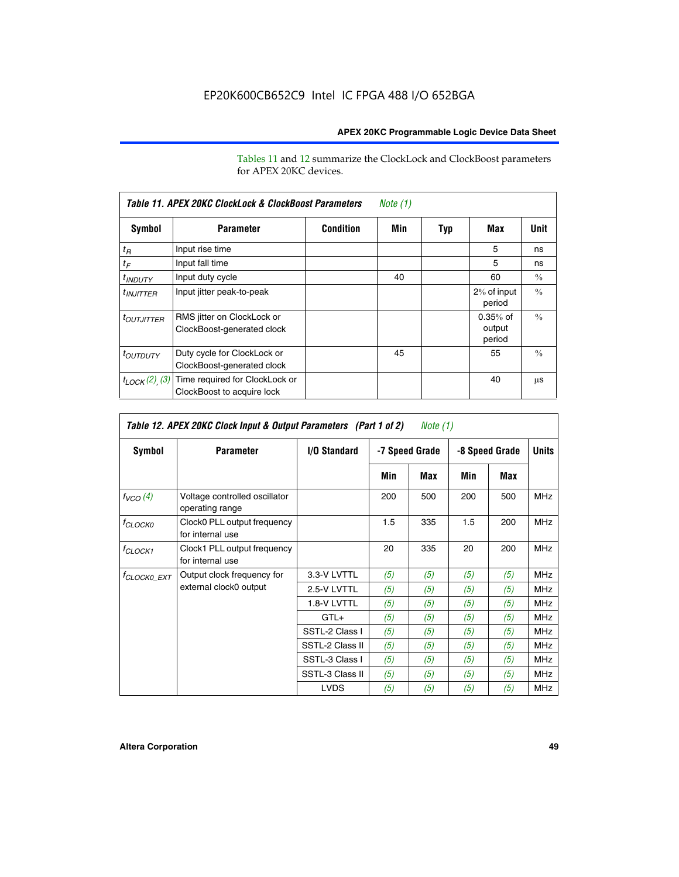Tables 11 and 12 summarize the ClockLock and ClockBoost parameters for APEX 20KC devices.

| Table 11. APEX 20KC ClockLock & ClockBoost Parameters<br>Note (1) |                                                              |                  |     |     |                                |               |  |
|-------------------------------------------------------------------|--------------------------------------------------------------|------------------|-----|-----|--------------------------------|---------------|--|
| Symbol                                                            | <b>Parameter</b>                                             | <b>Condition</b> | Min | Typ | Max                            | Unit          |  |
| $t_R$                                                             | Input rise time                                              |                  |     |     | 5                              | ns            |  |
| $t_F$                                                             | Input fall time                                              |                  |     |     | 5                              | ns            |  |
| <sup>t</sup> INDUTY                                               | Input duty cycle                                             |                  | 40  |     | 60                             | $\frac{0}{0}$ |  |
| $t_{INJITTER}$                                                    | Input jitter peak-to-peak                                    |                  |     |     | 2% of input<br>period          | $\frac{0}{0}$ |  |
| <b><i>LOUTJITTER</i></b>                                          | RMS jitter on ClockLock or<br>ClockBoost-generated clock     |                  |     |     | $0.35%$ of<br>output<br>period | $\frac{0}{0}$ |  |
| <i>t<sub>OUTDUTY</sub></i>                                        | Duty cycle for ClockLock or<br>ClockBoost-generated clock    |                  | 45  |     | 55                             | $\frac{0}{0}$ |  |
| $t_{LOCK}(2)$ (3)                                                 | Time required for ClockLock or<br>ClockBoost to acquire lock |                  |     |     | 40                             | μS            |  |

| Table 12. APEX 20KC Clock Input & Output Parameters (Part 1 of 2)<br>Note (1) |                                                  |                 |     |                |     |                |            |  |
|-------------------------------------------------------------------------------|--------------------------------------------------|-----------------|-----|----------------|-----|----------------|------------|--|
| Symbol<br><b>Parameter</b>                                                    |                                                  | I/O Standard    |     | -7 Speed Grade |     | -8 Speed Grade |            |  |
|                                                                               |                                                  |                 | Min | Max            | Min | Max            |            |  |
| $f_{VCO}(4)$                                                                  | Voltage controlled oscillator<br>operating range |                 | 200 | 500            | 200 | 500            | <b>MHz</b> |  |
| $f_{CLOCKO}$                                                                  | Clock0 PLL output frequency<br>for internal use  |                 | 1.5 | 335            | 1.5 | 200            | <b>MHz</b> |  |
| <sup>f</sup> CLOCK1                                                           | Clock1 PLL output frequency<br>for internal use  |                 | 20  | 335            | 20  | 200            | <b>MHz</b> |  |
| <sup>f</sup> CLOCK0_EXT                                                       | Output clock frequency for                       | 3.3-V LVTTL     | (5) | (5)            | (5) | (5)            | <b>MHz</b> |  |
|                                                                               | external clock0 output                           | 2.5-V LVTTL     | (5) | (5)            | (5) | (5)            | <b>MHz</b> |  |
|                                                                               |                                                  | 1.8-V LVTTL     | (5) | (5)            | (5) | (5)            | <b>MHz</b> |  |
|                                                                               |                                                  | $GTL+$          | (5) | (5)            | (5) | (5)            | <b>MHz</b> |  |
|                                                                               |                                                  | SSTL-2 Class I  | (5) | (5)            | (5) | (5)            | <b>MHz</b> |  |
|                                                                               |                                                  | SSTL-2 Class II | (5) | (5)            | (5) | (5)            | <b>MHz</b> |  |
|                                                                               |                                                  | SSTL-3 Class I  | (5) | (5)            | (5) | (5)            | <b>MHz</b> |  |
|                                                                               |                                                  | SSTL-3 Class II | (5) | (5)            | (5) | (5)            | <b>MHz</b> |  |
|                                                                               |                                                  | <b>LVDS</b>     | (5) | (5)            | (5) | (5)            | <b>MHz</b> |  |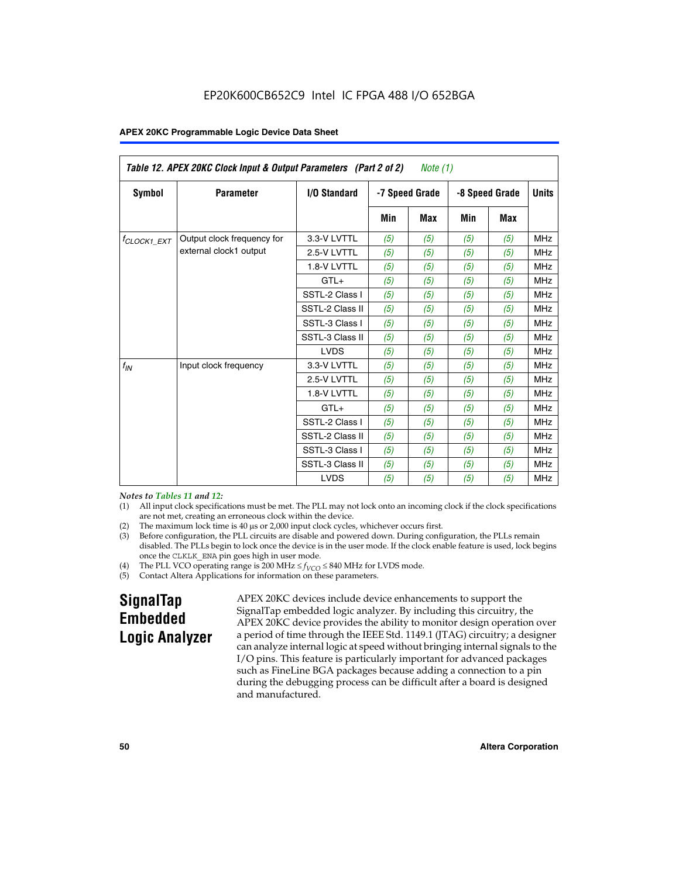| Table 12. APEX 20KC Clock Input & Output Parameters (Part 2 of 2)<br>Note (1) |                            |                 |     |                |     |                |              |
|-------------------------------------------------------------------------------|----------------------------|-----------------|-----|----------------|-----|----------------|--------------|
| Symbol                                                                        | <b>Parameter</b>           | I/O Standard    |     | -7 Speed Grade |     | -8 Speed Grade | <b>Units</b> |
|                                                                               |                            |                 | Min | <b>Max</b>     | Min | <b>Max</b>     |              |
| $t_{\text{CLOCK1\_EXT}}$                                                      | Output clock frequency for | 3.3-V LVTTL     | (5) | (5)            | (5) | (5)            | <b>MHz</b>   |
|                                                                               | external clock1 output     | 2.5-V LVTTL     | (5) | (5)            | (5) | (5)            | <b>MHz</b>   |
|                                                                               |                            | 1.8-V LVTTL     | (5) | (5)            | (5) | (5)            | <b>MHz</b>   |
|                                                                               |                            | $GTL+$          | (5) | (5)            | (5) | (5)            | <b>MHz</b>   |
|                                                                               |                            | SSTL-2 Class I  | (5) | (5)            | (5) | (5)            | <b>MHz</b>   |
|                                                                               |                            | SSTL-2 Class II | (5) | (5)            | (5) | (5)            | <b>MHz</b>   |
|                                                                               |                            | SSTL-3 Class I  | (5) | (5)            | (5) | (5)            | <b>MHz</b>   |
|                                                                               |                            | SSTL-3 Class II | (5) | (5)            | (5) | (5)            | <b>MHz</b>   |
|                                                                               |                            | <b>LVDS</b>     | (5) | (5)            | (5) | (5)            | <b>MHz</b>   |
| $f_{IN}$                                                                      | Input clock frequency      | 3.3-V LVTTL     | (5) | (5)            | (5) | (5)            | <b>MHz</b>   |
|                                                                               |                            | 2.5-V LVTTL     | (5) | (5)            | (5) | (5)            | <b>MHz</b>   |
|                                                                               |                            | 1.8-V LVTTL     | (5) | (5)            | (5) | (5)            | <b>MHz</b>   |
|                                                                               |                            | $GTL+$          | (5) | (5)            | (5) | (5)            | <b>MHz</b>   |
|                                                                               |                            | SSTL-2 Class I  | (5) | (5)            | (5) | (5)            | <b>MHz</b>   |
|                                                                               |                            | SSTL-2 Class II | (5) | (5)            | (5) | (5)            | <b>MHz</b>   |
|                                                                               |                            | SSTL-3 Class I  | (5) | (5)            | (5) | (5)            | <b>MHz</b>   |
|                                                                               |                            | SSTL-3 Class II | (5) | (5)            | (5) | (5)            | <b>MHz</b>   |
|                                                                               |                            | <b>LVDS</b>     | (5) | (5)            | (5) | (5)            | <b>MHz</b>   |

*Notes to Tables 11 and 12:*

- (1) All input clock specifications must be met. The PLL may not lock onto an incoming clock if the clock specifications are not met, creating an erroneous clock within the device.
- 
- (2) The maximum lock time is  $40 \mu s$  or  $2,000$  input clock cycles, whichever occurs first.<br>
(3) Before configuration, the PLL circuits are disable and powered down. During confi Before configuration, the PLL circuits are disable and powered down. During configuration, the PLLs remain disabled. The PLLs begin to lock once the device is in the user mode. If the clock enable feature is used, lock begins once the CLKLK\_ENA pin goes high in user mode.
- (4) The PLL VCO operating range is 200 MHz  $\leq f_{VCO} \leq 840$  MHz for LVDS mode.

(5) Contact Altera Applications for information on these parameters.

# **SignalTap Embedded Logic Analyzer**

APEX 20KC devices include device enhancements to support the SignalTap embedded logic analyzer. By including this circuitry, the APEX 20KC device provides the ability to monitor design operation over a period of time through the IEEE Std. 1149.1 (JTAG) circuitry; a designer can analyze internal logic at speed without bringing internal signals to the I/O pins. This feature is particularly important for advanced packages such as FineLine BGA packages because adding a connection to a pin during the debugging process can be difficult after a board is designed and manufactured.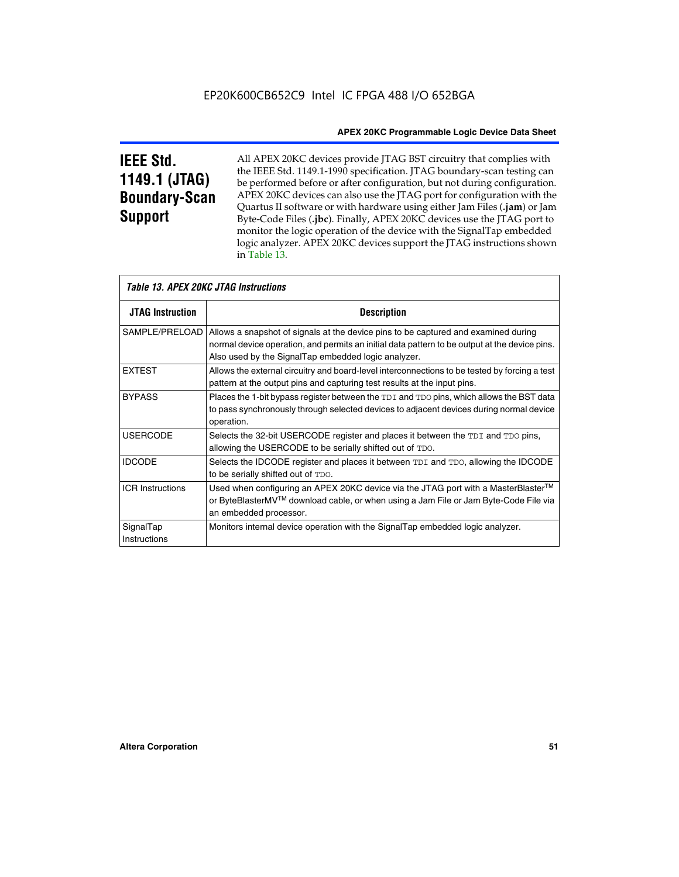# **IEEE Std. 1149.1 (JTAG) Boundary-Scan Support**

Г

All APEX 20KC devices provide JTAG BST circuitry that complies with the IEEE Std. 1149.1-1990 specification. JTAG boundary-scan testing can be performed before or after configuration, but not during configuration. APEX 20KC devices can also use the JTAG port for configuration with the Quartus II software or with hardware using either Jam Files (**.jam**) or Jam Byte-Code Files (**.jbc**). Finally, APEX 20KC devices use the JTAG port to monitor the logic operation of the device with the SignalTap embedded logic analyzer. APEX 20KC devices support the JTAG instructions shown in Table 13.

|                           | <i>Table 13. APEX 20KC JTAG Instructions</i>                                                                                                                                                                                                                |  |  |  |  |  |
|---------------------------|-------------------------------------------------------------------------------------------------------------------------------------------------------------------------------------------------------------------------------------------------------------|--|--|--|--|--|
| <b>JTAG Instruction</b>   | <b>Description</b>                                                                                                                                                                                                                                          |  |  |  |  |  |
|                           | SAMPLE/PRELOAD   Allows a snapshot of signals at the device pins to be captured and examined during<br>normal device operation, and permits an initial data pattern to be output at the device pins.<br>Also used by the SignalTap embedded logic analyzer. |  |  |  |  |  |
| <b>EXTEST</b>             | Allows the external circuitry and board-level interconnections to be tested by forcing a test<br>pattern at the output pins and capturing test results at the input pins.                                                                                   |  |  |  |  |  |
| <b>BYPASS</b>             | Places the 1-bit bypass register between the TDI and TDO pins, which allows the BST data<br>to pass synchronously through selected devices to adjacent devices during normal device<br>operation.                                                           |  |  |  |  |  |
| <b>USERCODE</b>           | Selects the 32-bit USERCODE register and places it between the TDI and TDO pins,<br>allowing the USERCODE to be serially shifted out of TDO.                                                                                                                |  |  |  |  |  |
| <b>IDCODE</b>             | Selects the IDCODE register and places it between TDI and TDO, allowing the IDCODE<br>to be serially shifted out of TDO.                                                                                                                                    |  |  |  |  |  |
| <b>ICR Instructions</b>   | Used when configuring an APEX 20KC device via the JTAG port with a MasterBlaster <sup>™</sup><br>or ByteBlasterMV™ download cable, or when using a Jam File or Jam Byte-Code File via<br>an embedded processor.                                             |  |  |  |  |  |
| SignalTap<br>Instructions | Monitors internal device operation with the SignalTap embedded logic analyzer.                                                                                                                                                                              |  |  |  |  |  |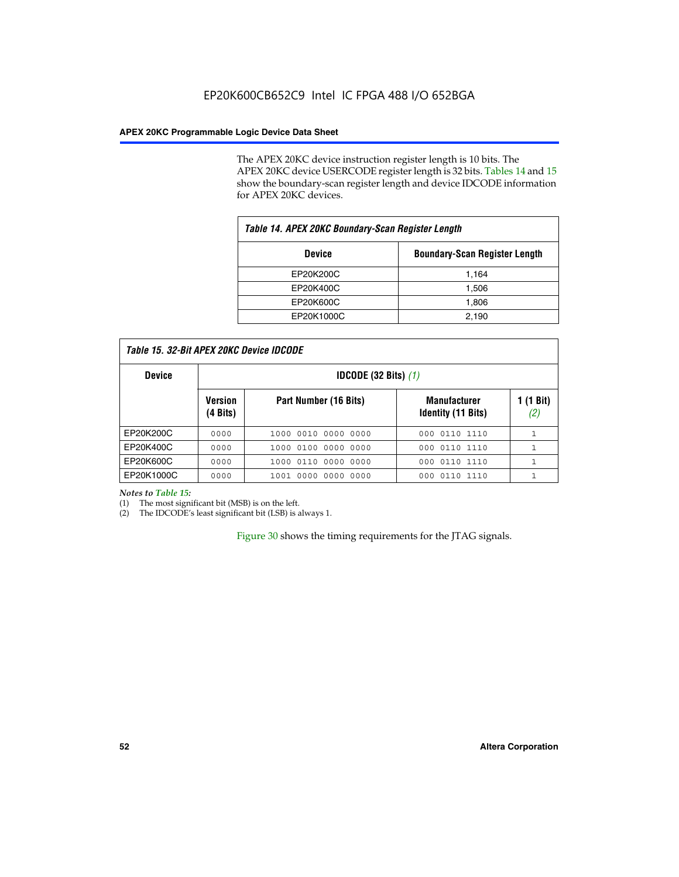The APEX 20KC device instruction register length is 10 bits. The APEX 20KC device USERCODE register length is 32 bits. Tables 14 and 15 show the boundary-scan register length and device IDCODE information for APEX 20KC devices.

| Table 14. APEX 20KC Boundary-Scan Register Length     |       |  |  |  |
|-------------------------------------------------------|-------|--|--|--|
| <b>Boundary-Scan Register Length</b><br><b>Device</b> |       |  |  |  |
| EP20K200C                                             | 1,164 |  |  |  |
| EP20K400C                                             | 1,506 |  |  |  |
| EP20K600C                                             | 1,806 |  |  |  |
| EP20K1000C                                            | 2,190 |  |  |  |

| <b>Device</b> | <b>IDCODE (32 Bits)</b> $(1)$ |                       |                                                  |                  |
|---------------|-------------------------------|-----------------------|--------------------------------------------------|------------------|
|               | <b>Version</b><br>(4 Bits)    | Part Number (16 Bits) | <b>Manufacturer</b><br><b>Identity (11 Bits)</b> | l (1 Bit)<br>(2, |
| EP20K200C     | 0000                          | 1000 0010 0000 0000   | 000 0110 1110                                    |                  |
| EP20K400C     | 0000                          | 1000 0100 0000 0000   | 0110 1110<br>000                                 |                  |
| EP20K600C     | 0000                          | 1000 0110 0000 0000   | 000 0110 1110                                    |                  |
| EP20K1000C    | 0000                          | 1001 0000 0000 0000   | 000 0110 1110                                    |                  |

*Notes to Table 15:*

(1) The most significant bit (MSB) is on the left.

(2) The IDCODE's least significant bit (LSB) is always 1.

Figure 30 shows the timing requirements for the JTAG signals.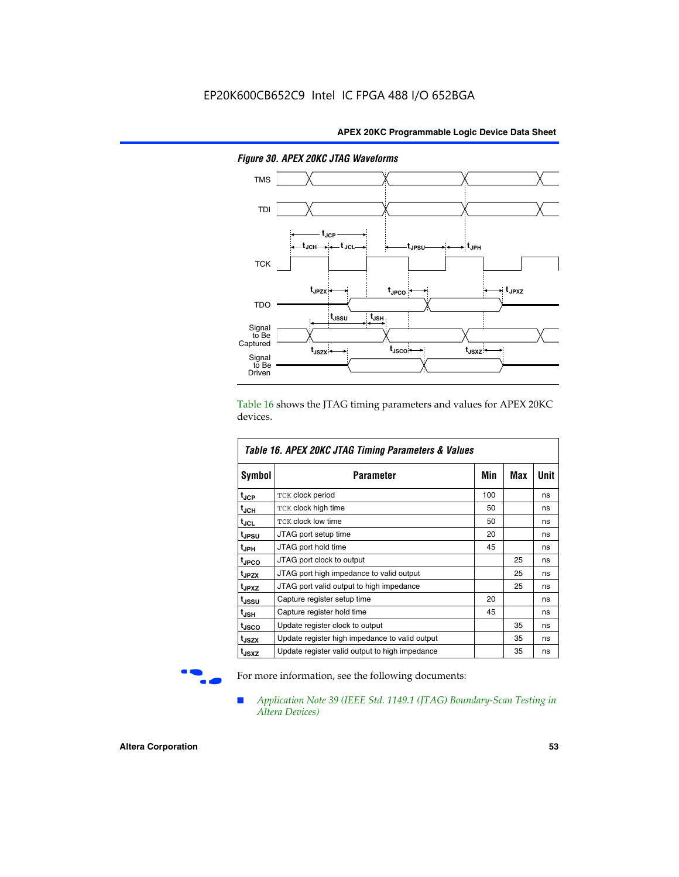

*Figure 30. APEX 20KC JTAG Waveforms*

Table 16 shows the JTAG timing parameters and values for APEX 20KC devices.

| Table 16. APEX 20KC JTAG Timing Parameters & Values |                                                |     |     |      |  |  |
|-----------------------------------------------------|------------------------------------------------|-----|-----|------|--|--|
| Symbol                                              | Parameter                                      | Min | Max | Unit |  |  |
| $t_{JCP}$                                           | TCK clock period                               | 100 |     | ns   |  |  |
| t <sub>JCH</sub>                                    | TCK clock high time                            | 50  |     | ns   |  |  |
| $t_{JCL}$                                           | <b>TCK clock low time</b>                      | 50  |     | ns   |  |  |
| <b>t</b> JPSU                                       | JTAG port setup time                           | 20  |     | ns   |  |  |
| I <sup>t</sup> JPH                                  | JTAG port hold time                            | 45  |     | ns   |  |  |
| t <sub>JPCO</sub>                                   | JTAG port clock to output                      |     | 25  | ns   |  |  |
| t <sub>JPZX</sub>                                   | JTAG port high impedance to valid output       |     | 25  | ns   |  |  |
| t <sub>JPXZ</sub>                                   | JTAG port valid output to high impedance       |     | 25  | ns   |  |  |
| t <sub>JSSU</sub>                                   | Capture register setup time                    | 20  |     | ns   |  |  |
| $t_{\rm JSH}$                                       | Capture register hold time                     | 45  |     | ns   |  |  |
| t <sub>JSCO</sub>                                   | Update register clock to output                |     | 35  | ns   |  |  |
| t <sub>JSZX</sub>                                   | Update register high impedance to valid output |     | 35  | ns   |  |  |
| t <sub>JSXZ</sub>                                   | Update register valid output to high impedance |     | 35  | ns   |  |  |

For more information, see the following documents:

■ *Application Note 39 (IEEE Std. 1149.1 (JTAG) Boundary-Scan Testing in Altera Devices)*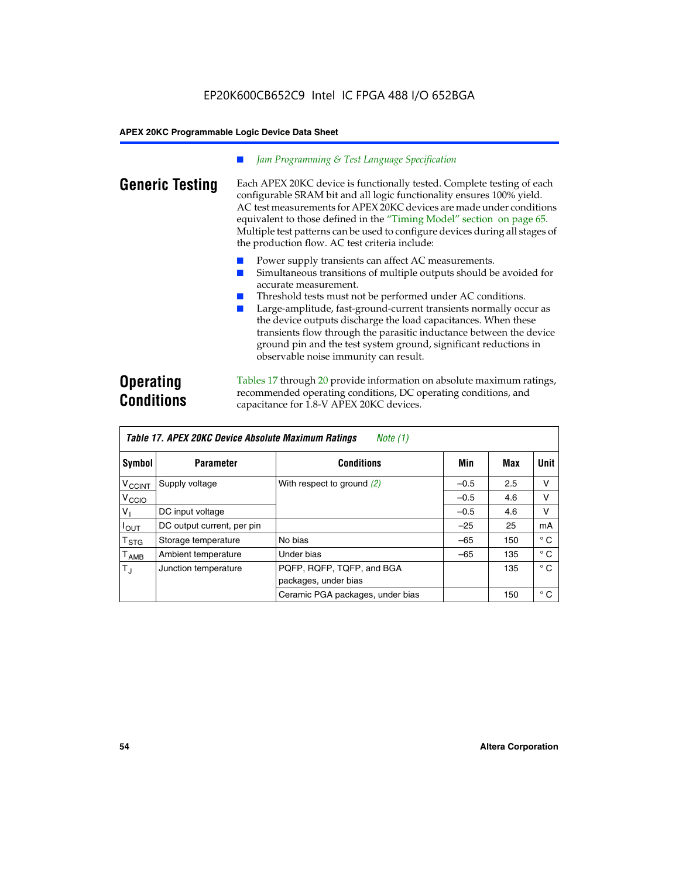### *Jam Programming & Test Language Specification*

**Generic Testing** Each APEX 20KC device is functionally tested. Complete testing of each configurable SRAM bit and all logic functionality ensures 100% yield. AC test measurements for APEX 20KC devices are made under conditions equivalent to those defined in the "Timing Model" section on page 65. Multiple test patterns can be used to configure devices during all stages of the production flow. AC test criteria include:

- Power supply transients can affect AC measurements.
- Simultaneous transitions of multiple outputs should be avoided for accurate measurement.
- Threshold tests must not be performed under AC conditions.
- Large-amplitude, fast-ground-current transients normally occur as the device outputs discharge the load capacitances. When these transients flow through the parasitic inductance between the device ground pin and the test system ground, significant reductions in observable noise immunity can result.

# **Operating Conditions**

Tables 17 through 20 provide information on absolute maximum ratings, recommended operating conditions, DC operating conditions, and capacitance for 1.8-V APEX 20KC devices.

|                             | Table 17. APEX 20KC Device Absolute Maximum Ratings<br>Note (1) |                                  |        |     |              |  |  |
|-----------------------------|-----------------------------------------------------------------|----------------------------------|--------|-----|--------------|--|--|
| Symbol                      | <b>Parameter</b>                                                | <b>Conditions</b>                | Min    | Max | Unit         |  |  |
| $V_{\text{CCINT}}$          | Supply voltage                                                  | With respect to ground (2)       | $-0.5$ | 2.5 | v            |  |  |
| V <sub>CCIO</sub>           |                                                                 |                                  | $-0.5$ | 4.6 | v            |  |  |
| V <sub>I</sub>              | DC input voltage                                                |                                  | $-0.5$ | 4.6 | v            |  |  |
| $I_{OUT}$                   | DC output current, per pin                                      |                                  | $-25$  | 25  | mA           |  |  |
| $\mathsf{T}_{\texttt{STG}}$ | Storage temperature                                             | No bias                          | $-65$  | 150 | $^{\circ}$ C |  |  |
| $\mathsf{T}_{\mathsf{AMB}}$ | Ambient temperature                                             | Under bias                       | $-65$  | 135 | $^{\circ}$ C |  |  |
| $T_{\rm J}$                 | Junction temperature                                            | PQFP, RQFP, TQFP, and BGA        |        | 135 | $^{\circ}$ C |  |  |
|                             |                                                                 | packages, under bias             |        |     |              |  |  |
|                             |                                                                 | Ceramic PGA packages, under bias |        | 150 | $^{\circ}$ C |  |  |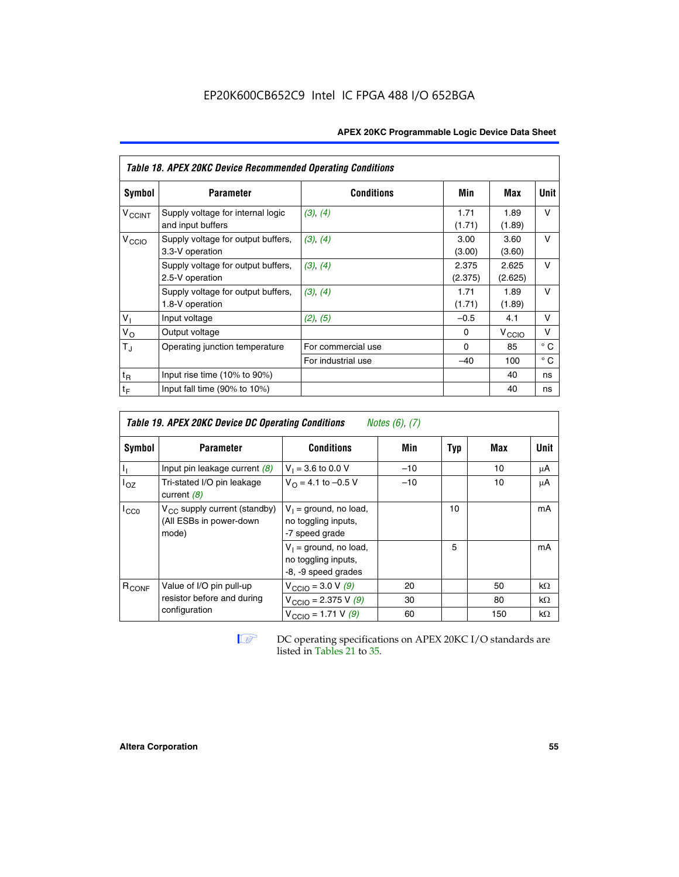| <b>APEX 20KC Programmable Logic Device Data Sheet</b> |  |
|-------------------------------------------------------|--|
|-------------------------------------------------------|--|

|                          | Table 18. APEX 20KC Device Recommended Operating Conditions |                    |                  |                   |              |  |  |  |  |  |
|--------------------------|-------------------------------------------------------------|--------------------|------------------|-------------------|--------------|--|--|--|--|--|
| Symbol                   | <b>Parameter</b>                                            | <b>Conditions</b>  | Min              | Max               | Unit         |  |  |  |  |  |
| <b>V<sub>CCINT</sub></b> | Supply voltage for internal logic<br>and input buffers      | (3), (4)           | 1.71<br>(1.71)   | 1.89<br>(1.89)    | $\vee$       |  |  |  |  |  |
| V <sub>CCIO</sub>        | Supply voltage for output buffers,<br>3.3-V operation       | (3), (4)           | 3.00<br>(3.00)   | 3.60<br>(3.60)    | v            |  |  |  |  |  |
|                          | Supply voltage for output buffers,<br>2.5-V operation       | (3), (4)           | 2.375<br>(2.375) | 2.625<br>(2.625)  | $\vee$       |  |  |  |  |  |
|                          | Supply voltage for output buffers,<br>1.8-V operation       | (3), (4)           | 1.71<br>(1.71)   | 1.89<br>(1.89)    | $\vee$       |  |  |  |  |  |
| V <sub>1</sub>           | Input voltage                                               | (2), (5)           | $-0.5$           | 4.1               | v            |  |  |  |  |  |
| $V_{\rm O}$              | Output voltage                                              |                    | 0                | $V_{\text{CCI}Q}$ | ν            |  |  |  |  |  |
| $T_{\rm J}$              | Operating junction temperature                              | For commercial use | $\Omega$         | 85                | $^{\circ}$ C |  |  |  |  |  |
|                          |                                                             | For industrial use | $-40$            | 100               | $^{\circ}$ C |  |  |  |  |  |
| $t_{R}$                  | Input rise time (10% to 90%)                                |                    |                  | 40                | ns           |  |  |  |  |  |
| $t_F$                    | Input fall time (90% to 10%)                                |                    |                  | 40                | ns           |  |  |  |  |  |

| <b>Table 19. APEX 20KC Device DC Operating Conditions</b><br><i>Notes</i> $(6)$ , $(7)$ |                                                                       |                                                                        |       |     |     |           |  |  |
|-----------------------------------------------------------------------------------------|-----------------------------------------------------------------------|------------------------------------------------------------------------|-------|-----|-----|-----------|--|--|
| Symbol                                                                                  | <b>Parameter</b>                                                      | <b>Conditions</b>                                                      | Min   | Typ | Max | Unit      |  |  |
| Ъ,                                                                                      | Input pin leakage current $(8)$                                       | $V_1 = 3.6$ to 0.0 V                                                   | $-10$ |     | 10  | μA        |  |  |
| $I_{OZ}$                                                                                | Tri-stated I/O pin leakage<br>current $(8)$                           | $V_{\Omega}$ = 4.1 to -0.5 V                                           | $-10$ |     | 10  | μA        |  |  |
| $I_{CC0}$                                                                               | $V_{CC}$ supply current (standby)<br>(All ESBs in power-down<br>mode) | $V_1$ = ground, no load,<br>no toggling inputs,<br>-7 speed grade      |       | 10  |     | mA        |  |  |
|                                                                                         |                                                                       | $V_1$ = ground, no load,<br>no toggling inputs,<br>-8, -9 speed grades |       | 5   |     | mA        |  |  |
| R <sub>CONF</sub>                                                                       | Value of I/O pin pull-up                                              | $V_{\text{CCIO}} = 3.0 V (9)$                                          | 20    |     | 50  | $k\Omega$ |  |  |
|                                                                                         | resistor before and during                                            | $V_{\text{CCIO}} = 2.375 \text{ V } (9)$                               | 30    |     | 80  | $k\Omega$ |  |  |
|                                                                                         | configuration                                                         | $V_{\text{CCIO}} = 1.71 V(9)$                                          | 60    |     | 150 | $k\Omega$ |  |  |

**IF DC** operating specifications on APEX 20KC I/O standards are listed in Tables 21 to 35*.*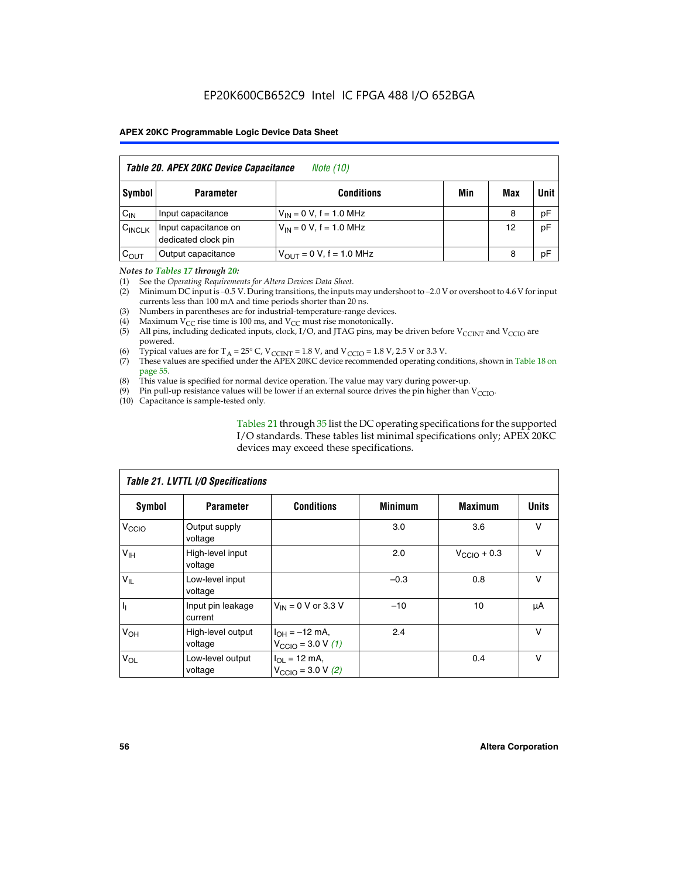| Table 20. APEX 20KC Device Capacitance<br><i>Note (10)</i> |                                             |                               |     |     |      |  |  |  |  |
|------------------------------------------------------------|---------------------------------------------|-------------------------------|-----|-----|------|--|--|--|--|
| Symbol                                                     | <b>Parameter</b>                            | <b>Conditions</b>             | Min | Max | Unit |  |  |  |  |
| $C_{IN}$                                                   | Input capacitance                           | $V_{IN} = 0 V$ , f = 1.0 MHz  |     | 8   | pF   |  |  |  |  |
| $C_{\text{INCLK}}$                                         | Input capacitance on<br>dedicated clock pin | $V_{1N} = 0 V$ , f = 1.0 MHz  |     | 12  | pF   |  |  |  |  |
| $C_{OUT}$                                                  | Output capacitance                          | $V_{OUT} = 0 V$ , f = 1.0 MHz |     | 8   | pF   |  |  |  |  |

### *Notes to Tables 17 through 20:*

(1) See the *Operating Requirements for Altera Devices Data Sheet*.

- (2) Minimum DC input is –0.5 V. During transitions, the inputs may undershoot to –2.0 V or overshoot to 4.6 V for input currents less than 100 mA and time periods shorter than 20 ns.
- (3) Numbers in parentheses are for industrial-temperature-range devices.<br>(4) Maximum  $V_{CC}$  rise time is 100 ms, and  $V_{CC}$  must rise monotonically.
- (4) Maximum  $V_{CC}$  rise time is 100 ms, and  $V_{CC}$  must rise monotonically.<br>(5) All pins, including dedicated inputs, clock, I/O, and JTAG pins, may
- All pins, including dedicated inputs, clock, I/O, and JTAG pins, may be driven before  $V_{CCTN}$  and  $V_{CCTO}$  are powered.
- (6) Typical values are for T<sub>A</sub> = 25° C, V<sub>CCINT</sub> = 1.8 V, and V<sub>CCIO</sub> = 1.8 V, 2.5 V or 3.3 V.
- (7) These values are specified under the APEX 20KC device recommended operating conditions, shown in Table 18 on page 55.
- (8) This value is specified for normal device operation. The value may vary during power-up.
- (9) Pin pull-up resistance values will be lower if an external source drives the pin higher than  $V_{\text{CCIO}}$ .
- (10) Capacitance is sample-tested only.

Tables 21 through 35 list the DC operating specifications for the supported I/O standards. These tables list minimal specifications only; APEX 20KC devices may exceed these specifications.

| Table 21. LVTTL I/O Specifications |                              |                                                     |                |                         |              |  |  |  |  |
|------------------------------------|------------------------------|-----------------------------------------------------|----------------|-------------------------|--------------|--|--|--|--|
| Symbol                             | <b>Parameter</b>             | <b>Conditions</b>                                   | <b>Minimum</b> | <b>Maximum</b>          | <b>Units</b> |  |  |  |  |
| V <sub>CCIO</sub>                  | Output supply<br>voltage     |                                                     | 3.0            | 3.6                     | v            |  |  |  |  |
| V <sub>IH</sub>                    | High-level input<br>voltage  |                                                     | 2.0            | $V_{\text{CClO}} + 0.3$ | $\vee$       |  |  |  |  |
| $V_{IL}$                           | Low-level input<br>voltage   |                                                     | $-0.3$         | 0.8                     | v            |  |  |  |  |
| $\mathbf{I}_{1}$                   | Input pin leakage<br>current | $V_{IN} = 0$ V or 3.3 V                             | $-10$          | 10                      | μA           |  |  |  |  |
| V <sub>OH</sub>                    | High-level output<br>voltage | $I_{OH} = -12$ mA,<br>$V_{\text{CCIO}} = 3.0 V (1)$ | 2.4            |                         | v            |  |  |  |  |
| $V_{OL}$                           | Low-level output<br>voltage  | $I_{OL}$ = 12 mA,<br>$V_{\text{CCIO}} = 3.0 V (2)$  |                | 0.4                     | $\vee$       |  |  |  |  |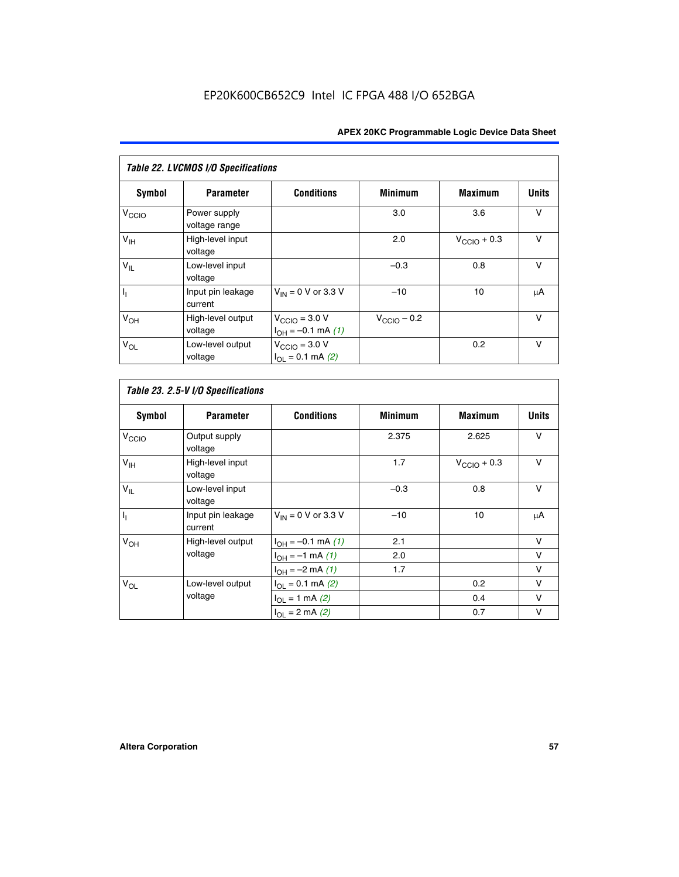| Table 22. LVCMOS I/O Specifications |                               |                                                          |                         |                         |              |  |  |  |  |
|-------------------------------------|-------------------------------|----------------------------------------------------------|-------------------------|-------------------------|--------------|--|--|--|--|
| Symbol                              | <b>Parameter</b>              | <b>Conditions</b>                                        | <b>Minimum</b>          | <b>Maximum</b>          | <b>Units</b> |  |  |  |  |
| V <sub>CCIO</sub>                   | Power supply<br>voltage range |                                                          | 3.0                     | 3.6                     | $\vee$       |  |  |  |  |
| $V_{\text{IH}}$                     | High-level input<br>voltage   |                                                          | 2.0                     | $V_{\text{CCIO}} + 0.3$ | $\vee$       |  |  |  |  |
| $V_{IL}$                            | Low-level input<br>voltage    |                                                          | $-0.3$                  | 0.8                     | $\vee$       |  |  |  |  |
| h,                                  | Input pin leakage<br>current  | $V_{IN}$ = 0 V or 3.3 V                                  | $-10$                   | 10                      | μA           |  |  |  |  |
| $V_{OH}$                            | High-level output<br>voltage  | $V_{\text{CCIO}} = 3.0 V$<br>$I_{OH} = -0.1$ mA $(1)$    | $V_{\text{CCIO}} - 0.2$ |                         | $\vee$       |  |  |  |  |
| $V_{OL}$                            | Low-level output<br>voltage   | $V_{\text{CCIO}} = 3.0 V$<br>$I_{\Omega I} = 0.1$ mA (2) |                         | 0.2                     | $\vee$       |  |  |  |  |

 $\mathsf{l}$ 

| <b>Symbol</b>     | <b>Parameter</b>             | <b>Conditions</b>        | <b>Minimum</b> | <b>Maximum</b>          | <b>Units</b> |
|-------------------|------------------------------|--------------------------|----------------|-------------------------|--------------|
| V <sub>CCIO</sub> | Output supply<br>voltage     |                          | 2.375          | 2.625                   | V            |
| V <sub>IH</sub>   | High-level input<br>voltage  |                          | 1.7            | $V_{\text{CCIO}} + 0.3$ | V            |
| $V_{IL}$          | Low-level input<br>voltage   |                          | $-0.3$         | 0.8                     | $\vee$       |
| $\overline{I_1}$  | Input pin leakage<br>current | $V_{IN}$ = 0 V or 3.3 V  | $-10$          | 10                      | μA           |
| $V_{OH}$          | High-level output            | $I_{OH} = -0.1$ mA $(1)$ | 2.1            |                         | $\vee$       |
|                   | voltage                      | $I_{OH} = -1$ mA $(1)$   | 2.0            |                         | v            |
|                   |                              | $I_{OH} = -2$ mA (1)     | 1.7            |                         | v            |
| $V_{OL}$          | Low-level output             | $I_{OL} = 0.1$ mA (2)    |                | 0.2                     | $\vee$       |
|                   | voltage                      | $I_{OL} = 1$ mA (2)      |                | 0.4                     | $\vee$       |
|                   |                              | $I_{OL} = 2$ mA (2)      |                | 0.7                     | V            |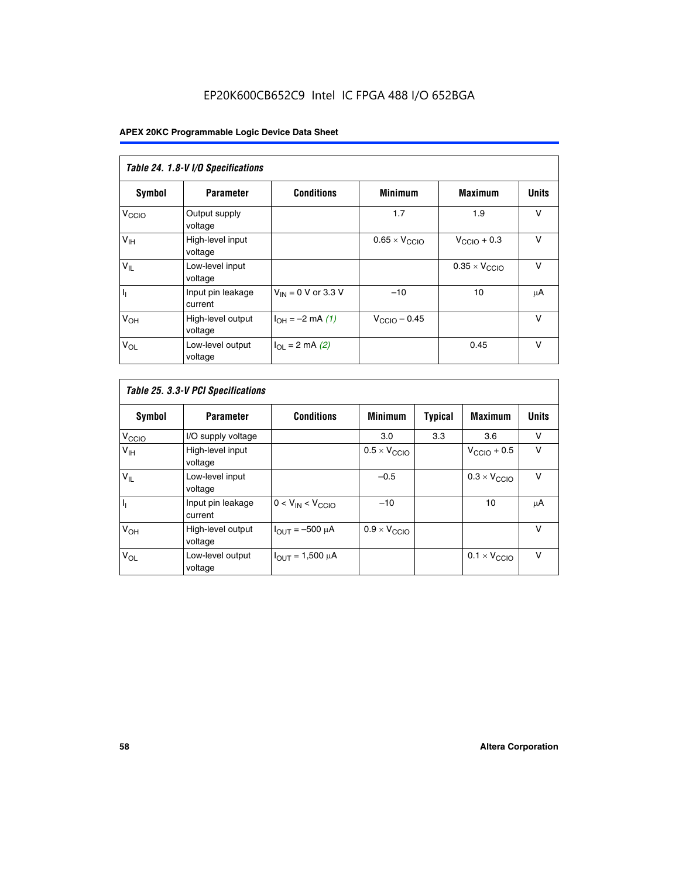# EP20K600CB652C9 Intel IC FPGA 488 I/O 652BGA

| Table 24. 1.8-V I/O Specifications |                              |                           |                               |                               |              |  |  |  |  |
|------------------------------------|------------------------------|---------------------------|-------------------------------|-------------------------------|--------------|--|--|--|--|
| Symbol                             | <b>Parameter</b>             | <b>Conditions</b>         | <b>Minimum</b>                | <b>Maximum</b>                | <b>Units</b> |  |  |  |  |
| V <sub>CCIO</sub>                  | Output supply<br>voltage     |                           | 1.7                           | 1.9                           | $\vee$       |  |  |  |  |
| V <sub>IH</sub>                    | High-level input<br>voltage  |                           | $0.65 \times V_{\text{CCIO}}$ | $V_{\text{CCIO}} + 0.3$       | $\vee$       |  |  |  |  |
| $\mathsf{V}_{\mathsf{IL}}$         | Low-level input<br>voltage   |                           |                               | $0.35 \times V_{\text{CCIO}}$ | $\vee$       |  |  |  |  |
| $I_1$                              | Input pin leakage<br>current | $V_{IN} = 0$ V or 3.3 V   | $-10$                         | 10                            | μA           |  |  |  |  |
| V <sub>OH</sub>                    | High-level output<br>voltage | $I_{OH} = -2$ mA (1)      | $V_{\text{CClO}}$ – 0.45      |                               | v            |  |  |  |  |
| $V_{OL}$                           | Low-level output<br>voltage  | $I_{\Omega I}$ = 2 mA (2) |                               | 0.45                          | $\vee$       |  |  |  |  |

| Table 25. 3.3-V PCI Specifications |                              |                         |                              |                |                              |              |  |  |
|------------------------------------|------------------------------|-------------------------|------------------------------|----------------|------------------------------|--------------|--|--|
| <b>Symbol</b>                      | <b>Parameter</b>             | <b>Conditions</b>       | <b>Minimum</b>               | <b>Typical</b> | <b>Maximum</b>               | <b>Units</b> |  |  |
| V <sub>CCIO</sub>                  | I/O supply voltage           |                         | 3.0                          | 3.3            | 3.6                          | v            |  |  |
| V <sub>IH</sub>                    | High-level input<br>voltage  |                         | $0.5 \times V_{\text{CCIO}}$ |                | $V_{\text{CCIO}} + 0.5$      | v            |  |  |
| $V_{IL}$                           | Low-level input<br>voltage   |                         | $-0.5$                       |                | $0.3 \times V_{\text{CCIO}}$ | v            |  |  |
| H <sub>1</sub>                     | Input pin leakage<br>current | $0 < V_{IN} < V_{CCIO}$ | $-10$                        |                | 10                           | μA           |  |  |
| V <sub>OH</sub>                    | High-level output<br>voltage | $I_{OUT} = -500 \mu A$  | $0.9 \times V_{\text{CCIO}}$ |                |                              | v            |  |  |
| $V_{OL}$                           | Low-level output<br>voltage  | $I_{OUT} = 1,500 \mu A$ |                              |                | $0.1 \times V_{\text{CCIO}}$ | v            |  |  |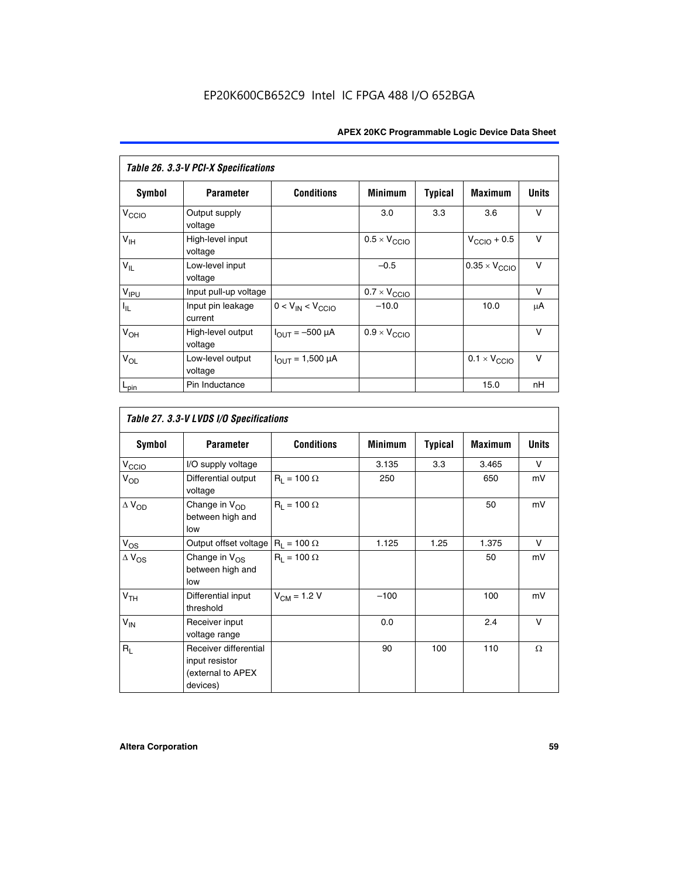| Table 26. 3.3-V PCI-X Specifications |                              |                                        |                              |                |                         |              |  |  |
|--------------------------------------|------------------------------|----------------------------------------|------------------------------|----------------|-------------------------|--------------|--|--|
| Symbol                               | <b>Parameter</b>             | <b>Conditions</b>                      | <b>Minimum</b>               | <b>Typical</b> | <b>Maximum</b>          | <b>Units</b> |  |  |
| V <sub>CCIO</sub>                    | Output supply<br>voltage     |                                        | 3.0                          | 3.3            | 3.6                     | V            |  |  |
| $V_{\text{IH}}$                      | High-level input<br>voltage  |                                        | $0.5 \times V_{\text{CCIO}}$ |                | $V_{\text{CCIO}} + 0.5$ | $\vee$       |  |  |
| $V_{IL}$                             | Low-level input<br>voltage   |                                        | $-0.5$                       |                | $0.35 \times V_{CCIO}$  | $\vee$       |  |  |
| V <sub>IPU</sub>                     | Input pull-up voltage        |                                        | $0.7 \times V_{\text{CCIO}}$ |                |                         | V            |  |  |
| $I_{\rm IL}$                         | Input pin leakage<br>current | $0 < V_{IN} < V_{CCIO}$                | $-10.0$                      |                | 10.0                    | μA           |  |  |
| $V_{OH}$                             | High-level output<br>voltage | $I_{OUT} = -500 \mu A$                 | $0.9 \times V_{\text{CCIO}}$ |                |                         | $\vee$       |  |  |
| $V_{OL}$                             | Low-level output<br>voltage  | $I_{\text{OUT}} = 1,500 \,\mu\text{A}$ |                              |                | $0.1 \times V_{CCIO}$   | $\vee$       |  |  |
| $L_{pin}$                            | Pin Inductance               |                                        |                              |                | 15.0                    | nH           |  |  |

| Table 27. 3.3-V LVDS I/O Specifications |                                                                          |                    |                |                |                |              |  |  |  |
|-----------------------------------------|--------------------------------------------------------------------------|--------------------|----------------|----------------|----------------|--------------|--|--|--|
| Symbol                                  | <b>Parameter</b>                                                         | <b>Conditions</b>  | <b>Minimum</b> | <b>Typical</b> | <b>Maximum</b> | <b>Units</b> |  |  |  |
| V <sub>C</sub> CO                       | I/O supply voltage                                                       |                    | 3.135          | 3.3            | 3.465          | $\vee$       |  |  |  |
| $V_{OD}$                                | Differential output<br>voltage                                           | $R_1 = 100 \Omega$ | 250            |                | 650            | mV           |  |  |  |
| $\Delta$ V <sub>OD</sub>                | Change in V <sub>OD</sub><br>between high and<br>low                     | $R_1 = 100 \Omega$ |                |                | 50             | mV           |  |  |  |
| $V_{OS}$                                | Output offset voltage $R_1 = 100 \Omega$                                 |                    | 1.125          | 1.25           | 1.375          | V            |  |  |  |
| $\Delta$ V <sub>OS</sub>                | Change in $V_{OS}$<br>between high and<br>low                            | $R_1 = 100 \Omega$ |                |                | 50             | mV           |  |  |  |
| V <sub>TH</sub>                         | Differential input<br>threshold                                          | $V_{CM} = 1.2 V$   | $-100$         |                | 100            | mV           |  |  |  |
| $V_{IN}$                                | Receiver input<br>voltage range                                          |                    | 0.0            |                | 2.4            | $\vee$       |  |  |  |
| $R_{\rm I}$                             | Receiver differential<br>input resistor<br>(external to APEX<br>devices) |                    | 90             | 100            | 110            | $\Omega$     |  |  |  |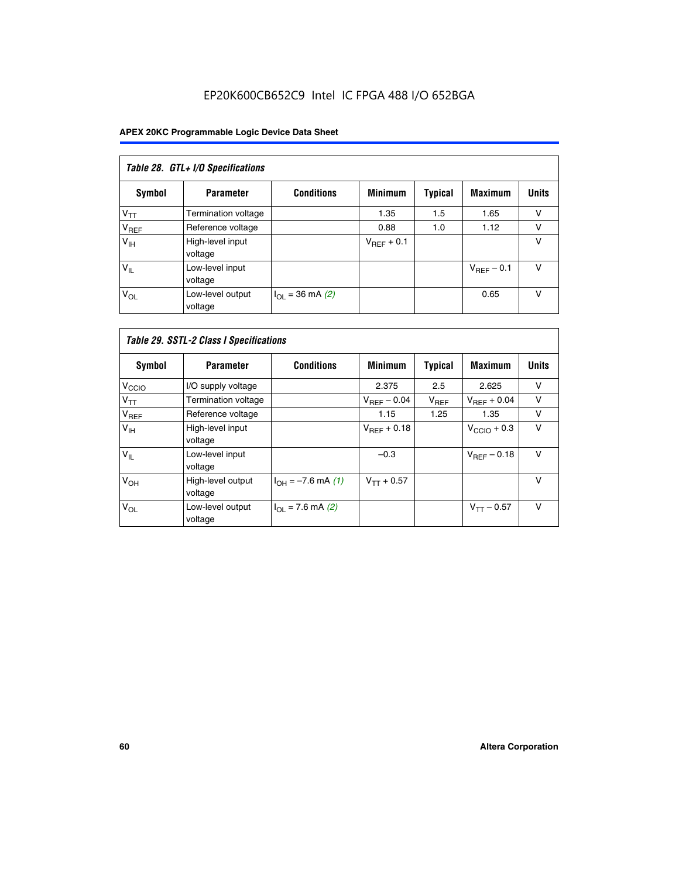# EP20K600CB652C9 Intel IC FPGA 488 I/O 652BGA

| Table 28. GTL+ I/O Specifications |                             |                      |                 |                |                        |              |  |  |
|-----------------------------------|-----------------------------|----------------------|-----------------|----------------|------------------------|--------------|--|--|
| <b>Symbol</b>                     | <b>Parameter</b>            | <b>Conditions</b>    | <b>Minimum</b>  | <b>Typical</b> | <b>Maximum</b>         | <b>Units</b> |  |  |
| $V_{TT}$                          | <b>Termination voltage</b>  |                      | 1.35            | 1.5            | 1.65                   | v            |  |  |
| V <sub>REF</sub>                  | Reference voltage           |                      | 0.88            | 1.0            | 1.12                   | v            |  |  |
| V <sub>IH</sub>                   | High-level input<br>voltage |                      | $V_{REF}$ + 0.1 |                |                        | v            |  |  |
| $V_{IL}$                          | Low-level input<br>voltage  |                      |                 |                | $V_{\text{RFF}}$ – 0.1 | v            |  |  |
| $V_{OL}$                          | Low-level output<br>voltage | $I_{OL}$ = 36 mA (2) |                 |                | 0.65                   | v            |  |  |

| Table 29. SSTL-2 Class I Specifications |                              |                             |                  |                |                         |              |
|-----------------------------------------|------------------------------|-----------------------------|------------------|----------------|-------------------------|--------------|
| Symbol                                  | <b>Parameter</b>             | <b>Conditions</b>           | <b>Minimum</b>   | <b>Typical</b> | <b>Maximum</b>          | <b>Units</b> |
| V <sub>CCIO</sub>                       | I/O supply voltage           |                             | 2.375            | 2.5            | 2.625                   | v            |
| $V_{TT}$                                | Termination voltage          |                             | $V_{REF}$ – 0.04 | $V_{REF}$      | $V_{BFF}$ + 0.04        | $\vee$       |
| V <sub>REF</sub>                        | Reference voltage            |                             | 1.15             | 1.25           | 1.35                    | v            |
| $V_{\text{IH}}$                         | High-level input<br>voltage  |                             | $V_{BFE} + 0.18$ |                | $V_{\text{CCIO}} + 0.3$ | $\vee$       |
| $V_{IL}$                                | Low-level input<br>voltage   |                             | $-0.3$           |                | $V_{REF}$ – 0.18        | V            |
| V <sub>OH</sub>                         | High-level output<br>voltage | $I_{OH} = -7.6$ mA (1)      | $V_{TT} + 0.57$  |                |                         | v            |
| $V_{OL}$                                | Low-level output<br>voltage  | $I_{\Omega I}$ = 7.6 mA (2) |                  |                | $V_{TT} - 0.57$         | $\vee$       |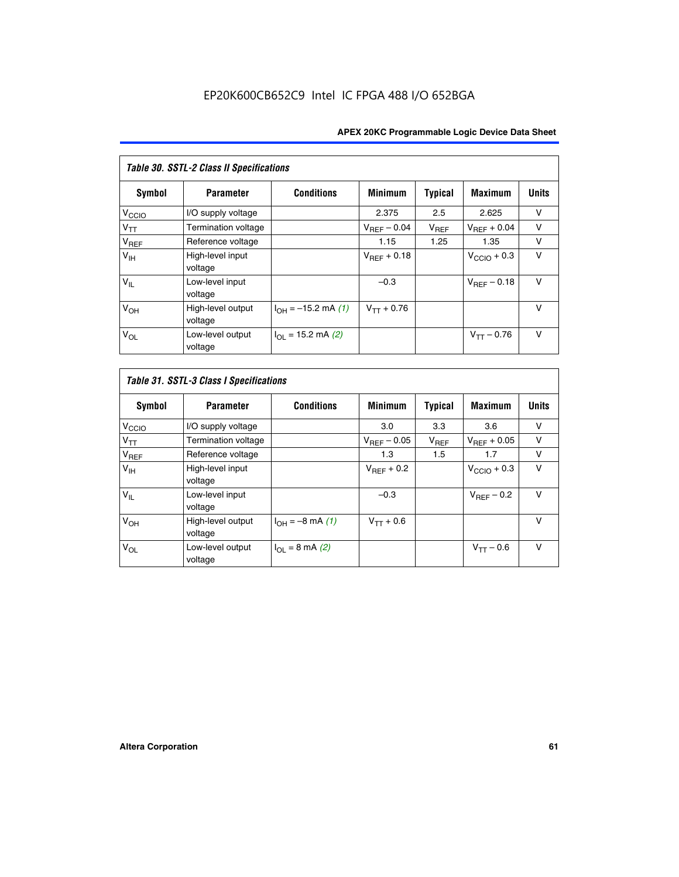| Table 30. SSTL-2 Class II Specifications |                              |                              |                         |                |                         |              |
|------------------------------------------|------------------------------|------------------------------|-------------------------|----------------|-------------------------|--------------|
| Symbol                                   | <b>Parameter</b>             | <b>Conditions</b>            | <b>Minimum</b>          | <b>Typical</b> | <b>Maximum</b>          | <b>Units</b> |
| $V_{\text{CCIO}}$                        | I/O supply voltage           |                              | 2.375                   | 2.5            | 2.625                   | v            |
| $V_{TT}$                                 | <b>Termination voltage</b>   |                              | $V_{REF} - 0.04$        | $V_{REF}$      | $V_{BFF} + 0.04$        | $\vee$       |
| $V_{REF}$                                | Reference voltage            |                              | 1.15                    | 1.25           | 1.35                    | v            |
| V <sub>IH</sub>                          | High-level input<br>voltage  |                              | $V_{\text{RFF}} + 0.18$ |                | $V_{\text{CCIO}} + 0.3$ | $\vee$       |
| $V_{IL}$                                 | Low-level input<br>voltage   |                              | $-0.3$                  |                | $V_{BFE} - 0.18$        | $\vee$       |
| V <sub>OH</sub>                          | High-level output<br>voltage | $I_{OH} = -15.2$ mA (1)      | $V_{TT} + 0.76$         |                |                         | $\vee$       |
| $V_{OL}$                                 | Low-level output<br>voltage  | $I_{\Omega I}$ = 15.2 mA (2) |                         |                | $V_{TT} - 0.76$         | $\vee$       |

| Symbol            | <b>Parameter</b>             | <b>Conditions</b>         | <b>Minimum</b>          | Typical   | <b>Maximum</b>          | <b>Units</b> |
|-------------------|------------------------------|---------------------------|-------------------------|-----------|-------------------------|--------------|
| V <sub>CCIO</sub> | I/O supply voltage           |                           | 3.0                     | 3.3       | 3.6                     | ν            |
| $V_{TT}$          | Termination voltage          |                           | $V_{\text{BFF}} - 0.05$ | $V_{REF}$ | $V_{\text{RFF}} + 0.05$ | v            |
| $V_{REF}$         | Reference voltage            |                           | 1.3                     | 1.5       | 1.7                     | v            |
| V <sub>IH</sub>   | High-level input<br>voltage  |                           | $V_{BFF}$ + 0.2         |           | $V_{\text{CCIO}} + 0.3$ | v            |
| $V_{IL}$          | Low-level input<br>voltage   |                           | $-0.3$                  |           | $V_{BFE}$ – 0.2         | $\vee$       |
| V <sub>OH</sub>   | High-level output<br>voltage | $I_{OH} = -8$ mA (1)      | $V_{TT} + 0.6$          |           |                         | v            |
| $V_{OL}$          | Low-level output<br>voltage  | $I_{\Omega I}$ = 8 mA (2) |                         |           | $V_{TT} - 0.6$          | $\vee$       |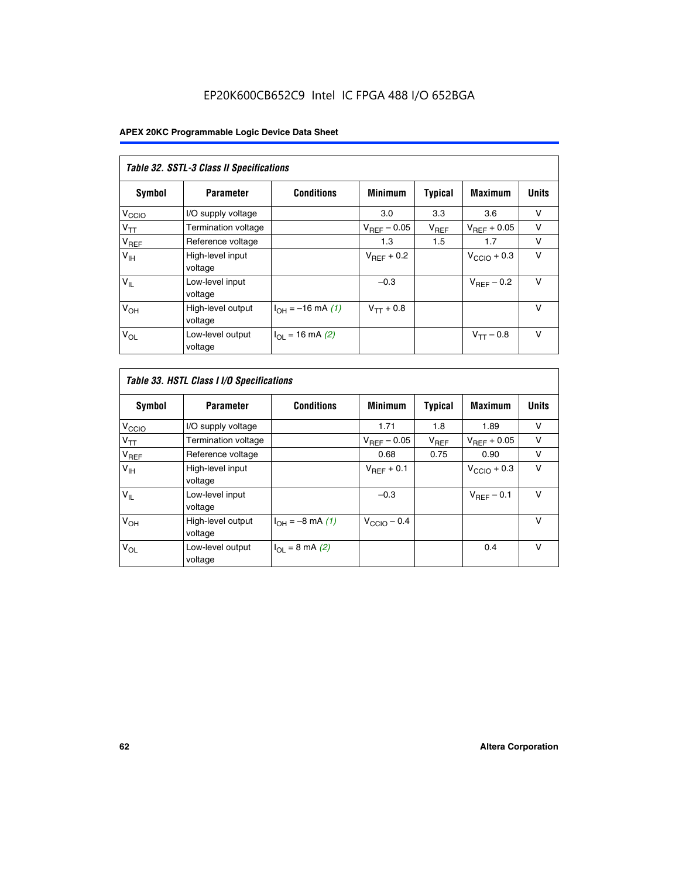# EP20K600CB652C9 Intel IC FPGA 488 I/O 652BGA

| Table 32. SSTL-3 Class II Specifications |                              |                          |                        |           |                         |              |
|------------------------------------------|------------------------------|--------------------------|------------------------|-----------|-------------------------|--------------|
| <b>Symbol</b>                            | <b>Parameter</b>             | <b>Conditions</b>        | <b>Minimum</b>         | Typical   | <b>Maximum</b>          | <b>Units</b> |
| V <sub>CCIO</sub>                        | I/O supply voltage           |                          | 3.0                    | 3.3       | 3.6                     | v            |
| $V_{TT}$                                 | <b>Termination voltage</b>   |                          | $V_{REF}$ – 0.05       | $V_{REF}$ | $V_{REF}$ + 0.05        | v            |
| $V_{REF}$                                | Reference voltage            |                          | 1.3                    | 1.5       | 1.7                     | v            |
| $V_{\text{IH}}$                          | High-level input<br>voltage  |                          | $V_{\text{RFF}} + 0.2$ |           | $V_{\text{CCIO}} + 0.3$ | v            |
| $V_{IL}$                                 | Low-level input<br>voltage   |                          | $-0.3$                 |           | $V_{\text{RFF}}$ – 0.2  | $\vee$       |
| V <sub>OH</sub>                          | High-level output<br>voltage | $I_{OH} = -16$ mA (1)    | $V_{TT} + 0.8$         |           |                         | $\vee$       |
| $V_{OL}$                                 | Low-level output<br>voltage  | $I_{\Omega}$ = 16 mA (2) |                        |           | $V_{TT} - 0.8$          | $\vee$       |

| Table 33. HSTL Class I I/O Specifications |                              |                              |                         |                |                         |              |
|-------------------------------------------|------------------------------|------------------------------|-------------------------|----------------|-------------------------|--------------|
| Symbol                                    | <b>Parameter</b>             | <b>Conditions</b>            | <b>Minimum</b>          | <b>Typical</b> | <b>Maximum</b>          | <b>Units</b> |
| V <sub>CCIO</sub>                         | I/O supply voltage           |                              | 1.71                    | 1.8            | 1.89                    | v            |
| $V_{TT}$                                  | Termination voltage          |                              | $V_{REF} - 0.05$        | $V_{REF}$      | $V_{\text{RFF}} + 0.05$ | v            |
| $V_{REF}$                                 | Reference voltage            |                              | 0.68                    | 0.75           | 0.90                    | $\vee$       |
| $V_{\text{IH}}$                           | High-level input<br>voltage  |                              | $V_{\text{RFF}} + 0.1$  |                | $V_{\text{CCIO}} + 0.3$ | $\vee$       |
| $V_{IL}$                                  | Low-level input<br>voltage   |                              | $-0.3$                  |                | $V_{\text{BFF}}$ – 0.1  | $\vee$       |
| V <sub>OH</sub>                           | High-level output<br>voltage | $I_{OH} = -8 \text{ mA} (1)$ | $V_{\text{CCIO}} - 0.4$ |                |                         | $\vee$       |
| $V_{OL}$                                  | Low-level output<br>voltage  | $I_{OL} = 8$ mA (2)          |                         |                | 0.4                     | $\vee$       |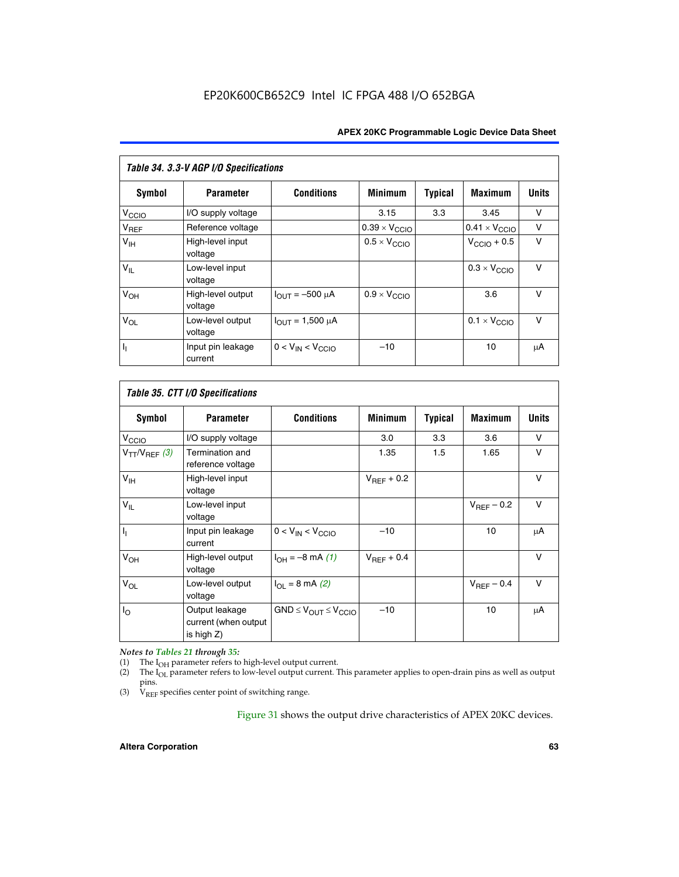| Table 34. 3.3-V AGP I/O Specifications |                              |                         |                               |                |                               |              |
|----------------------------------------|------------------------------|-------------------------|-------------------------------|----------------|-------------------------------|--------------|
| Symbol                                 | <b>Parameter</b>             | <b>Conditions</b>       | <b>Minimum</b>                | <b>Typical</b> | <b>Maximum</b>                | <b>Units</b> |
| V <sub>CCIO</sub>                      | I/O supply voltage           |                         | 3.15                          | 3.3            | 3.45                          | v            |
| $V_{REF}$                              | Reference voltage            |                         | $0.39 \times V_{\text{CCIO}}$ |                | $0.41 \times V_{\text{CCIO}}$ | v            |
| V <sub>IH</sub>                        | High-level input<br>voltage  |                         | $0.5 \times V_{\text{CCIO}}$  |                | $V_{\text{CCIO}} + 0.5$       | $\vee$       |
| $V_{IL}$                               | Low-level input<br>voltage   |                         |                               |                | $0.3 \times V_{\text{CCIO}}$  | $\vee$       |
| V <sub>OH</sub>                        | High-level output<br>voltage | $I_{OUT} = -500 \mu A$  | $0.9 \times V_{\text{CCIO}}$  |                | 3.6                           | $\vee$       |
| $V_{OL}$                               | Low-level output<br>voltage  | $I_{OUT} = 1,500 \mu A$ |                               |                | $0.1 \times V_{\text{CCIO}}$  | $\vee$       |
| h,                                     | Input pin leakage<br>current | $0 < V_{IN} < V_{CCIO}$ | $-10$                         |                | 10                            | μA           |

| Table 35. CTT I/O Specifications |                                                         |                                  |                        |         |                 |              |
|----------------------------------|---------------------------------------------------------|----------------------------------|------------------------|---------|-----------------|--------------|
| Symbol                           | <b>Parameter</b>                                        | <b>Conditions</b>                | <b>Minimum</b>         | Typical | <b>Maximum</b>  | <b>Units</b> |
| V <sub>CCIO</sub>                | I/O supply voltage                                      |                                  | 3.0                    | 3.3     | 3.6             | V            |
| $V_{TT}/V_{REF}$ (3)             | Termination and<br>reference voltage                    |                                  | 1.35                   | 1.5     | 1.65            | V            |
| V <sub>IH</sub>                  | High-level input<br>voltage                             |                                  | $V_{\text{RFF}} + 0.2$ |         |                 | $\vee$       |
| $V_{IL}$                         | Low-level input<br>voltage                              |                                  |                        |         | $V_{REF}$ – 0.2 | $\vee$       |
| Π                                | Input pin leakage<br>current                            | $0 < V_{IN} < V_{CCIO}$          | $-10$                  |         | 10              | μA           |
| V <sub>OH</sub>                  | High-level output<br>voltage                            | $I_{OH} = -8$ mA (1)             | $V_{BFF}$ + 0.4        |         |                 | $\vee$       |
| $V_{OL}$                         | Low-level output<br>voltage                             | $I_{\Omega}$ = 8 mA (2)          |                        |         | $V_{REF}$ – 0.4 | $\vee$       |
| I <sub>0</sub>                   | Output leakage<br>current (when output<br>is high $Z$ ) | $GND \leq V_{OUT} \leq V_{CCIO}$ | $-10$                  |         | 10              | μA           |

*Notes to Tables 21 through 35:*

(1) The  $I_{OH}$  parameter refers to high-level output current.<br>
(2) The  $I_{OL}$  parameter refers to low-level output current. T

The I<sub>OL</sub> parameter refers to low-level output current. This parameter applies to open-drain pins as well as output pins.

(3)  $\hat{V}_{REF}$  specifies center point of switching range.

Figure 31 shows the output drive characteristics of APEX 20KC devices.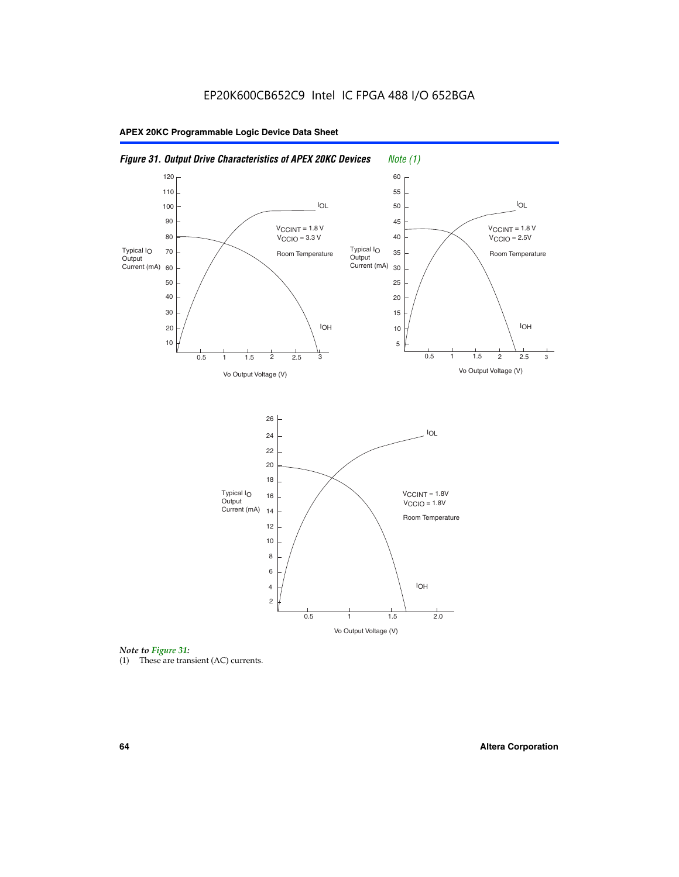



(1) These are transient (AC) currents.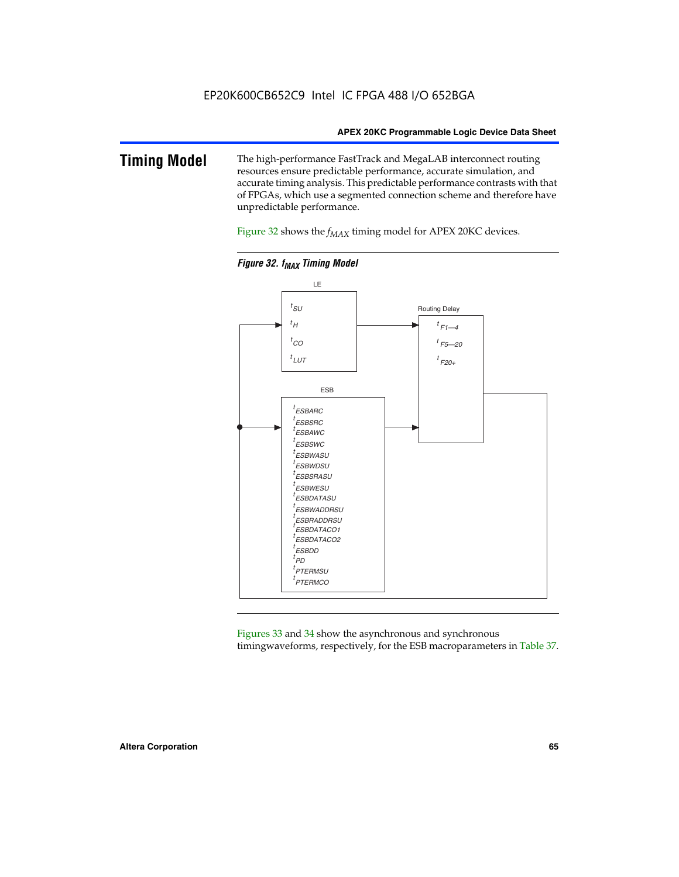### **Timing Model** The high-performance FastTrack and MegaLAB interconnect routing resources ensure predictable performance, accurate simulation, and accurate timing analysis. This predictable performance contrasts with that of FPGAs, which use a segmented connection scheme and therefore have unpredictable performance.

Figure 32 shows the  $f_{MAX}$  timing model for APEX 20KC devices.



**Figure 32. f<sub>MAX</sub> Timing Model** 

Figures 33 and 34 show the asynchronous and synchronous timingwaveforms, respectively, for the ESB macroparameters in Table 37.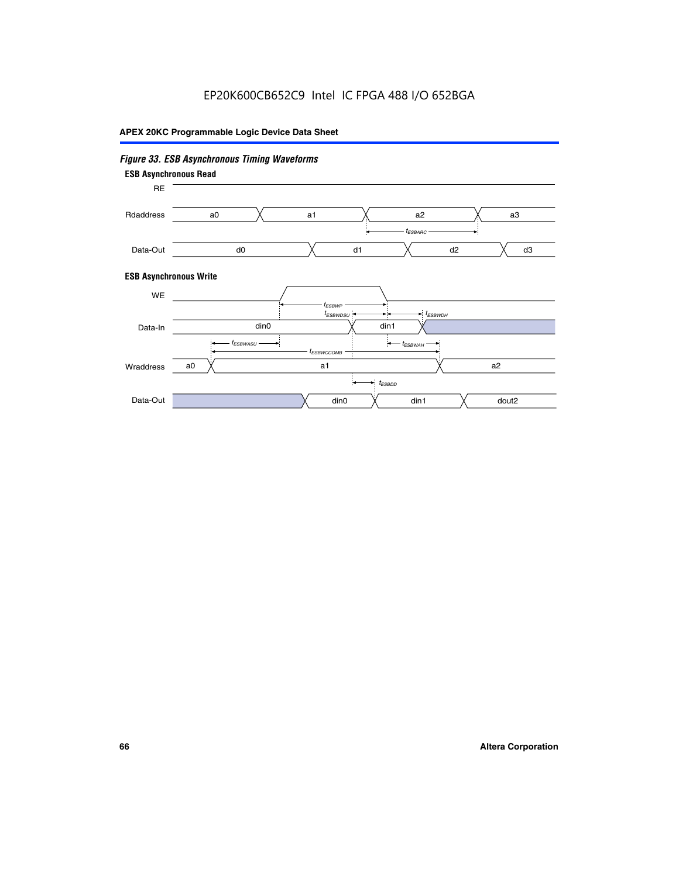# EP20K600CB652C9 Intel IC FPGA 488 I/O 652BGA

# **APEX 20KC Programmable Logic Device Data Sheet**

## *Figure 33. ESB Asynchronous Timing Waveforms*

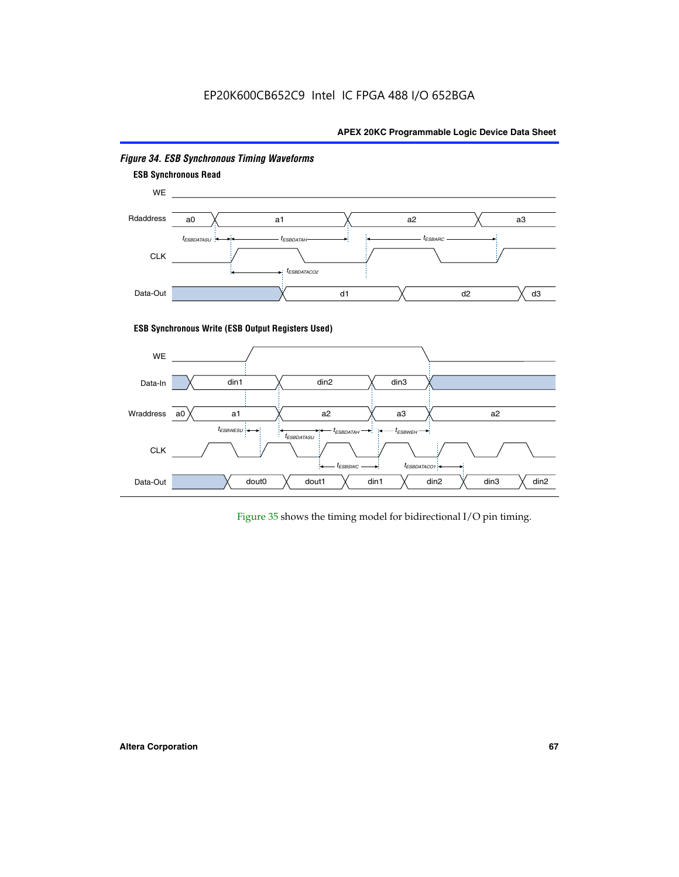# EP20K600CB652C9 Intel IC FPGA 488 I/O 652BGA

### **APEX 20KC Programmable Logic Device Data Sheet**



### *Figure 34. ESB Synchronous Timing Waveforms*

Figure 35 shows the timing model for bidirectional I/O pin timing.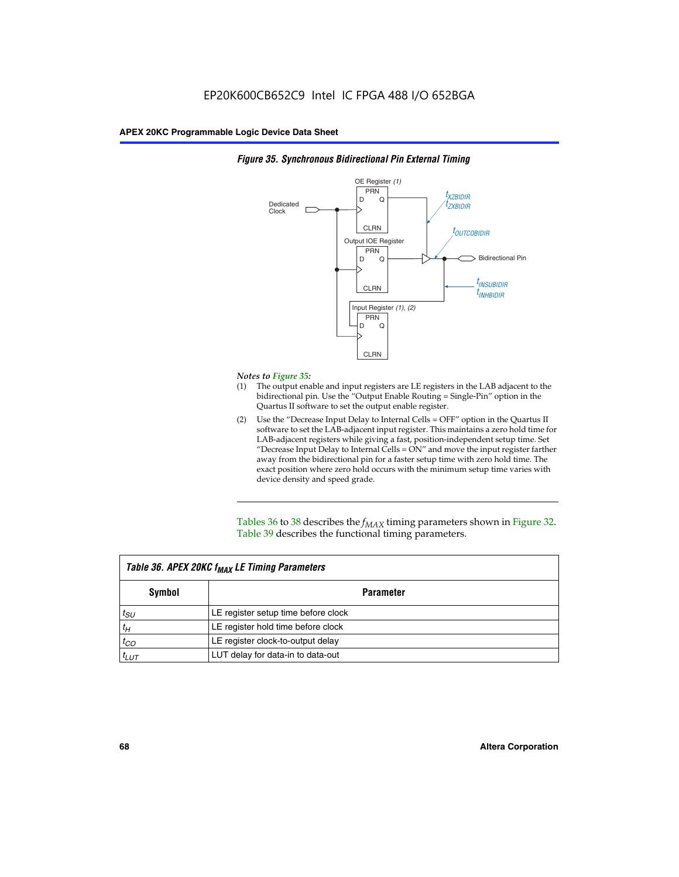

### *Figure 35. Synchronous Bidirectional Pin External Timing*

### *Notes to Figure 35:*

- (1) The output enable and input registers are LE registers in the LAB adjacent to the bidirectional pin. Use the "Output Enable Routing = Single-Pin" option in the Quartus II software to set the output enable register.
- (2) Use the "Decrease Input Delay to Internal Cells = OFF" option in the Quartus II software to set the LAB-adjacent input register. This maintains a zero hold time for LAB-adjacent registers while giving a fast, position-independent setup time. Set "Decrease Input Delay to Internal Cells  $= ON''$  and move the input register farther away from the bidirectional pin for a faster setup time with zero hold time. The exact position where zero hold occurs with the minimum setup time varies with device density and speed grade.

Tables 36 to 38 describes the  $f_{MAX}$  timing parameters shown in Figure 32. Table 39 describes the functional timing parameters.

| Table 36. APEX 20KC f <sub>MAX</sub> LE Timing Parameters |                                     |  |  |  |
|-----------------------------------------------------------|-------------------------------------|--|--|--|
| Symbol                                                    | Parameter                           |  |  |  |
| $t_{SU}$                                                  | LE register setup time before clock |  |  |  |
| $t_H$                                                     | LE register hold time before clock  |  |  |  |
| $t_{CO}$                                                  | LE register clock-to-output delay   |  |  |  |
| $t_{LUT}$                                                 | LUT delay for data-in to data-out   |  |  |  |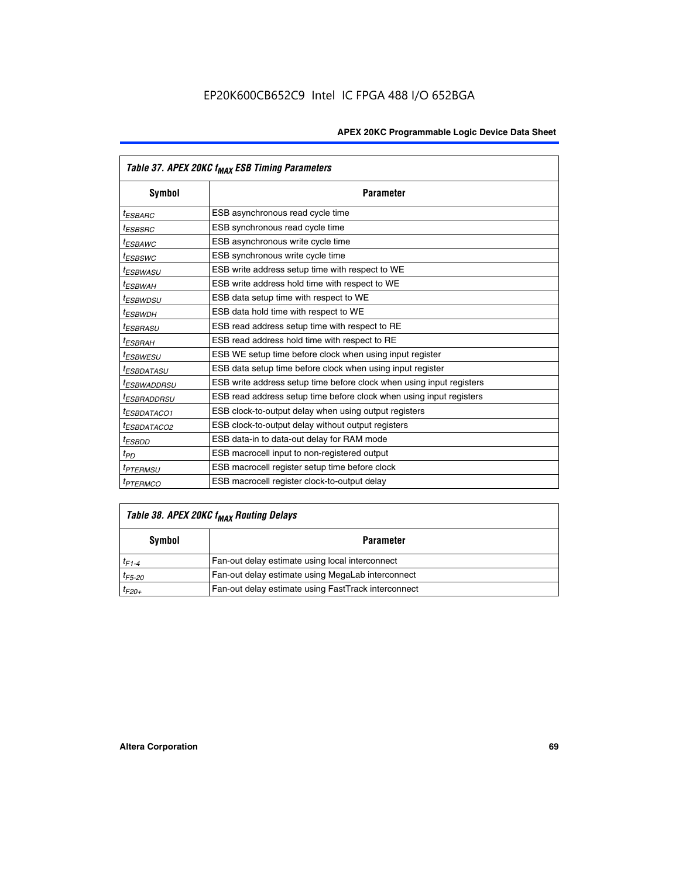|                         | Table 37. APEX 20KC f <sub>MAX</sub> ESB Timing Parameters           |
|-------------------------|----------------------------------------------------------------------|
| Symbol                  | <b>Parameter</b>                                                     |
| <sup>t</sup> ESBARC     | ESB asynchronous read cycle time                                     |
| <sup>t</sup> ESBSRC     | ESB synchronous read cycle time                                      |
| <sup>t</sup> ESBAWC     | ESB asynchronous write cycle time                                    |
| <sup>t</sup> ESBSWC     | ESB synchronous write cycle time                                     |
| <sup>t</sup> ESBWASU    | ESB write address setup time with respect to WE                      |
| <sup>t</sup> ESBWAH     | ESB write address hold time with respect to WE                       |
| <sup>t</sup> ESBWDSU    | ESB data setup time with respect to WE                               |
| t <sub>ESBWDН</sub>     | ESB data hold time with respect to WE                                |
| <sup>t</sup> ESBRASU    | ESB read address setup time with respect to RE                       |
| <sup>t</sup> ESBRAH     | ESB read address hold time with respect to RE                        |
| <sup>I</sup> ESBWESU    | ESB WE setup time before clock when using input register             |
| <sup>t</sup> ESBDATASU  | ESB data setup time before clock when using input register           |
| <sup>t</sup> ESBWADDRSU | ESB write address setup time before clock when using input registers |
| <sup>t</sup> ESBRADDRSU | ESB read address setup time before clock when using input registers  |
| <sup>t</sup> ESBDATACO1 | ESB clock-to-output delay when using output registers                |
| <sup>t</sup> ESBDATACO2 | ESB clock-to-output delay without output registers                   |
| <sup>t</sup> ESBDD      | ESB data-in to data-out delay for RAM mode                           |
| $t_{PD}$                | ESB macrocell input to non-registered output                         |
| <sup>t</sup> PTERMSU    | ESB macrocell register setup time before clock                       |
| <sup>t</sup> PTERMCO    | ESB macrocell register clock-to-output delay                         |

# *Table 38. APEX 20KC fMAX Routing Delays*

| Symbol      | <b>Parameter</b>                                    |  |  |
|-------------|-----------------------------------------------------|--|--|
| $t_{F1-4}$  | Fan-out delay estimate using local interconnect     |  |  |
| $t_{F5-20}$ | Fan-out delay estimate using MegaLab interconnect   |  |  |
| $t_{F20+}$  | Fan-out delay estimate using FastTrack interconnect |  |  |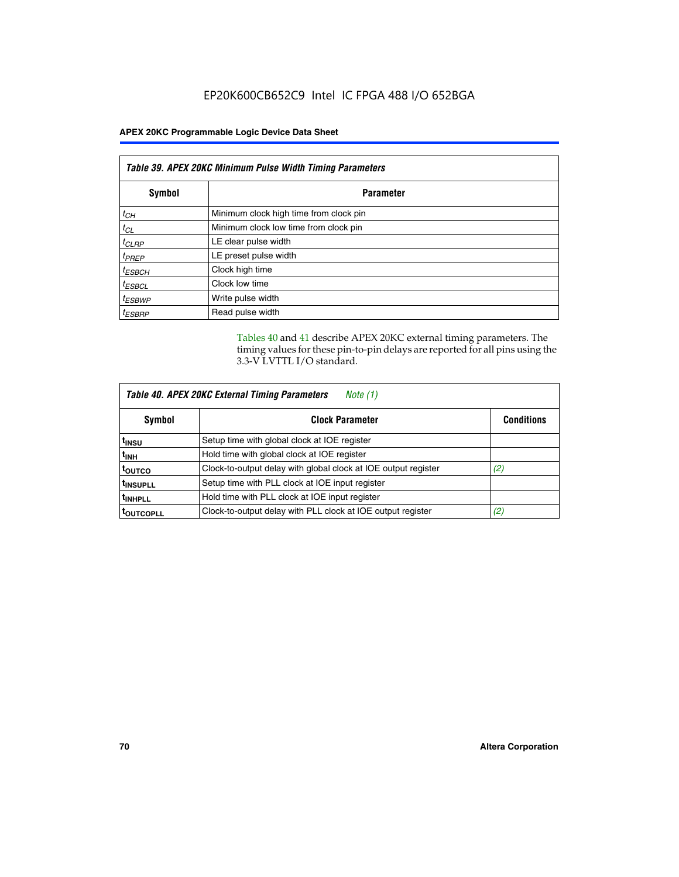| Table 39. APEX 20KC Minimum Pulse Width Timing Parameters |                                        |  |
|-----------------------------------------------------------|----------------------------------------|--|
| Symbol                                                    | <b>Parameter</b>                       |  |
| $t_{CH}$                                                  | Minimum clock high time from clock pin |  |
| $t_{CL}$                                                  | Minimum clock low time from clock pin  |  |
| $t_{CLRP}$                                                | LE clear pulse width                   |  |
| $t_{PREF}$                                                | LE preset pulse width                  |  |
| $t_{ESBCH}$                                               | Clock high time                        |  |
| $t_{ESBCL}$                                               | Clock low time                         |  |
| <sup>t</sup> ESBWP                                        | Write pulse width                      |  |
| <sup>t</sup> ESBRP                                        | Read pulse width                       |  |

Tables 40 and 41 describe APEX 20KC external timing parameters. The timing values for these pin-to-pin delays are reported for all pins using the 3.3-V LVTTL I/O standard.

| Table 40. APEX 20KC External Timing Parameters<br>Note (1) |                                                                |                   |  |
|------------------------------------------------------------|----------------------------------------------------------------|-------------------|--|
| Symbol                                                     | <b>Clock Parameter</b>                                         | <b>Conditions</b> |  |
| t <sub>insu</sub>                                          | Setup time with global clock at IOE register                   |                   |  |
| t <sub>inh</sub>                                           | Hold time with global clock at IOE register                    |                   |  |
| toutco                                                     | Clock-to-output delay with global clock at IOE output register | (2)               |  |
| <sup>t</sup> INSUPLL                                       | Setup time with PLL clock at IOE input register                |                   |  |
| <sup>t</sup> INHPLL                                        | Hold time with PLL clock at IOE input register                 |                   |  |
| <b>TOUTCOPLL</b>                                           | Clock-to-output delay with PLL clock at IOE output register    | (2)               |  |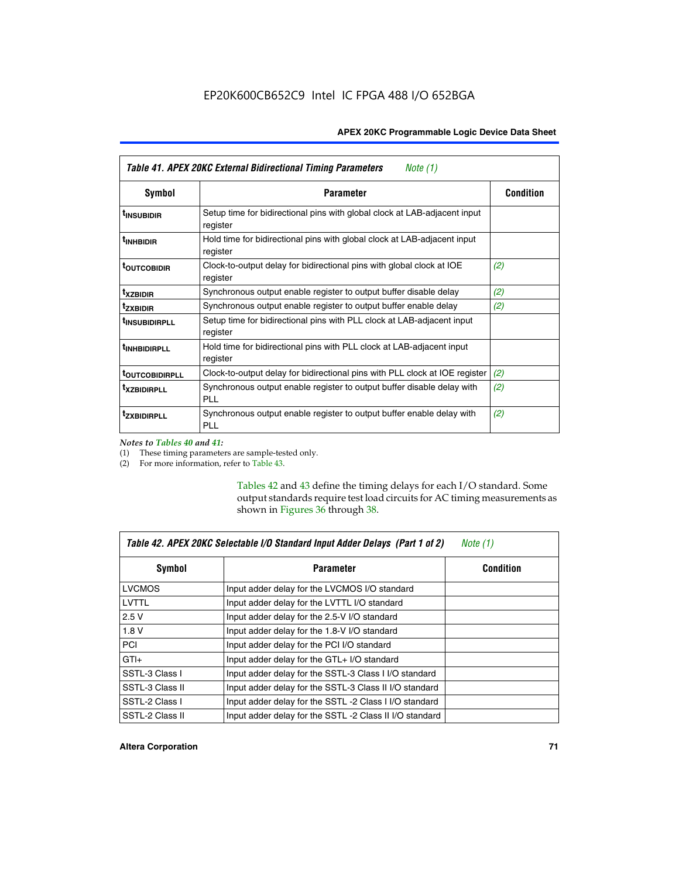| Table 41. APEX 20KC External Bidirectional Timing Parameters<br>Note (1) |                                                                                       |                  |  |  |
|--------------------------------------------------------------------------|---------------------------------------------------------------------------------------|------------------|--|--|
| Symbol                                                                   | <b>Parameter</b>                                                                      | <b>Condition</b> |  |  |
| <sup>t</sup> INSUBIDIR                                                   | Setup time for bidirectional pins with global clock at LAB-adjacent input<br>register |                  |  |  |
| <sup>t</sup> inhbidir                                                    | Hold time for bidirectional pins with global clock at LAB-adjacent input<br>register  |                  |  |  |
| <sup>t</sup> OUTCOBIDIR                                                  | Clock-to-output delay for bidirectional pins with global clock at IOE<br>register     | (2)              |  |  |
| <sup>t</sup> xzbidir                                                     | Synchronous output enable register to output buffer disable delay                     | (2)              |  |  |
| <sup>t</sup> zxbidir                                                     | Synchronous output enable register to output buffer enable delay                      | (2)              |  |  |
| <sup>t</sup> insubidirpll                                                | Setup time for bidirectional pins with PLL clock at LAB-adjacent input<br>register    |                  |  |  |
| <sup>t</sup> INHBIDIRPLL                                                 | Hold time for bidirectional pins with PLL clock at LAB-adjacent input<br>register     |                  |  |  |
| <sup>t</sup> outcobidirpll                                               | Clock-to-output delay for bidirectional pins with PLL clock at IOE register           | (2)              |  |  |
| <sup>t</sup> xzbidirpll                                                  | Synchronous output enable register to output buffer disable delay with<br><b>PLL</b>  | (2)              |  |  |
| <sup>t</sup> zxbidirpli                                                  | Synchronous output enable register to output buffer enable delay with<br><b>PLL</b>   | (2)              |  |  |

*Notes to Tables 40 and 41:*

г

(1) These timing parameters are sample-tested only.

(2) For more information, refer to Table 43.

Tables 42 and 43 define the timing delays for each I/O standard. Some output standards require test load circuits for AC timing measurements as shown in Figures 36 through 38.

| Table 42. APEX 20KC Selectable I/O Standard Input Adder Delays (Part 1 of 2)<br>Note $(1)$ |                                                         |                  |  |  |
|--------------------------------------------------------------------------------------------|---------------------------------------------------------|------------------|--|--|
| Symbol                                                                                     | <b>Parameter</b>                                        | <b>Condition</b> |  |  |
| <b>LVCMOS</b>                                                                              | Input adder delay for the LVCMOS I/O standard           |                  |  |  |
| LVTTL                                                                                      | Input adder delay for the LVTTL I/O standard            |                  |  |  |
| 2.5V                                                                                       | Input adder delay for the 2.5-V I/O standard            |                  |  |  |
| 1.8V                                                                                       | Input adder delay for the 1.8-V I/O standard            |                  |  |  |
| <b>PCI</b>                                                                                 | Input adder delay for the PCI I/O standard              |                  |  |  |
| $GTI +$                                                                                    | Input adder delay for the GTL+ I/O standard             |                  |  |  |
| SSTL-3 Class I                                                                             | Input adder delay for the SSTL-3 Class I I/O standard   |                  |  |  |
| SSTL-3 Class II                                                                            | Input adder delay for the SSTL-3 Class II I/O standard  |                  |  |  |
| SSTL-2 Class I                                                                             | Input adder delay for the SSTL -2 Class I I/O standard  |                  |  |  |
| SSTL-2 Class II                                                                            | Input adder delay for the SSTL -2 Class II I/O standard |                  |  |  |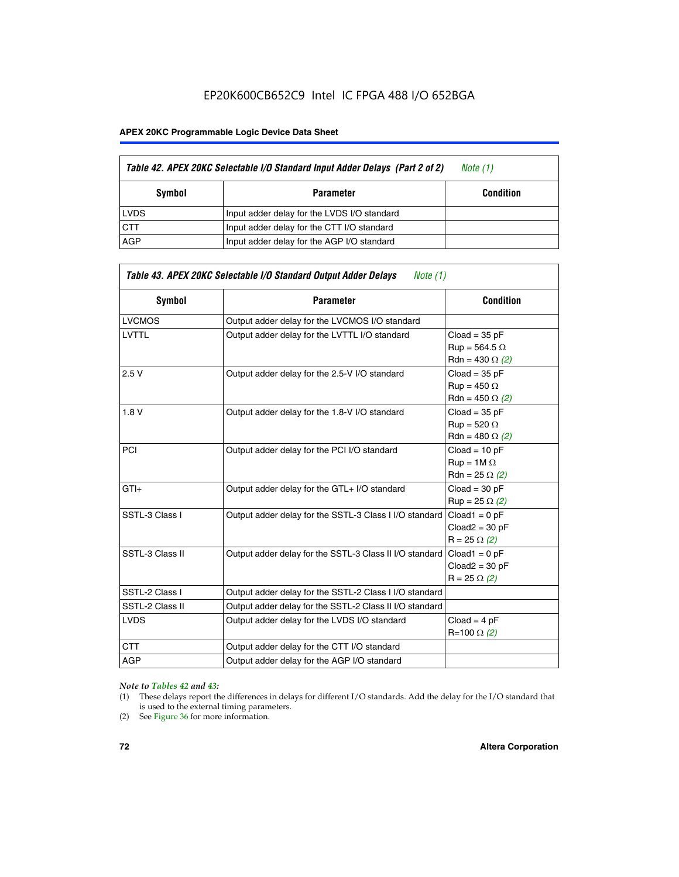## EP20K600CB652C9 Intel IC FPGA 488 I/O 652BGA

#### **APEX 20KC Programmable Logic Device Data Sheet**

|             | Table 42. APEX 20KC Selectable I/O Standard Input Adder Delays (Part 2 of 2) | Note (1)         |
|-------------|------------------------------------------------------------------------------|------------------|
| Symbol      | Parameter                                                                    | <b>Condition</b> |
| <b>LVDS</b> | Input adder delay for the LVDS I/O standard                                  |                  |
| <b>CTT</b>  | Input adder delay for the CTT I/O standard                                   |                  |
| AGP         | Input adder delay for the AGP I/O standard                                   |                  |

| Table 43. APEX 20KC Selectable I/O Standard Output Adder Delays<br>Note $(1)$ |                                                         |                                                                   |  |  |  |  |  |  |
|-------------------------------------------------------------------------------|---------------------------------------------------------|-------------------------------------------------------------------|--|--|--|--|--|--|
| Symbol                                                                        | <b>Parameter</b>                                        | <b>Condition</b>                                                  |  |  |  |  |  |  |
| <b>LVCMOS</b>                                                                 | Output adder delay for the LVCMOS I/O standard          |                                                                   |  |  |  |  |  |  |
| <b>LVTTL</b>                                                                  | Output adder delay for the LVTTL I/O standard           | $Cloud = 35 pF$<br>$Run = 564.5 \Omega$<br>Rdn = 430 $\Omega$ (2) |  |  |  |  |  |  |
| 2.5V                                                                          | Output adder delay for the 2.5-V I/O standard           | $Cloud = 35 pF$<br>$Run = 450 \Omega$<br>Rdn = 450 $\Omega$ (2)   |  |  |  |  |  |  |
| 1.8V                                                                          | Output adder delay for the 1.8-V I/O standard           | $Cloud = 35 pF$<br>$Run = 520 \Omega$<br>Rdn = 480 $\Omega$ (2)   |  |  |  |  |  |  |
| PCI                                                                           | Output adder delay for the PCI I/O standard             | $Cloud = 10 pF$<br>$Run = 1M \Omega$<br>$Rdn = 25 \Omega (2)$     |  |  |  |  |  |  |
| $GTI +$                                                                       | Output adder delay for the GTL+ I/O standard            | $Cloud = 30 pF$<br>$Run = 25 \Omega (2)$                          |  |  |  |  |  |  |
| SSTL-3 Class I                                                                | Output adder delay for the SSTL-3 Class I I/O standard  | $Cloud1 = 0 pF$<br>$Cloud2 = 30 pF$<br>$R = 25 \Omega (2)$        |  |  |  |  |  |  |
| SSTL-3 Class II                                                               | Output adder delay for the SSTL-3 Class II I/O standard | $Cloud1 = 0 pF$<br>$Cloud2 = 30 pF$<br>$R = 25 \Omega (2)$        |  |  |  |  |  |  |
| SSTL-2 Class I                                                                | Output adder delay for the SSTL-2 Class I I/O standard  |                                                                   |  |  |  |  |  |  |
| SSTL-2 Class II                                                               | Output adder delay for the SSTL-2 Class II I/O standard |                                                                   |  |  |  |  |  |  |
| <b>LVDS</b>                                                                   | Output adder delay for the LVDS I/O standard            | $Cloud = 4 pF$<br>R=100 Ω (2)                                     |  |  |  |  |  |  |
| <b>CTT</b>                                                                    | Output adder delay for the CTT I/O standard             |                                                                   |  |  |  |  |  |  |
| <b>AGP</b>                                                                    | Output adder delay for the AGP I/O standard             |                                                                   |  |  |  |  |  |  |

#### *Note to Tables 42 and 43:*

- (1) These delays report the differences in delays for different I/O standards. Add the delay for the I/O standard that is used to the external timing parameters.
- (2) See Figure 36 for more information.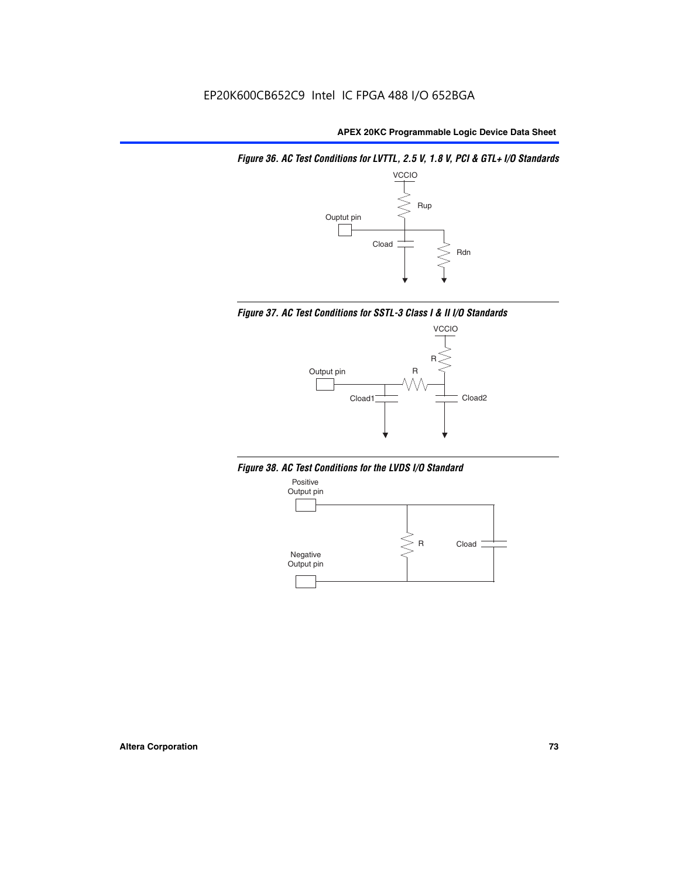*Figure 36. AC Test Conditions for LVTTL, 2.5 V, 1.8 V, PCI & GTL+ I/O Standards*







*Figure 38. AC Test Conditions for the LVDS I/O Standard*

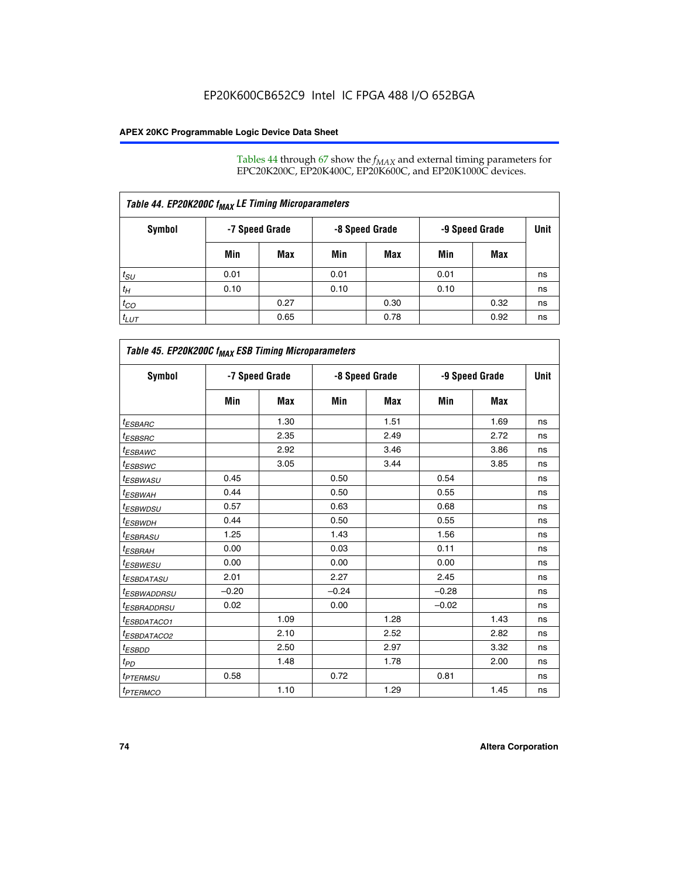Tables 44 through 67 show the  $f_{MAX}$  and external timing parameters for EPC20K200C, EP20K400C, EP20K600C, and EP20K1000C devices.

| Table 44. EP20K200C f <sub>MAX</sub> LE Timing Microparameters |                |      |      |                |      |                |    |  |  |  |
|----------------------------------------------------------------|----------------|------|------|----------------|------|----------------|----|--|--|--|
| Symbol                                                         | -7 Speed Grade |      |      | -8 Speed Grade |      | -9 Speed Grade |    |  |  |  |
|                                                                | Min            | Max  | Min  | Max            | Min  | Max            |    |  |  |  |
| $t_{SU}$                                                       | 0.01           |      | 0.01 |                | 0.01 |                | ns |  |  |  |
| $t_H$                                                          | 0.10           |      | 0.10 |                | 0.10 |                | ns |  |  |  |
| $t_{CO}$                                                       |                | 0.27 |      | 0.30           |      | 0.32           | ns |  |  |  |
| $t_{LUT}$                                                      |                | 0.65 |      | 0.78           |      | 0.92           | ns |  |  |  |

| Table 45. EP20K200C f <sub>MAX</sub> ESB Timing Microparameters |                |      |         |                |         |                |    |
|-----------------------------------------------------------------|----------------|------|---------|----------------|---------|----------------|----|
| <b>Symbol</b>                                                   | -7 Speed Grade |      |         | -8 Speed Grade |         | -9 Speed Grade |    |
|                                                                 | Min            | Max  | Min     | Max            | Min     | Max            |    |
| <sup>t</sup> ESBARC                                             |                | 1.30 |         | 1.51           |         | 1.69           | ns |
| <sup>t</sup> ESBSRC                                             |                | 2.35 |         | 2.49           |         | 2.72           | ns |
| t <sub>ESBAWC</sub>                                             |                | 2.92 |         | 3.46           |         | 3.86           | ns |
| t <sub>ESBSWC</sub>                                             |                | 3.05 |         | 3.44           |         | 3.85           | ns |
| t <sub>ESBWASU</sub>                                            | 0.45           |      | 0.50    |                | 0.54    |                | ns |
| <sup>t</sup> ESBW <u>AH</u>                                     | 0.44           |      | 0.50    |                | 0.55    |                | ns |
| <sup>t</sup> ESBWDSU                                            | 0.57           |      | 0.63    |                | 0.68    |                | ns |
| <sup>t</sup> ESBWDH                                             | 0.44           |      | 0.50    |                | 0.55    |                | ns |
| t <sub>ESBRASU</sub>                                            | 1.25           |      | 1.43    |                | 1.56    |                | ns |
| <sup>t</sup> ESBRAH                                             | 0.00           |      | 0.03    |                | 0.11    |                | ns |
| <sup>t</sup> ESBWESU                                            | 0.00           |      | 0.00    |                | 0.00    |                | ns |
| <sup>t</sup> ES <u>BDATASU</u>                                  | 2.01           |      | 2.27    |                | 2.45    |                | ns |
| <sup>t</sup> ESBWADDRSU                                         | $-0.20$        |      | $-0.24$ |                | $-0.28$ |                | ns |
| <sup>t</sup> ESBRADDRSU                                         | 0.02           |      | 0.00    |                | $-0.02$ |                | ns |
| <sup>t</sup> ESBDA <u>TACO1</u>                                 |                | 1.09 |         | 1.28           |         | 1.43           | ns |
| <sup>t</sup> ESBDATACO2                                         |                | 2.10 |         | 2.52           |         | 2.82           | ns |
| <sup>t</sup> ESBDD                                              |                | 2.50 |         | 2.97           |         | 3.32           | ns |
| $t_{PD}$                                                        |                | 1.48 |         | 1.78           |         | 2.00           | ns |
| <sup>t</sup> PTERMSU                                            | 0.58           |      | 0.72    |                | 0.81    |                | ns |
| <b>t</b> <sub>PTERMCO</sub>                                     |                | 1.10 |         | 1.29           |         | 1.45           | ns |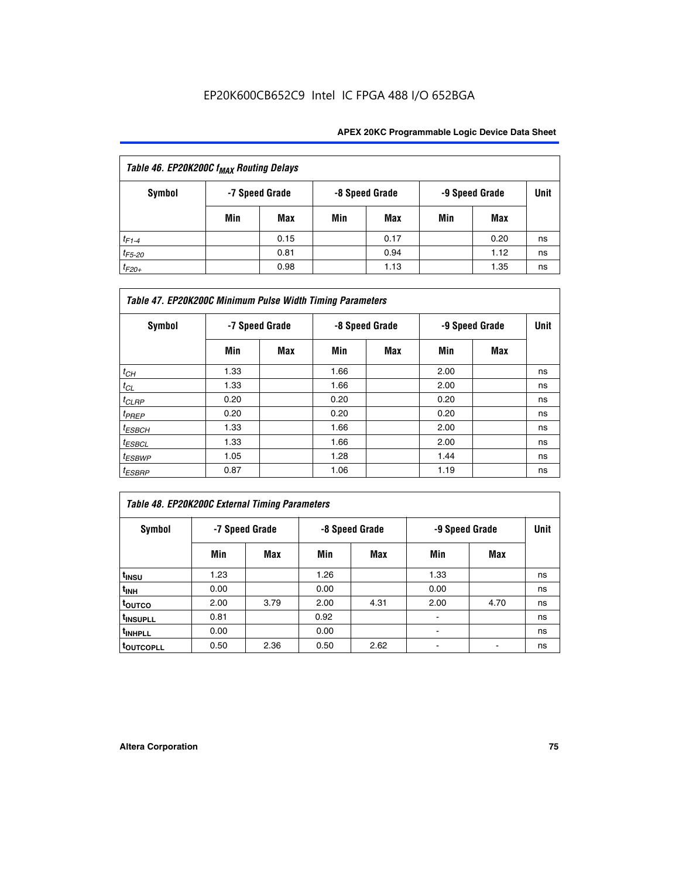| Table 46. EP20K200C f <sub>MAX</sub> Routing Delays |     |                |     |                |                |      |      |  |  |
|-----------------------------------------------------|-----|----------------|-----|----------------|----------------|------|------|--|--|
| Symbol                                              |     | -7 Speed Grade |     | -8 Speed Grade | -9 Speed Grade |      | Unit |  |  |
|                                                     | Min | Max            | Min | Max            | Min            | Max  |      |  |  |
| $t_{F1-4}$                                          |     | 0.15           |     | 0.17           |                | 0.20 | ns   |  |  |
| $t_{F5-20}$                                         |     | 0.81           |     | 0.94           |                | 1.12 | ns   |  |  |
| $t_{F20+}$                                          |     | 0.98           |     | 1.13           |                | 1.35 | ns   |  |  |

| Table 47. EP20K200C Minimum Pulse Width Timing Parameters |                |     |      |                |      |                |      |  |  |  |
|-----------------------------------------------------------|----------------|-----|------|----------------|------|----------------|------|--|--|--|
| Symbol                                                    | -7 Speed Grade |     |      | -8 Speed Grade |      | -9 Speed Grade | Unit |  |  |  |
|                                                           | Min            | Max | Min  | Max            | Min  | Max            |      |  |  |  |
| $t_{CH}$                                                  | 1.33           |     | 1.66 |                | 2.00 |                | ns   |  |  |  |
| $t_{CL}$                                                  | 1.33           |     | 1.66 |                | 2.00 |                | ns   |  |  |  |
| $t_{CLRP}$                                                | 0.20           |     | 0.20 |                | 0.20 |                | ns   |  |  |  |
| $t_{PREF}$                                                | 0.20           |     | 0.20 |                | 0.20 |                | ns   |  |  |  |
| $t_{ESBCH}$                                               | 1.33           |     | 1.66 |                | 2.00 |                | ns   |  |  |  |
| $t_{ESBCL}$                                               | 1.33           |     | 1.66 |                | 2.00 |                | ns   |  |  |  |
| $t_{ESBWP}$                                               | 1.05           |     | 1.28 |                | 1.44 |                | ns   |  |  |  |
| $t_{ESBRP}$                                               | 0.87           |     | 1.06 |                | 1.19 |                | ns   |  |  |  |

# *Table 48. EP20K200C External Timing Parameters*

| Symbol                |      | -7 Speed Grade |      | -8 Speed Grade |      | -9 Speed Grade |    |  |
|-----------------------|------|----------------|------|----------------|------|----------------|----|--|
|                       | Min  | Max            | Min  | Max            | Min  | Max            |    |  |
| t <sub>INSU</sub>     | 1.23 |                | 1.26 |                | 1.33 |                | ns |  |
| t <sub>INH</sub>      | 0.00 |                | 0.00 |                | 0.00 |                | ns |  |
| toutco                | 2.00 | 3.79           | 2.00 | 4.31           | 2.00 | 4.70           | ns |  |
| t <sub>INSUPLL</sub>  | 0.81 |                | 0.92 |                |      |                | ns |  |
| t <sub>INHPLL</sub>   | 0.00 |                | 0.00 |                |      |                | ns |  |
| t <sub>outcopll</sub> | 0.50 | 2.36           | 0.50 | 2.62           |      |                | ns |  |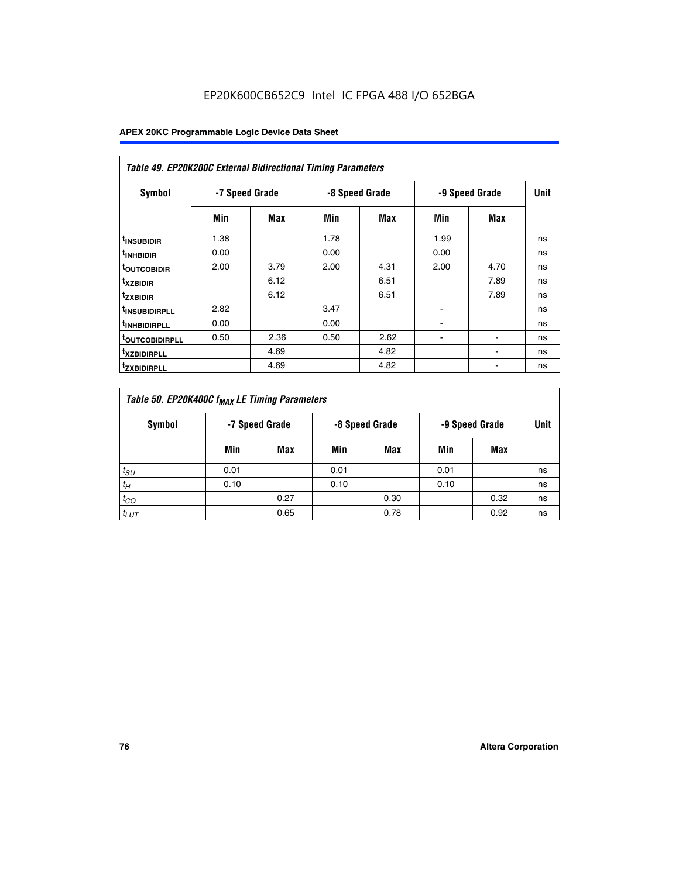| Table 49. EP20K200C External Bidirectional Timing Parameters |                |      |      |                |                          |             |    |  |  |  |
|--------------------------------------------------------------|----------------|------|------|----------------|--------------------------|-------------|----|--|--|--|
| Symbol                                                       | -7 Speed Grade |      |      | -8 Speed Grade | -9 Speed Grade           | <b>Unit</b> |    |  |  |  |
|                                                              | Min            | Max  | Min  | Max            | Min                      | Max         |    |  |  |  |
| <sup>t</sup> INSUBIDIR                                       | 1.38           |      | 1.78 |                | 1.99                     |             | ns |  |  |  |
| <sup>t</sup> INHBIDIR                                        | 0.00           |      | 0.00 |                | 0.00                     |             | ns |  |  |  |
| <b><sup>t</sup>OUTCOBIDIR</b>                                | 2.00           | 3.79 | 2.00 | 4.31           | 2.00                     | 4.70        | ns |  |  |  |
| <sup>t</sup> xzbidir                                         |                | 6.12 |      | 6.51           |                          | 7.89        | ns |  |  |  |
| <sup>t</sup> zxbidir                                         |                | 6.12 |      | 6.51           |                          | 7.89        | ns |  |  |  |
| <sup>t</sup> insubidirpll                                    | 2.82           |      | 3.47 |                | $\overline{\phantom{a}}$ |             | ns |  |  |  |
| <sup>t</sup> INHBIDIRPLL                                     | 0.00           |      | 0.00 |                |                          |             | ns |  |  |  |
| <b>TOUTCOBIDIRPLL</b>                                        | 0.50           | 2.36 | 0.50 | 2.62           | ٠                        |             | ns |  |  |  |
| <sup>T</sup> XZBIDIRPLL                                      |                | 4.69 |      | 4.82           |                          |             | ns |  |  |  |
| <sup>I</sup> ZXBIDIRPLL                                      |                | 4.69 |      | 4.82           |                          |             | ns |  |  |  |

| Table 50. EP20K400C f <sub>MAX</sub> LE Timing Parameters |                                                    |      |      |      |      |      |    |  |  |
|-----------------------------------------------------------|----------------------------------------------------|------|------|------|------|------|----|--|--|
| Symbol                                                    | -7 Speed Grade<br>-8 Speed Grade<br>-9 Speed Grade |      |      | Unit |      |      |    |  |  |
|                                                           | Min                                                | Max  | Min  | Max  | Min  | Max  |    |  |  |
| $t_{SU}$                                                  | 0.01                                               |      | 0.01 |      | 0.01 |      | ns |  |  |
| $t_H$                                                     | 0.10                                               |      | 0.10 |      | 0.10 |      | ns |  |  |
| $t_{CO}$                                                  |                                                    | 0.27 |      | 0.30 |      | 0.32 | ns |  |  |
| $t_{LUT}$                                                 |                                                    | 0.65 |      | 0.78 |      | 0.92 | ns |  |  |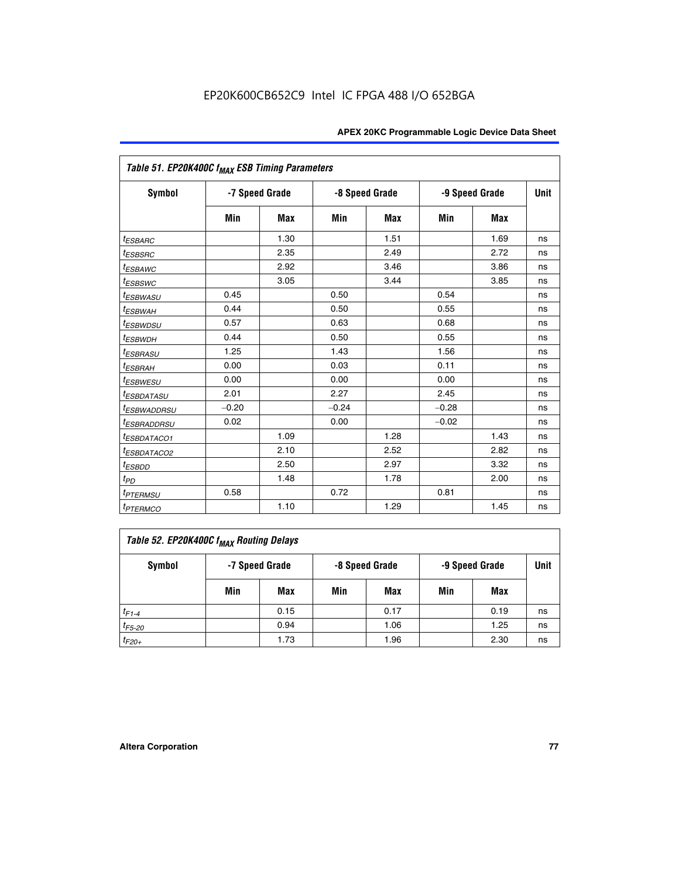|                            | Table 51. EP20K400C f <sub>MAX</sub> ESB Timing Parameters |            |         |                |         |                |             |  |  |  |
|----------------------------|------------------------------------------------------------|------------|---------|----------------|---------|----------------|-------------|--|--|--|
| <b>Symbol</b>              | -7 Speed Grade                                             |            |         | -8 Speed Grade |         | -9 Speed Grade | <b>Unit</b> |  |  |  |
|                            | Min                                                        | <b>Max</b> | Min     | <b>Max</b>     | Min     | <b>Max</b>     |             |  |  |  |
| <sup>t</sup> ESBARC        |                                                            | 1.30       |         | 1.51           |         | 1.69           | ns          |  |  |  |
| t <sub>ESBSRC</sub>        |                                                            | 2.35       |         | 2.49           |         | 2.72           | ns          |  |  |  |
| <sup>t</sup> ESBAWC        |                                                            | 2.92       |         | 3.46           |         | 3.86           | ns          |  |  |  |
| <sup>t</sup> ESBSWC        |                                                            | 3.05       |         | 3.44           |         | 3.85           | ns          |  |  |  |
| <sup>t</sup> ESBWASU       | 0.45                                                       |            | 0.50    |                | 0.54    |                | ns          |  |  |  |
| <sup>t</sup> ESBWAH        | 0.44                                                       |            | 0.50    |                | 0.55    |                | ns          |  |  |  |
| <sup>t</sup> ESBWDSU       | 0.57                                                       |            | 0.63    |                | 0.68    |                | ns          |  |  |  |
| <sup>t</sup> ESBWDH        | 0.44                                                       |            | 0.50    |                | 0.55    |                | ns          |  |  |  |
| <sup>t</sup> ESBRASU       | 1.25                                                       |            | 1.43    |                | 1.56    |                | ns          |  |  |  |
| <sup>t</sup> ESBRAH        | 0.00                                                       |            | 0.03    |                | 0.11    |                | ns          |  |  |  |
| <sup>t</sup> ESBWESU       | 0.00                                                       |            | 0.00    |                | 0.00    |                | ns          |  |  |  |
| <sup>t</sup> ESBDATASU     | 2.01                                                       |            | 2.27    |                | 2.45    |                | ns          |  |  |  |
| <sup>t</sup> ESBWADDRSU    | $-0.20$                                                    |            | $-0.24$ |                | $-0.28$ |                | ns          |  |  |  |
| <sup>t</sup> ESBRADDRSU    | 0.02                                                       |            | 0.00    |                | $-0.02$ |                | ns          |  |  |  |
| <sup>t</sup> ESBDATACO1    |                                                            | 1.09       |         | 1.28           |         | 1.43           | ns          |  |  |  |
| <sup>I</sup> ESBDATACO2    |                                                            | 2.10       |         | 2.52           |         | 2.82           | ns          |  |  |  |
| <sup>t</sup> ESBDD         |                                                            | 2.50       |         | 2.97           |         | 3.32           | ns          |  |  |  |
| t <sub>PD</sub>            |                                                            | 1.48       |         | 1.78           |         | 2.00           | ns          |  |  |  |
| <sup>t</sup> PTERMSU       | 0.58                                                       |            | 0.72    |                | 0.81    |                | ns          |  |  |  |
| <i>t<sub>PTERMCO</sub></i> |                                                            | 1.10       |         | 1.29           |         | 1.45           | ns          |  |  |  |

| Table 52. EP20K400C f <sub>MAX</sub> Routing Delays |     |                |     |                |                |      |      |  |  |
|-----------------------------------------------------|-----|----------------|-----|----------------|----------------|------|------|--|--|
| <b>Symbol</b>                                       |     | -7 Speed Grade |     | -8 Speed Grade | -9 Speed Grade |      | Unit |  |  |
|                                                     | Min | Max            | Min | Max            | Min            | Max  |      |  |  |
| $t_{F1-4}$                                          |     | 0.15           |     | 0.17           |                | 0.19 | ns   |  |  |
| $t_{F5-20}$                                         |     | 0.94           |     | 1.06           |                | 1.25 | ns   |  |  |
| $t_{F20+}$                                          |     | 1.73           |     | 1.96           |                | 2.30 | ns   |  |  |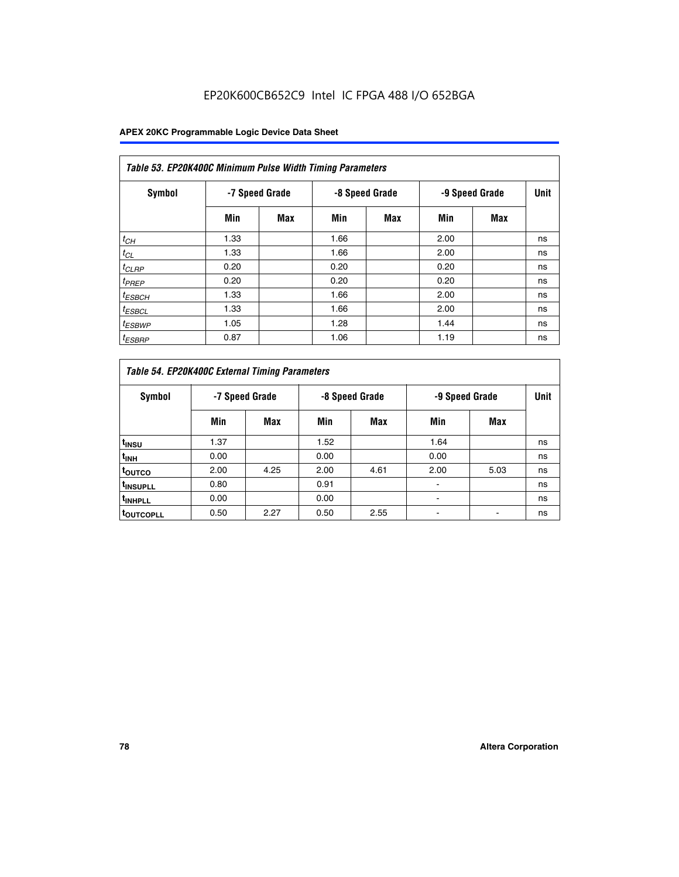# EP20K600CB652C9 Intel IC FPGA 488 I/O 652BGA

| Table 53. EP20K400C Minimum Pulse Width Timing Parameters |      |                |      |                |      |                |             |  |  |  |
|-----------------------------------------------------------|------|----------------|------|----------------|------|----------------|-------------|--|--|--|
| Symbol                                                    |      | -7 Speed Grade |      | -8 Speed Grade |      | -9 Speed Grade | <b>Unit</b> |  |  |  |
|                                                           | Min  | Max            | Min  | <b>Max</b>     | Min  | <b>Max</b>     |             |  |  |  |
| $t_{CH}$                                                  | 1.33 |                | 1.66 |                | 2.00 |                | ns          |  |  |  |
| $t_{CL}$                                                  | 1.33 |                | 1.66 |                | 2.00 |                | ns          |  |  |  |
| $t_{CLRP}$                                                | 0.20 |                | 0.20 |                | 0.20 |                | ns          |  |  |  |
| $t_{PREF}$                                                | 0.20 |                | 0.20 |                | 0.20 |                | ns          |  |  |  |
| <sup>t</sup> ESBCH                                        | 1.33 |                | 1.66 |                | 2.00 |                | ns          |  |  |  |
| <sup>t</sup> ESBCL                                        | 1.33 |                | 1.66 |                | 2.00 |                | ns          |  |  |  |
| $t_{ESBWP}$                                               | 1.05 |                | 1.28 |                | 1.44 |                | ns          |  |  |  |
| <sup>t</sup> ESBRP                                        | 0.87 |                | 1.06 |                | 1.19 |                | ns          |  |  |  |

| Table 54. EP20K400C External Timing Parameters |      |                |                |      |                |      |      |  |  |  |  |  |
|------------------------------------------------|------|----------------|----------------|------|----------------|------|------|--|--|--|--|--|
| <b>Symbol</b>                                  |      | -7 Speed Grade | -8 Speed Grade |      | -9 Speed Grade |      | Unit |  |  |  |  |  |
|                                                | Min  | Max            | Min            | Max  | Min            | Max  |      |  |  |  |  |  |
| t <sub>INSU</sub>                              | 1.37 |                | 1.52           |      | 1.64           |      | ns   |  |  |  |  |  |
| $t_{\rm INH}$                                  | 0.00 |                | 0.00           |      | 0.00           |      | ns   |  |  |  |  |  |
| <sup>t</sup> outco                             | 2.00 | 4.25           | 2.00           | 4.61 | 2.00           | 5.03 | ns   |  |  |  |  |  |
| <sup>t</sup> INSUPLL                           | 0.80 |                | 0.91           |      |                |      | ns   |  |  |  |  |  |
| <sup>t</sup> INHPLL                            | 0.00 |                | 0.00           |      |                |      | ns   |  |  |  |  |  |
| <b>LOUTCOPLL</b>                               | 0.50 | 2.27           | 0.50           | 2.55 |                |      | ns   |  |  |  |  |  |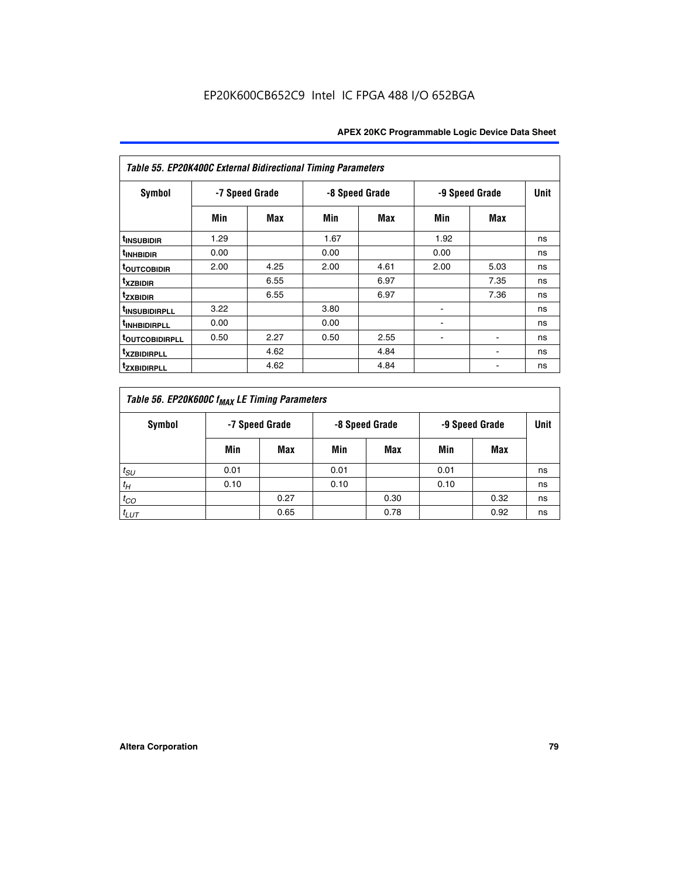| Table 55. EP20K400C External Bidirectional Timing Parameters |                |      |      |                |                          |                |    |  |  |  |  |
|--------------------------------------------------------------|----------------|------|------|----------------|--------------------------|----------------|----|--|--|--|--|
| <b>Symbol</b>                                                | -7 Speed Grade |      |      | -8 Speed Grade |                          | -9 Speed Grade |    |  |  |  |  |
|                                                              | Min            | Max  | Min  | Max            | Min                      | Max            |    |  |  |  |  |
| t <sub>INSUBIDIR</sub>                                       | 1.29           |      | 1.67 |                | 1.92                     |                | ns |  |  |  |  |
| <sup>t</sup> INHBIDIR                                        | 0.00           |      | 0.00 |                | 0.00                     |                | ns |  |  |  |  |
| <b>TOUTCOBIDIR</b>                                           | 2.00           | 4.25 | 2.00 | 4.61           | 2.00                     | 5.03           | ns |  |  |  |  |
| <sup>t</sup> xzbidir                                         |                | 6.55 |      | 6.97           |                          | 7.35           | ns |  |  |  |  |
| <sup>t</sup> zxbidir                                         |                | 6.55 |      | 6.97           |                          | 7.36           | ns |  |  |  |  |
| <sup>t</sup> INSUBIDIRPLL                                    | 3.22           |      | 3.80 |                | ۰                        |                | ns |  |  |  |  |
| <sup>t</sup> INHBIDIRPLL                                     | 0.00           |      | 0.00 |                |                          |                | ns |  |  |  |  |
| <b>TOUTCOBIDIRPLL</b>                                        | 0.50           | 2.27 | 0.50 | 2.55           | $\overline{\phantom{a}}$ | $\blacksquare$ | ns |  |  |  |  |
| <sup>t</sup> xzbidirpll                                      |                | 4.62 |      | 4.84           |                          |                | ns |  |  |  |  |
| <sup>t</sup> zxbidirpll                                      |                | 4.62 |      | 4.84           |                          |                | ns |  |  |  |  |

| Table 56. EP20K600C f <sub>MAX</sub> LE Timing Parameters |      |                |      |                |                |      |      |  |  |  |
|-----------------------------------------------------------|------|----------------|------|----------------|----------------|------|------|--|--|--|
| <b>Symbol</b>                                             |      | -7 Speed Grade |      | -8 Speed Grade | -9 Speed Grade |      | Unit |  |  |  |
|                                                           | Min  | Max            | Min  | Max            | Min            | Max  |      |  |  |  |
| $t_{SU}$                                                  | 0.01 |                | 0.01 |                | 0.01           |      | ns   |  |  |  |
| $t_H$                                                     | 0.10 |                | 0.10 |                | 0.10           |      | ns   |  |  |  |
| $t_{CO}$                                                  |      | 0.27           |      | 0.30           |                | 0.32 | ns   |  |  |  |
| $t_{LUT}$                                                 |      | 0.65           |      | 0.78           |                | 0.92 | ns   |  |  |  |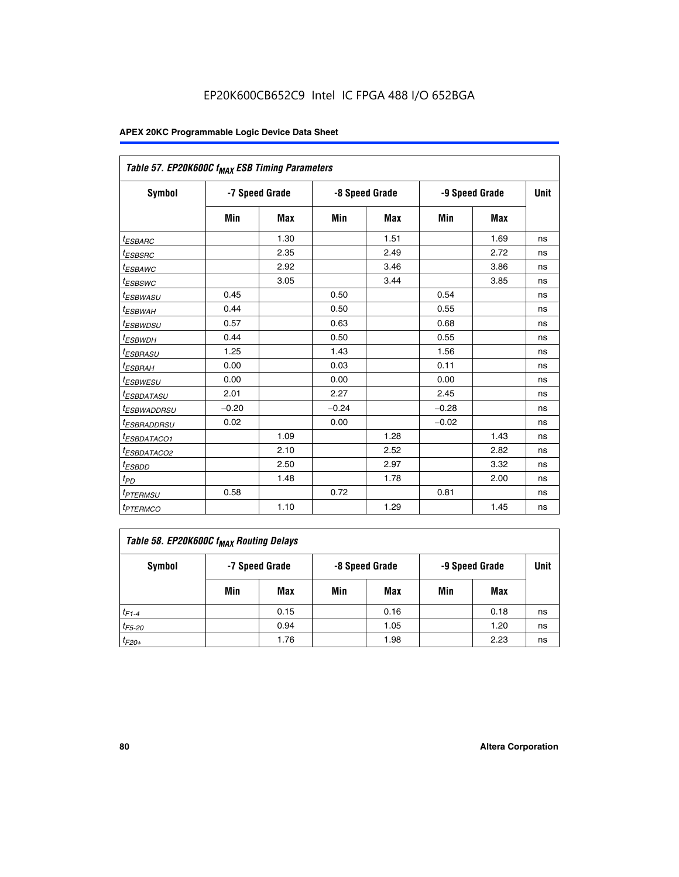|                                   | Table 57. EP20K600C f <sub>MAX</sub> ESB Timing Parameters |            |                |            |                |            |    |  |  |  |  |
|-----------------------------------|------------------------------------------------------------|------------|----------------|------------|----------------|------------|----|--|--|--|--|
| Symbol                            | -7 Speed Grade                                             |            | -8 Speed Grade |            | -9 Speed Grade | Unit       |    |  |  |  |  |
|                                   | Min                                                        | <b>Max</b> | Min            | <b>Max</b> | Min            | <b>Max</b> |    |  |  |  |  |
| <sup>t</sup> ESBARC               |                                                            | 1.30       |                | 1.51       |                | 1.69       | ns |  |  |  |  |
| <sup>t</sup> ESBSRC               |                                                            | 2.35       |                | 2.49       |                | 2.72       | ns |  |  |  |  |
| <sup>t</sup> ESBAWC               |                                                            | 2.92       |                | 3.46       |                | 3.86       | ns |  |  |  |  |
| t <sub>ESBSWC</sub>               |                                                            | 3.05       |                | 3.44       |                | 3.85       | ns |  |  |  |  |
| <sup>t</sup> ESBWASU              | 0.45                                                       |            | 0.50           |            | 0.54           |            | ns |  |  |  |  |
| <sup>t</sup> ESBWAH               | 0.44                                                       |            | 0.50           |            | 0.55           |            | ns |  |  |  |  |
| <sup>t</sup> ESBWDSU              | 0.57                                                       |            | 0.63           |            | 0.68           |            | ns |  |  |  |  |
| <sup>t</sup> ESBWDH               | 0.44                                                       |            | 0.50           |            | 0.55           |            | ns |  |  |  |  |
| <sup>t</sup> ESBRASU              | 1.25                                                       |            | 1.43           |            | 1.56           |            | ns |  |  |  |  |
| <sup>t</sup> ESBRAH               | 0.00                                                       |            | 0.03           |            | 0.11           |            | ns |  |  |  |  |
| <sup>t</sup> ESBWESU              | 0.00                                                       |            | 0.00           |            | 0.00           |            | ns |  |  |  |  |
| <sup>t</sup> ESBDATASU            | 2.01                                                       |            | 2.27           |            | 2.45           |            | ns |  |  |  |  |
| <sup>t</sup> ESBWADDRSU           | $-0.20$                                                    |            | $-0.24$        |            | $-0.28$        |            | ns |  |  |  |  |
| <sup>t</sup> ESBRADDRSU           | 0.02                                                       |            | 0.00           |            | $-0.02$        |            | ns |  |  |  |  |
| <sup>I</sup> ESBDATACO1           |                                                            | 1.09       |                | 1.28       |                | 1.43       | ns |  |  |  |  |
| <sup>t</sup> ESBDATACO2           |                                                            | 2.10       |                | 2.52       |                | 2.82       | ns |  |  |  |  |
| <sup>t</sup> ESBDD                |                                                            | 2.50       |                | 2.97       |                | 3.32       | ns |  |  |  |  |
| $t_{PD}$                          |                                                            | 1.48       |                | 1.78       |                | 2.00       | ns |  |  |  |  |
| <i>t<sub>PTERMSU</sub></i>        | 0.58                                                       |            | 0.72           |            | 0.81           |            | ns |  |  |  |  |
| <b><i>t<sub>PTERMCO</sub></i></b> |                                                            | 1.10       |                | 1.29       |                | 1.45       | ns |  |  |  |  |

| Table 58. EP20K600C f <sub>MAX</sub> Routing Delays |                |      |                |      |                |      |      |  |  |  |
|-----------------------------------------------------|----------------|------|----------------|------|----------------|------|------|--|--|--|
| Symbol                                              | -7 Speed Grade |      | -8 Speed Grade |      | -9 Speed Grade |      | Unit |  |  |  |
|                                                     | Min            | Max  | Min            | Max  | Min            | Max  |      |  |  |  |
| $t_{F1-4}$                                          |                | 0.15 |                | 0.16 |                | 0.18 | ns   |  |  |  |
| $t_{F5-20}$                                         |                | 0.94 |                | 1.05 |                | 1.20 | ns   |  |  |  |
| $t_{F20+}$                                          |                | 1.76 |                | 1.98 |                | 2.23 | ns   |  |  |  |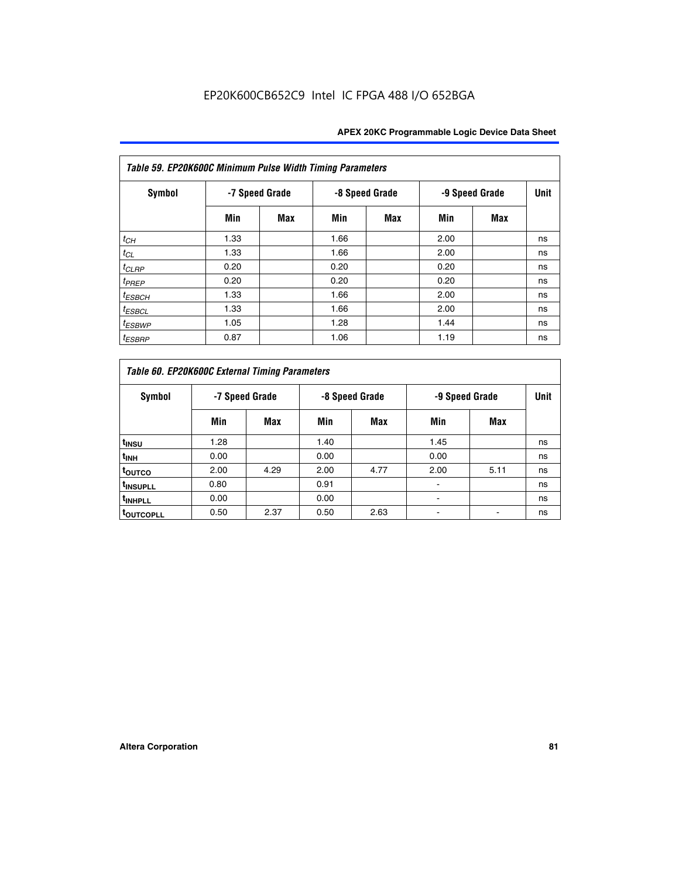| Table 59. EP20K600C Minimum Pulse Width Timing Parameters |                |     |                |            |                |     |             |  |  |  |
|-----------------------------------------------------------|----------------|-----|----------------|------------|----------------|-----|-------------|--|--|--|
| Symbol                                                    | -7 Speed Grade |     | -8 Speed Grade |            | -9 Speed Grade |     | <b>Unit</b> |  |  |  |
|                                                           | Min            | Max | Min            | <b>Max</b> | Min            | Max |             |  |  |  |
| $t_{CH}$                                                  | 1.33           |     | 1.66           |            | 2.00           |     | ns          |  |  |  |
| $t_{CL}$                                                  | 1.33           |     | 1.66           |            | 2.00           |     | ns          |  |  |  |
| $t_{CLRP}$                                                | 0.20           |     | 0.20           |            | 0.20           |     | ns          |  |  |  |
| $t_{PREF}$                                                | 0.20           |     | 0.20           |            | 0.20           |     | ns          |  |  |  |
| $t_{ESBCH}$                                               | 1.33           |     | 1.66           |            | 2.00           |     | ns          |  |  |  |
| $t_{ESBCL}$                                               | 1.33           |     | 1.66           |            | 2.00           |     | ns          |  |  |  |
| <sup>t</sup> ESBWP                                        | 1.05           |     | 1.28           |            | 1.44           |     | ns          |  |  |  |
| <sup>t</sup> ESBRP                                        | 0.87           |     | 1.06           |            | 1.19           |     | ns          |  |  |  |

| Table 60. EP20K600C External Timing Parameters |      |                |                |      |      |                |    |  |  |  |  |  |
|------------------------------------------------|------|----------------|----------------|------|------|----------------|----|--|--|--|--|--|
| Symbol                                         |      | -7 Speed Grade | -8 Speed Grade |      |      | -9 Speed Grade |    |  |  |  |  |  |
|                                                | Min  | Max            | Min            | Max  | Min  | Max            |    |  |  |  |  |  |
| t <sub>INSU</sub>                              | 1.28 |                | 1.40           |      | 1.45 |                | ns |  |  |  |  |  |
| <sup>t</sup> INH                               | 0.00 |                | 0.00           |      | 0.00 |                | ns |  |  |  |  |  |
| toutco                                         | 2.00 | 4.29           | 2.00           | 4.77 | 2.00 | 5.11           | ns |  |  |  |  |  |
| <sup>t</sup> INSUPLL                           | 0.80 |                | 0.91           |      |      |                | ns |  |  |  |  |  |
| <sup>t</sup> INHPLL                            | 0.00 |                | 0.00           |      |      |                | ns |  |  |  |  |  |
| <b>TOUTCOPLL</b>                               | 0.50 | 2.37           | 0.50           | 2.63 |      |                | ns |  |  |  |  |  |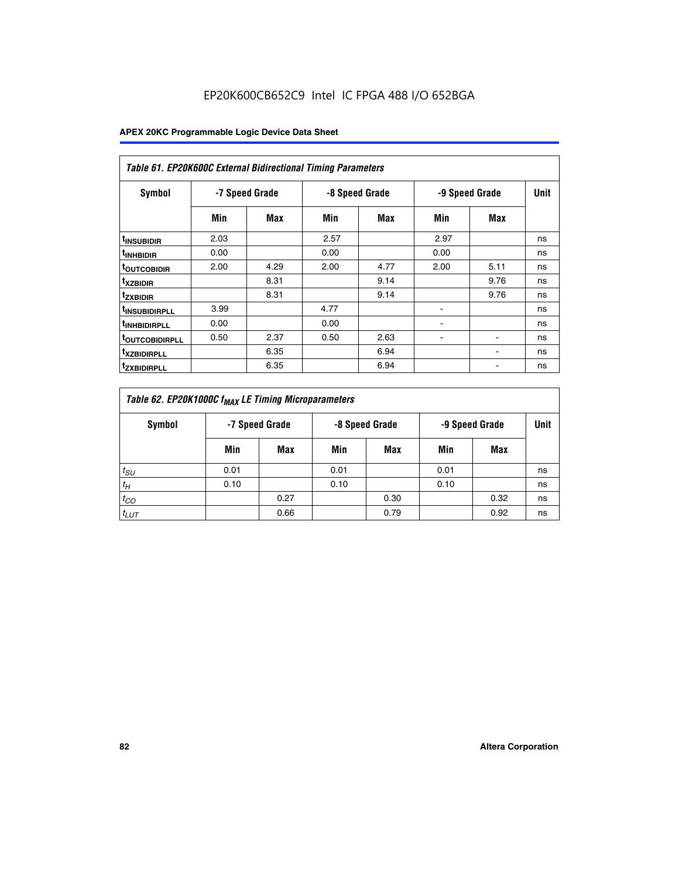| <b>Table 61. EP20K600C External Bidirectional Timing Parameters</b> |                |      |      |                |      |                |             |  |  |  |  |
|---------------------------------------------------------------------|----------------|------|------|----------------|------|----------------|-------------|--|--|--|--|
| <b>Symbol</b>                                                       | -7 Speed Grade |      |      | -8 Speed Grade |      | -9 Speed Grade | <b>Unit</b> |  |  |  |  |
|                                                                     | Min            | Max  | Min  | Max            | Min  | Max            |             |  |  |  |  |
| <sup>t</sup> INSUBIDIR                                              | 2.03           |      | 2.57 |                | 2.97 |                | ns          |  |  |  |  |
| <sup>t</sup> INHBIDIR                                               | 0.00           |      | 0.00 |                | 0.00 |                | ns          |  |  |  |  |
| <b><sup>t</sup>OUTCOBIDIR</b>                                       | 2.00           | 4.29 | 2.00 | 4.77           | 2.00 | 5.11           | ns          |  |  |  |  |
| <sup>t</sup> xzbidir                                                |                | 8.31 |      | 9.14           |      | 9.76           | ns          |  |  |  |  |
| <sup>t</sup> zxbidir                                                |                | 8.31 |      | 9.14           |      | 9.76           | ns          |  |  |  |  |
| <sup>t</sup> insubidirpll                                           | 3.99           |      | 4.77 |                |      |                | ns          |  |  |  |  |
| <sup>t</sup> INHBIDIRPLL                                            | 0.00           |      | 0.00 |                |      |                | ns          |  |  |  |  |
| <sup>T</sup> OUTCOBIDIRPLL                                          | 0.50           | 2.37 | 0.50 | 2.63           | ۰    | ۰              | ns          |  |  |  |  |
| <sup>t</sup> xzbidirpll                                             |                | 6.35 |      | 6.94           |      |                | ns          |  |  |  |  |
| <sup>I</sup> ZXBIDIRPLL                                             |                | 6.35 |      | 6.94           |      |                | ns          |  |  |  |  |

| Table 62. EP20K1000C f <sub>MAX</sub> LE Timing Microparameters |                                                    |      |      |      |      |      |      |  |  |  |
|-----------------------------------------------------------------|----------------------------------------------------|------|------|------|------|------|------|--|--|--|
| Symbol                                                          | -7 Speed Grade<br>-8 Speed Grade<br>-9 Speed Grade |      |      |      |      |      | Unit |  |  |  |
|                                                                 | Min                                                | Max  | Min  | Max  | Min  | Max  |      |  |  |  |
| $t_{SU}$                                                        | 0.01                                               |      | 0.01 |      | 0.01 |      | ns   |  |  |  |
| $t_H$                                                           | 0.10                                               |      | 0.10 |      | 0.10 |      | ns   |  |  |  |
| $t_{CO}$                                                        |                                                    | 0.27 |      | 0.30 |      | 0.32 | ns   |  |  |  |
| $t_{LUT}$                                                       |                                                    | 0.66 |      | 0.79 |      | 0.92 | ns   |  |  |  |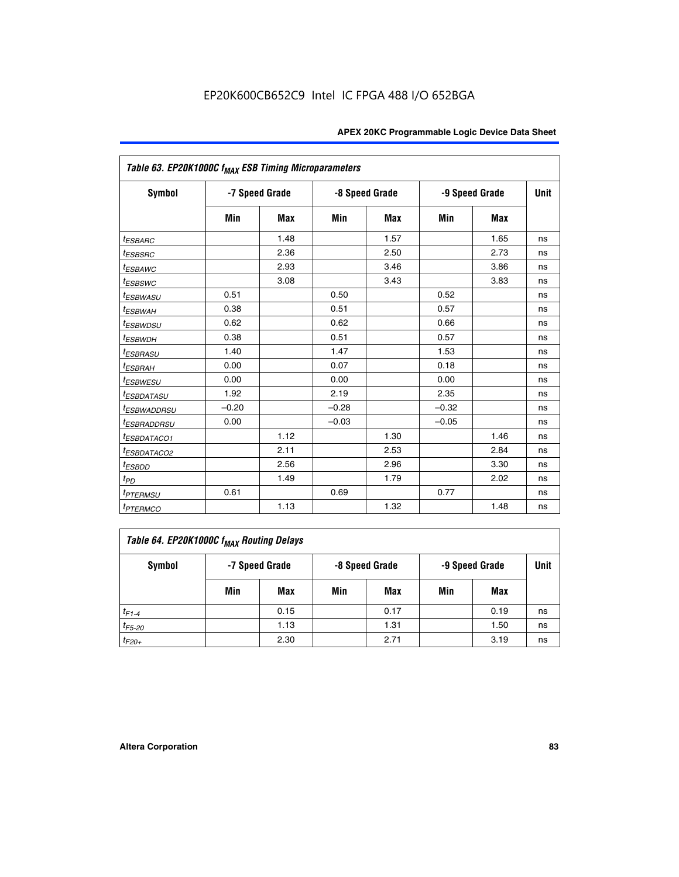| Table 63. EP20K1000C f <sub>MAX</sub> ESB Timing Microparameters |                |            |         |                |                |             |    |  |  |
|------------------------------------------------------------------|----------------|------------|---------|----------------|----------------|-------------|----|--|--|
| <b>Symbol</b>                                                    | -7 Speed Grade |            |         | -8 Speed Grade | -9 Speed Grade | <b>Unit</b> |    |  |  |
|                                                                  | Min            | <b>Max</b> | Min     | <b>Max</b>     | Min            | <b>Max</b>  |    |  |  |
| <i>t<sub>ESBARC</sub></i>                                        |                | 1.48       |         | 1.57           |                | 1.65        | ns |  |  |
| $t_{ESBSRC}$                                                     |                | 2.36       |         | 2.50           |                | 2.73        | ns |  |  |
| <sup>t</sup> ESBAWC                                              |                | 2.93       |         | 3.46           |                | 3.86        | ns |  |  |
| <i>t</i> <sub>ESBSWC</sub>                                       |                | 3.08       |         | 3.43           |                | 3.83        | ns |  |  |
| <sup>t</sup> ESBWASU                                             | 0.51           |            | 0.50    |                | 0.52           |             | ns |  |  |
| <sup>t</sup> ESBWAH                                              | 0.38           |            | 0.51    |                | 0.57           |             | ns |  |  |
| <i>t<sub>ESBWDSU</sub></i>                                       | 0.62           |            | 0.62    |                | 0.66           |             | ns |  |  |
| <sup>t</sup> ESBWDH                                              | 0.38           |            | 0.51    |                | 0.57           |             | ns |  |  |
| <sup>t</sup> ESBRASU                                             | 1.40           |            | 1.47    |                | 1.53           |             | ns |  |  |
| <sup>t</sup> ESBRAH                                              | 0.00           |            | 0.07    |                | 0.18           |             | ns |  |  |
| <i>t<sub>ESBWESU</sub></i>                                       | 0.00           |            | 0.00    |                | 0.00           |             | ns |  |  |
| <sup>t</sup> ESBDATASU                                           | 1.92           |            | 2.19    |                | 2.35           |             | ns |  |  |
| <sup>t</sup> ESBWADDRSU                                          | $-0.20$        |            | $-0.28$ |                | $-0.32$        |             | ns |  |  |
| <i>t<sub>ESBRADDRSU</sub></i>                                    | 0.00           |            | $-0.03$ |                | $-0.05$        |             | ns |  |  |
| <sup>t</sup> ESBDATACO1                                          |                | 1.12       |         | 1.30           |                | 1.46        | ns |  |  |
| <sup>t</sup> ESBDATACO2                                          |                | 2.11       |         | 2.53           |                | 2.84        | ns |  |  |
| <sup>t</sup> ESBDD                                               |                | 2.56       |         | 2.96           |                | 3.30        | ns |  |  |
| t <sub>PD</sub>                                                  |                | 1.49       |         | 1.79           |                | 2.02        | ns |  |  |
| <i><b>TPTERMSU</b></i>                                           | 0.61           |            | 0.69    |                | 0.77           |             | ns |  |  |
| <b>t</b> <sub>PTERMCO</sub>                                      |                | 1.13       |         | 1.32           |                | 1.48        | ns |  |  |

| Table 64. EP20K1000C f <sub>MAX</sub> Routing Delays |     |                |     |                |     |                |      |  |  |  |
|------------------------------------------------------|-----|----------------|-----|----------------|-----|----------------|------|--|--|--|
| <b>Symbol</b>                                        |     | -7 Speed Grade |     | -8 Speed Grade |     | -9 Speed Grade | Unit |  |  |  |
|                                                      | Min | Max            | Min | Max            | Min | Max            |      |  |  |  |
| $t_{F1-4}$                                           |     | 0.15           |     | 0.17           |     | 0.19           | ns   |  |  |  |
| $t_{F5-20}$                                          |     | 1.13           |     | 1.31           |     | 1.50           | ns   |  |  |  |
| $t_{F20+}$                                           |     | 2.30           |     | 2.71           |     | 3.19           | ns   |  |  |  |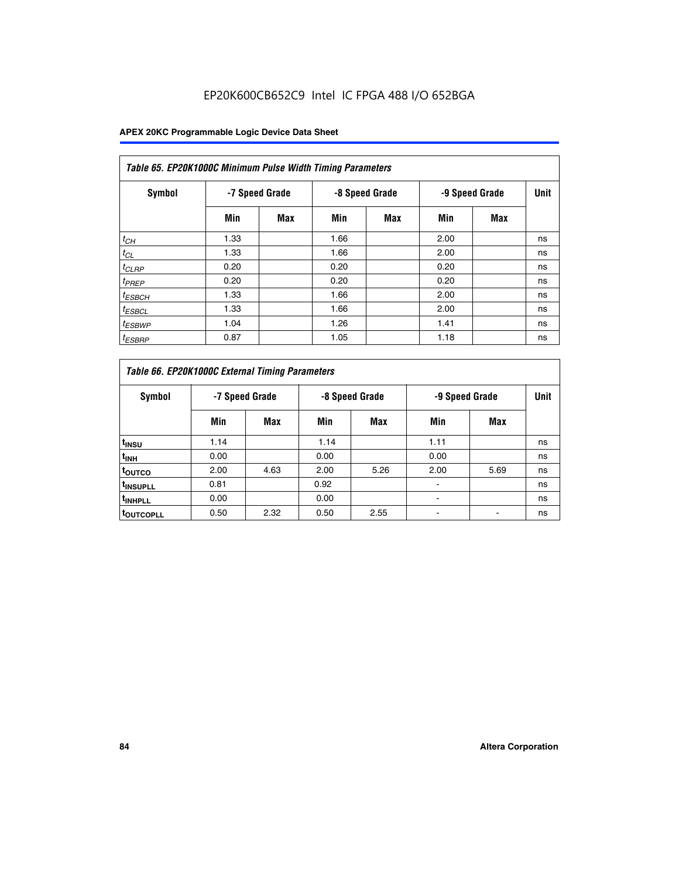# EP20K600CB652C9 Intel IC FPGA 488 I/O 652BGA

| Table 65. EP20K1000C Minimum Pulse Width Timing Parameters |                |     |                |            |      |                |      |  |  |  |
|------------------------------------------------------------|----------------|-----|----------------|------------|------|----------------|------|--|--|--|
| Symbol                                                     | -7 Speed Grade |     | -8 Speed Grade |            |      | -9 Speed Grade | Unit |  |  |  |
|                                                            | Min            | Max | Min            | <b>Max</b> | Min  | <b>Max</b>     |      |  |  |  |
| $t_{CH}$                                                   | 1.33           |     | 1.66           |            | 2.00 |                | ns   |  |  |  |
| $t_{CL}$                                                   | 1.33           |     | 1.66           |            | 2.00 |                | ns   |  |  |  |
| $t_{CLRP}$                                                 | 0.20           |     | 0.20           |            | 0.20 |                | ns   |  |  |  |
| $t_{PREF}$                                                 | 0.20           |     | 0.20           |            | 0.20 |                | ns   |  |  |  |
| $t_{ESBCH}$                                                | 1.33           |     | 1.66           |            | 2.00 |                | ns   |  |  |  |
| $t_{ESBCL}$                                                | 1.33           |     | 1.66           |            | 2.00 |                | ns   |  |  |  |
| $t_{ESBWP}$                                                | 1.04           |     | 1.26           |            | 1.41 |                | ns   |  |  |  |
| <sup>t</sup> ESBRP                                         | 0.87           |     | 1.05           |            | 1.18 |                | ns   |  |  |  |

| Table 66. EP20K1000C External Timing Parameters |                |      |                |      |                |      |             |
|-------------------------------------------------|----------------|------|----------------|------|----------------|------|-------------|
| Symbol                                          | -7 Speed Grade |      | -8 Speed Grade |      | -9 Speed Grade |      | <b>Unit</b> |
|                                                 | Min            | Max  | Min            | Max  | Min            | Max  |             |
| t <sub>INSU</sub>                               | 1.14           |      | 1.14           |      | 1.11           |      | ns          |
| $t_{\text{INH}}$                                | 0.00           |      | 0.00           |      | 0.00           |      | ns          |
| toutco                                          | 2.00           | 4.63 | 2.00           | 5.26 | 2.00           | 5.69 | ns          |
| <sup>t</sup> INSUPLL                            | 0.81           |      | 0.92           |      |                |      | ns          |
| <sup>t</sup> INHPLL                             | 0.00           |      | 0.00           |      |                |      | ns          |
| <sup>I</sup> OUTCOPLL                           | 0.50           | 2.32 | 0.50           | 2.55 |                |      | ns          |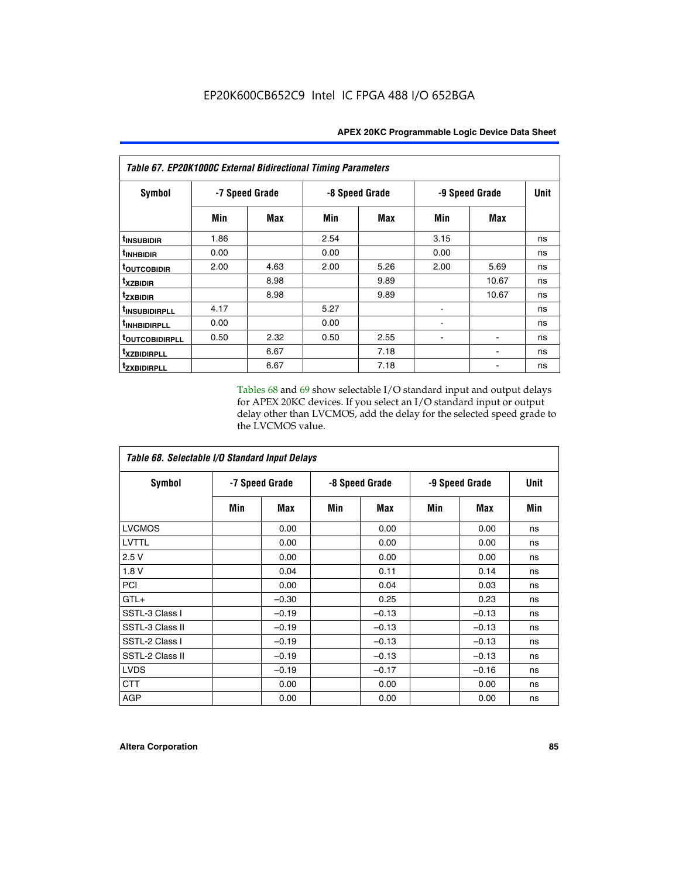| Table 67. EP20K1000C External Bidirectional Timing Parameters |                |      |                |      |                |            |             |
|---------------------------------------------------------------|----------------|------|----------------|------|----------------|------------|-------------|
| Symbol                                                        | -7 Speed Grade |      | -8 Speed Grade |      | -9 Speed Grade |            | <b>Unit</b> |
|                                                               | Min            | Max  | Min            | Max  | Min            | <b>Max</b> |             |
| t <sub>INSUBIDIR</sub>                                        | 1.86           |      | 2.54           |      | 3.15           |            | ns          |
| <sup>t</sup> INHBIDIR                                         | 0.00           |      | 0.00           |      | 0.00           |            | ns          |
| <sup>t</sup> OUTCOBIDIR                                       | 2.00           | 4.63 | 2.00           | 5.26 | 2.00           | 5.69       | ns          |
| txzbidir                                                      |                | 8.98 |                | 9.89 |                | 10.67      | ns          |
| <b>tzxbidir</b>                                               |                | 8.98 |                | 9.89 |                | 10.67      | ns          |
| <sup>t</sup> INSUBIDIRPLL                                     | 4.17           |      | 5.27           |      |                |            | ns          |
| t <sub>INHBIDIRPLL</sub>                                      | 0.00           |      | 0.00           |      |                |            | ns          |
| <b><i>LOUTCOBIDIRPLL</i></b>                                  | 0.50           | 2.32 | 0.50           | 2.55 |                |            | ns          |
| <i>txzBIDIRPLL</i>                                            |                | 6.67 |                | 7.18 |                |            | ns          |
| tzxbidirpll                                                   |                | 6.67 |                | 7.18 |                |            | ns          |

Tables 68 and 69 show selectable I/O standard input and output delays for APEX 20KC devices. If you select an I/O standard input or output delay other than LVCMOS, add the delay for the selected speed grade to the LVCMOS value.

| Table 68. Selectable I/O Standard Input Delays |                |         |                |         |                |         |             |  |
|------------------------------------------------|----------------|---------|----------------|---------|----------------|---------|-------------|--|
| <b>Symbol</b>                                  | -7 Speed Grade |         | -8 Speed Grade |         | -9 Speed Grade |         | <b>Unit</b> |  |
|                                                | Min            | Max     | Min            | Max     | Min            | Max     | Min         |  |
| <b>LVCMOS</b>                                  |                | 0.00    |                | 0.00    |                | 0.00    | ns          |  |
| <b>LVTTL</b>                                   |                | 0.00    |                | 0.00    |                | 0.00    | ns          |  |
| 2.5V                                           |                | 0.00    |                | 0.00    |                | 0.00    | ns          |  |
| 1.8 V                                          |                | 0.04    |                | 0.11    |                | 0.14    | ns          |  |
| PCI                                            |                | 0.00    |                | 0.04    |                | 0.03    | ns          |  |
| $GTL+$                                         |                | $-0.30$ |                | 0.25    |                | 0.23    | ns          |  |
| SSTL-3 Class I                                 |                | $-0.19$ |                | $-0.13$ |                | $-0.13$ | ns          |  |
| SSTL-3 Class II                                |                | $-0.19$ |                | $-0.13$ |                | $-0.13$ | ns          |  |
| SSTL-2 Class I                                 |                | $-0.19$ |                | $-0.13$ |                | $-0.13$ | ns          |  |
| SSTL-2 Class II                                |                | $-0.19$ |                | $-0.13$ |                | $-0.13$ | ns          |  |
| <b>LVDS</b>                                    |                | $-0.19$ |                | $-0.17$ |                | $-0.16$ | ns          |  |
| <b>CTT</b>                                     |                | 0.00    |                | 0.00    |                | 0.00    | ns          |  |
| <b>AGP</b>                                     |                | 0.00    |                | 0.00    |                | 0.00    | ns          |  |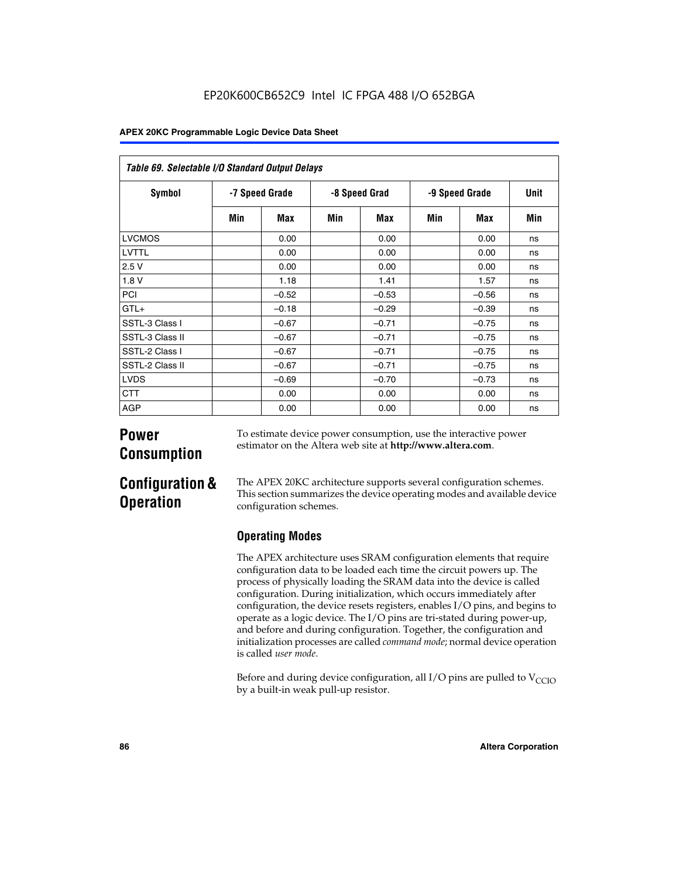| Table 69. Selectable I/O Standard Output Delays |                |         |               |         |                |            |      |
|-------------------------------------------------|----------------|---------|---------------|---------|----------------|------------|------|
| <b>Symbol</b>                                   | -7 Speed Grade |         | -8 Speed Grad |         | -9 Speed Grade |            | Unit |
|                                                 | Min            | Max     | Min           | Max     | Min            | <b>Max</b> | Min  |
| <b>LVCMOS</b>                                   |                | 0.00    |               | 0.00    |                | 0.00       | ns   |
| LVTTL                                           |                | 0.00    |               | 0.00    |                | 0.00       | ns   |
| 2.5V                                            |                | 0.00    |               | 0.00    |                | 0.00       | ns   |
| 1.8V                                            |                | 1.18    |               | 1.41    |                | 1.57       | ns   |
| PCI                                             |                | $-0.52$ |               | $-0.53$ |                | $-0.56$    | ns   |
| $GTL+$                                          |                | $-0.18$ |               | $-0.29$ |                | $-0.39$    | ns   |
| SSTL-3 Class I                                  |                | $-0.67$ |               | $-0.71$ |                | $-0.75$    | ns   |
| SSTL-3 Class II                                 |                | $-0.67$ |               | $-0.71$ |                | $-0.75$    | ns   |
| SSTL-2 Class I                                  |                | $-0.67$ |               | $-0.71$ |                | $-0.75$    | ns   |
| SSTL-2 Class II                                 |                | $-0.67$ |               | $-0.71$ |                | $-0.75$    | ns   |
| <b>LVDS</b>                                     |                | $-0.69$ |               | $-0.70$ |                | $-0.73$    | ns   |
| <b>CTT</b>                                      |                | 0.00    |               | 0.00    |                | 0.00       | ns   |
| AGP                                             |                | 0.00    |               | 0.00    |                | 0.00       | ns   |

# **Power Consumption**

To estimate device power consumption, use the interactive power estimator on the Altera web site at **http://www.altera.com**.

# **Configuration & Operation**

The APEX 20KC architecture supports several configuration schemes. This section summarizes the device operating modes and available device configuration schemes.

# **Operating Modes**

The APEX architecture uses SRAM configuration elements that require configuration data to be loaded each time the circuit powers up. The process of physically loading the SRAM data into the device is called configuration. During initialization, which occurs immediately after configuration, the device resets registers, enables I/O pins, and begins to operate as a logic device. The I/O pins are tri-stated during power-up, and before and during configuration. Together, the configuration and initialization processes are called *command mode*; normal device operation is called *user mode*.

Before and during device configuration, all I/O pins are pulled to  $V_{CCIO}$ by a built-in weak pull-up resistor.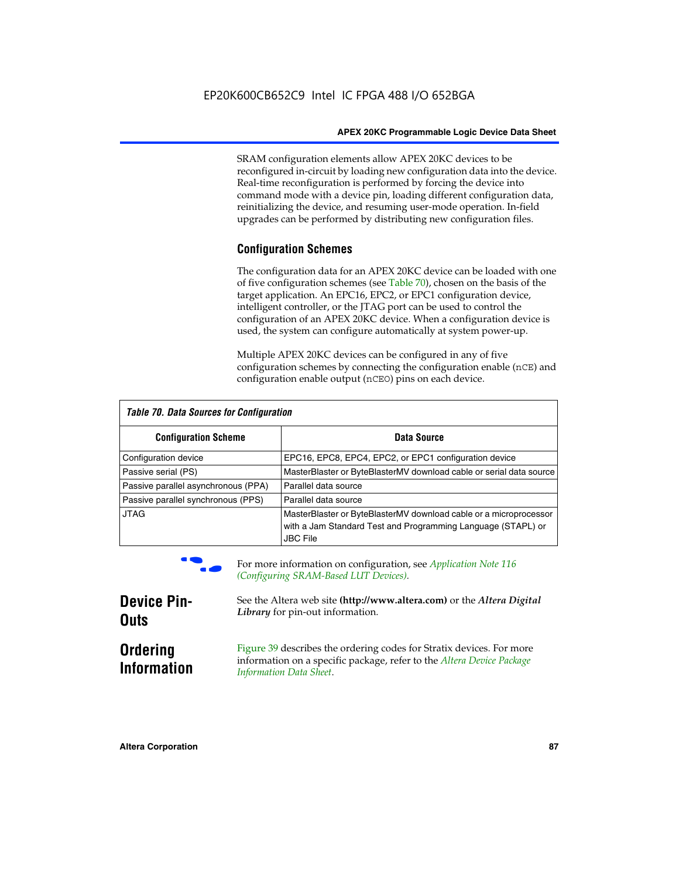SRAM configuration elements allow APEX 20KC devices to be reconfigured in-circuit by loading new configuration data into the device. Real-time reconfiguration is performed by forcing the device into command mode with a device pin, loading different configuration data, reinitializing the device, and resuming user-mode operation. In-field upgrades can be performed by distributing new configuration files.

## **Configuration Schemes**

The configuration data for an APEX 20KC device can be loaded with one of five configuration schemes (see Table 70), chosen on the basis of the target application. An EPC16, EPC2, or EPC1 configuration device, intelligent controller, or the JTAG port can be used to control the configuration of an APEX 20KC device. When a configuration device is used, the system can configure automatically at system power-up.

Multiple APEX 20KC devices can be configured in any of five configuration schemes by connecting the configuration enable (nCE) and configuration enable output (nCEO) pins on each device.

| Table 70. Data Sources for Configuration |                                                                                                                                                      |  |  |  |  |
|------------------------------------------|------------------------------------------------------------------------------------------------------------------------------------------------------|--|--|--|--|
| <b>Configuration Scheme</b>              | Data Source                                                                                                                                          |  |  |  |  |
| Configuration device                     | EPC16, EPC8, EPC4, EPC2, or EPC1 configuration device                                                                                                |  |  |  |  |
| Passive serial (PS)                      | MasterBlaster or ByteBlasterMV download cable or serial data source                                                                                  |  |  |  |  |
| Passive parallel asynchronous (PPA)      | Parallel data source                                                                                                                                 |  |  |  |  |
| Passive parallel synchronous (PPS)       | Parallel data source                                                                                                                                 |  |  |  |  |
| <b>JTAG</b>                              | MasterBlaster or ByteBlasterMV download cable or a microprocessor<br>with a Jam Standard Test and Programming Language (STAPL) or<br><b>JBC File</b> |  |  |  |  |



For more information on configuration, see *Application Note* 116 *(Configuring SRAM-Based LUT Devices).*

| <b>Device Pin-</b>                    | See the Altera web site (http://www.altera.com) or the Altera Digital                                                                                                    |
|---------------------------------------|--------------------------------------------------------------------------------------------------------------------------------------------------------------------------|
| <b>Outs</b>                           | Library for pin-out information.                                                                                                                                         |
| <b>Ordering</b><br><b>Information</b> | Figure 39 describes the ordering codes for Stratix devices. For more<br>information on a specific package, refer to the Altera Device Package<br>Information Data Sheet. |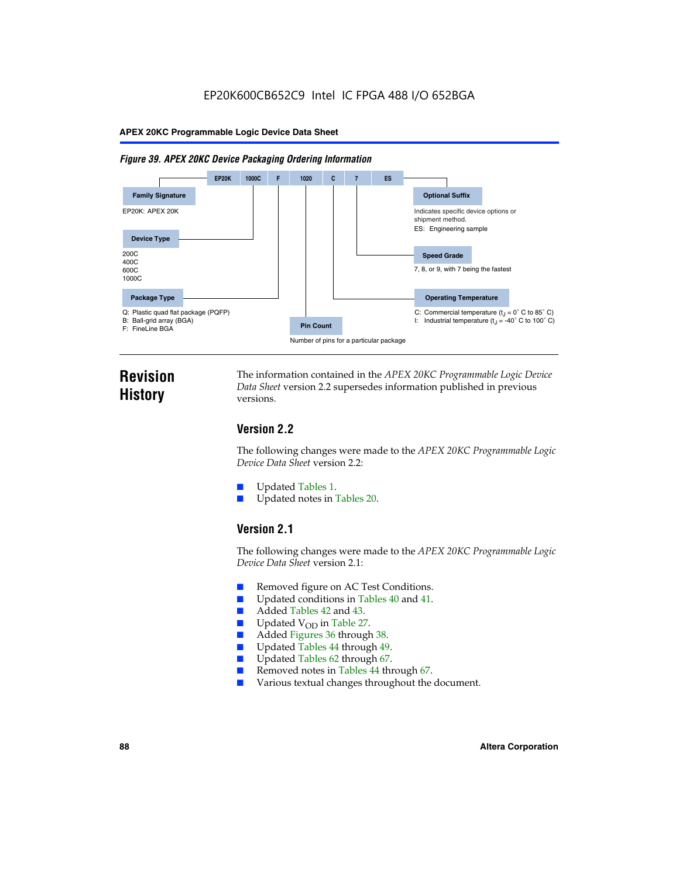#### *Figure 39. APEX 20KC Device Packaging Ordering Information*



# **Revision History**

The information contained in the *APEX 20KC Programmable Logic Device Data Sheet* version 2.2 supersedes information published in previous versions.

# **Version 2.2**

The following changes were made to the *APEX 20KC Programmable Logic Device Data Sheet* version 2.2:

- Updated Tables 1.
- Updated notes in Tables 20.

## **Version 2.1**

The following changes were made to the *APEX 20KC Programmable Logic Device Data Sheet* version 2.1:

- Removed figure on AC Test Conditions.
- Updated conditions in Tables 40 and 41.
- Added Tables 42 and 43.
- $\blacksquare$  Updated V<sub>OD</sub> in Table 27.<br>Added Figures 36 through
- Added Figures 36 through 38.
- Updated Tables 44 through 49.
- Updated Tables 62 through 67.
- Removed notes in Tables 44 through 67.
- Various textual changes throughout the document.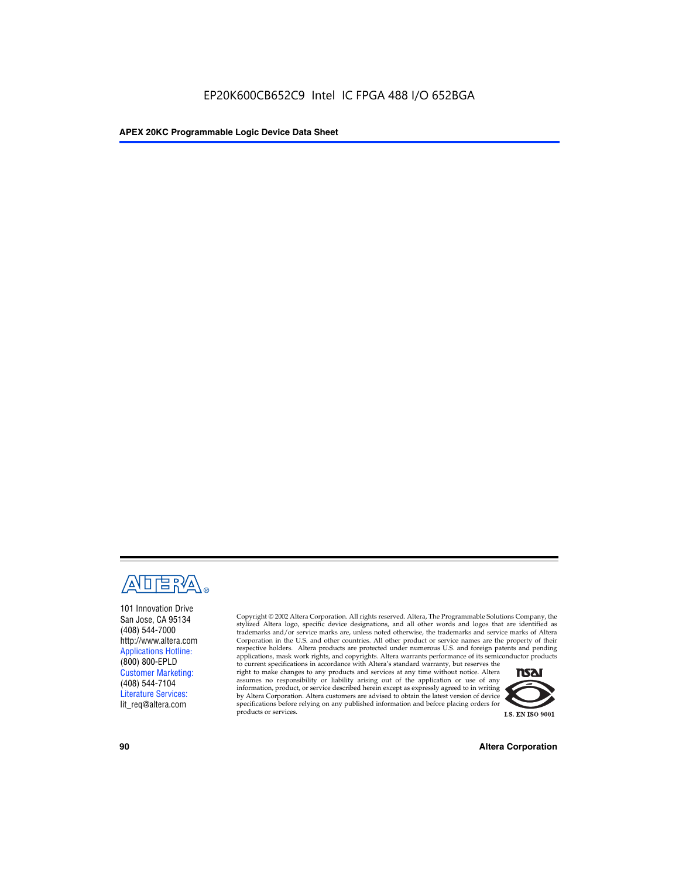

101 Innovation Drive San Jose, CA 95134 (408) 544-7000 http://www.altera.com Applications Hotline: (800) 800-EPLD Customer Marketing: (408) 544-7104 Literature Services: lit\_req@altera.com

Copyright © 2002 Altera Corporation. All rights reserved. Altera, The Programmable Solutions Company, the stylized Altera logo, specific device designations, and all other words and logos that are identified as trademarks and/or service marks are, unless noted otherwise, the trademarks and service marks of Altera Corporation in the U.S. and other countries. All other product or service names are the property of their respective holders. Altera products are protected under numerous U.S. and foreign patents and pending applications, mask work rights, and copyrights. Altera warrants performance of its semiconductor products

to current specifications in accordance with Altera's standard warranty, but reserves the right to make changes to any products and services at any time without notice. Altera assumes no responsibility or liability arising out of the application or use of any information, product, or service described herein except as expressly agreed to in writing by Altera Corporation. Altera customers are advised to obtain the latest version of device specifications before relying on any published information and before placing orders for products or services.



**90 Altera Corporation**